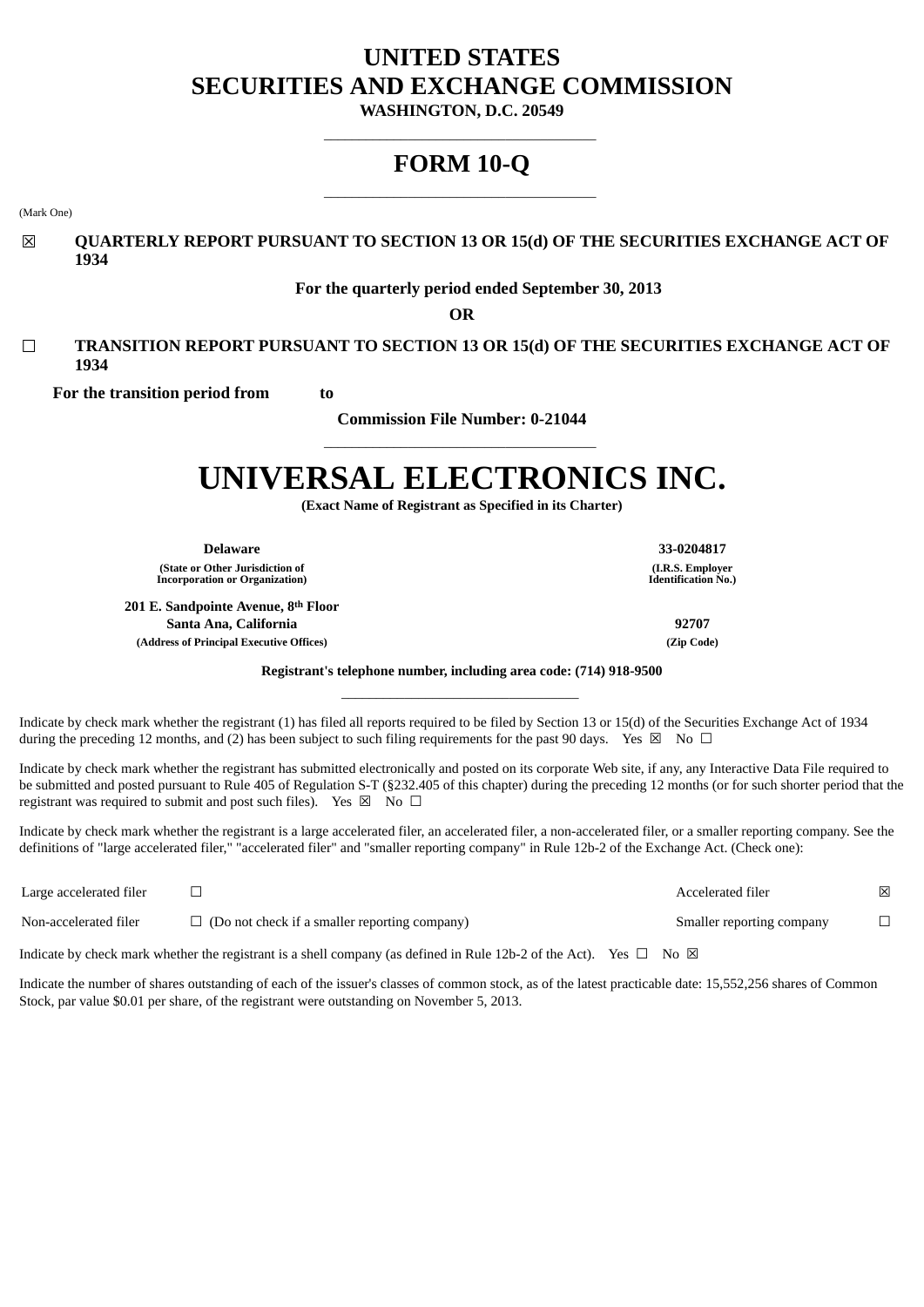# **UNITED STATES SECURITIES AND EXCHANGE COMMISSION**

**WASHINGTON, D.C. 20549** \_\_\_\_\_\_\_\_\_\_\_\_\_\_\_\_\_\_\_\_\_\_\_\_\_\_\_\_\_\_\_\_\_\_\_\_\_\_\_

# **FORM 10-Q** \_\_\_\_\_\_\_\_\_\_\_\_\_\_\_\_\_\_\_\_\_\_\_\_\_\_\_\_\_\_\_\_\_\_\_\_\_\_\_

(Mark One)

# ☒ **QUARTERLY REPORT PURSUANT TO SECTION 13 OR 15(d) OF THE SECURITIES EXCHANGE ACT OF 1934**

# **For the quarterly period ended September 30, 2013**

**OR**

# ☐ **TRANSITION REPORT PURSUANT TO SECTION 13 OR 15(d) OF THE SECURITIES EXCHANGE ACT OF 1934**

**For the transition period from to** 

**Commission File Number: 0-21044** \_\_\_\_\_\_\_\_\_\_\_\_\_\_\_\_\_\_\_\_\_\_\_\_\_\_\_\_\_\_\_\_\_\_\_\_\_\_\_

# **UNIVERSAL ELECTRONICS INC.**

**(Exact Name of Registrant as Specified in its Charter)**

| <b>Delaware</b>                                                           | 33-0204817                                     |
|---------------------------------------------------------------------------|------------------------------------------------|
| (State or Other Jurisdiction of<br><b>Incorporation or Organization</b> ) | (I.R.S. Employer<br><b>Identification No.)</b> |
| 201 E. Sandpointe Avenue, 8 <sup>th</sup> Floor                           |                                                |
| Santa Ana, California                                                     | 92707                                          |
| (Address of Principal Executive Offices)                                  | (Zip Code)                                     |

**Registrant's telephone number, including area code: (714) 918-9500** \_\_\_\_\_\_\_\_\_\_\_\_\_\_\_\_\_\_\_\_\_\_\_\_\_\_\_\_\_\_\_\_\_\_

Indicate by check mark whether the registrant (1) has filed all reports required to be filed by Section 13 or 15(d) of the Securities Exchange Act of 1934 during the preceding 12 months, and (2) has been subject to such filing requirements for the past 90 days. Yes  $\boxtimes$  No  $\Box$ 

Indicate by check mark whether the registrant has submitted electronically and posted on its corporate Web site, if any, any Interactive Data File required to be submitted and posted pursuant to Rule 405 of Regulation S-T (§232.405 of this chapter) during the preceding 12 months (or for such shorter period that the registrant was required to submit and post such files). Yes  $\boxtimes$  No  $\Box$ 

Indicate by check mark whether the registrant is a large accelerated filer, an accelerated filer, a non-accelerated filer, or a smaller reporting company. See the definitions of "large accelerated filer," "accelerated filer" and "smaller reporting company" in Rule 12b-2 of the Exchange Act. (Check one):

| Large accelerated filer |                                                      | Accelerated filer         | ⊠ |
|-------------------------|------------------------------------------------------|---------------------------|---|
| Non-accelerated filer   | $\Box$ (Do not check if a smaller reporting company) | Smaller reporting company |   |
|                         |                                                      |                           |   |

Indicate by check mark whether the registrant is a shell company (as defined in Rule 12b-2 of the Act). Yes  $\Box$  No  $\boxtimes$ 

<span id="page-0-0"></span>Indicate the number of shares outstanding of each of the issuer's classes of common stock, as of the latest practicable date: 15,552,256 shares of Common Stock, par value \$0.01 per share, of the registrant were outstanding on November 5, 2013.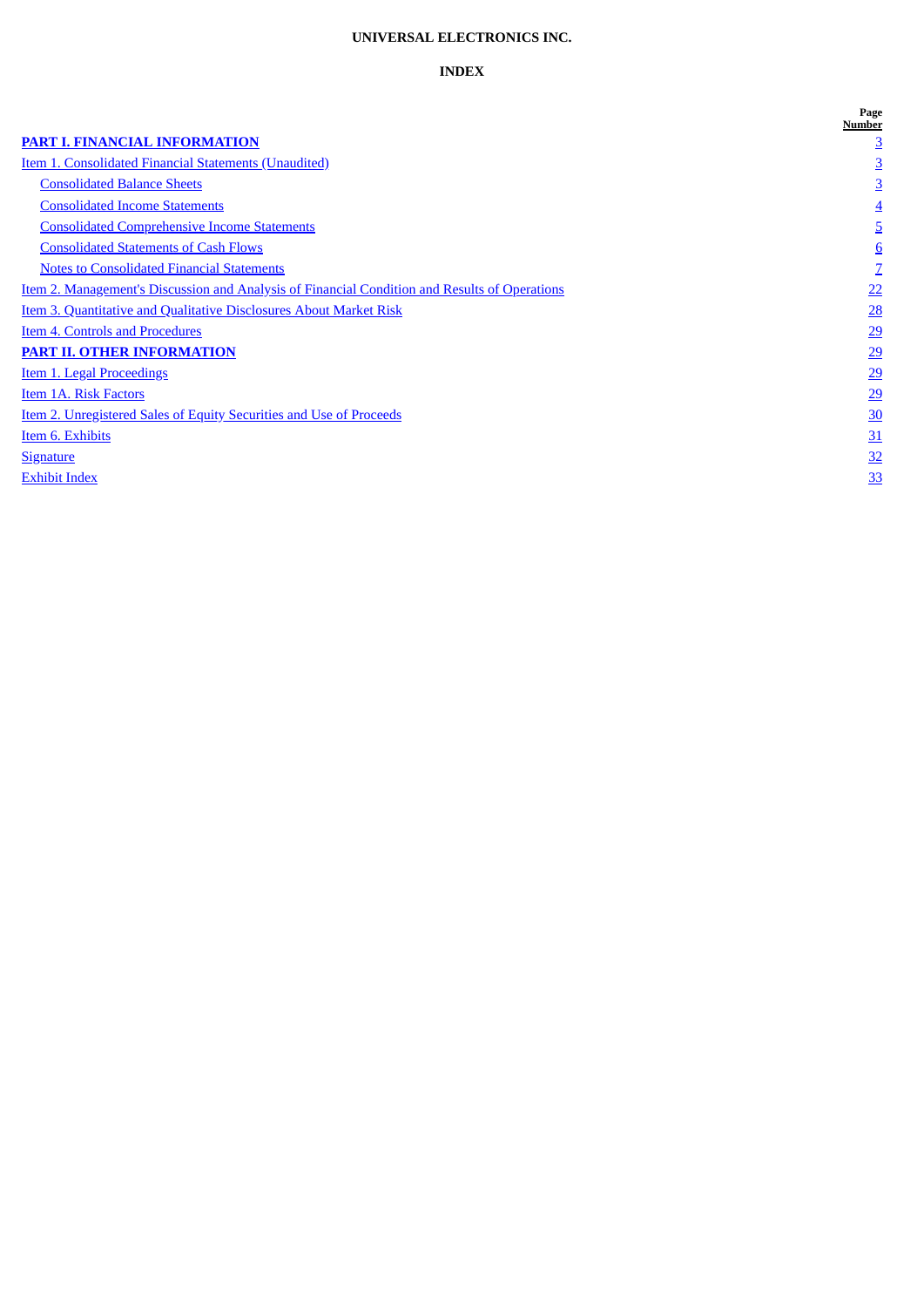# **UNIVERSAL ELECTRONICS INC.**

# **INDEX**

<span id="page-1-0"></span>

|                                                                                               | Page<br><b>Number</b> |
|-----------------------------------------------------------------------------------------------|-----------------------|
| PART I. FINANCIAL INFORMATION                                                                 | <u>3</u>              |
| Item 1. Consolidated Financial Statements (Unaudited)                                         | <u>3</u>              |
| <b>Consolidated Balance Sheets</b>                                                            | $\overline{3}$        |
| <b>Consolidated Income Statements</b>                                                         | $\overline{4}$        |
| <b>Consolidated Comprehensive Income Statements</b>                                           | <u>5</u>              |
| <b>Consolidated Statements of Cash Flows</b>                                                  | $6 \overline{6}$      |
| <b>Notes to Consolidated Financial Statements</b>                                             |                       |
| Item 2. Management's Discussion and Analysis of Financial Condition and Results of Operations | 22                    |
| <b>Item 3. Quantitative and Qualitative Disclosures About Market Risk</b>                     | 28                    |
| Item 4. Controls and Procedures                                                               | 29                    |
| <b>PART II. OTHER INFORMATION</b>                                                             | 29                    |
| <b>Item 1. Legal Proceedings</b>                                                              | 29                    |
| Item 1A. Risk Factors                                                                         | 29                    |
| <u>Item 2. Unregistered Sales of Equity Securities and Use of Proceeds</u>                    | 30                    |
| Item 6. Exhibits                                                                              | 31                    |
| <b>Signature</b>                                                                              | 32                    |
| <b>Exhibit Index</b>                                                                          | 33                    |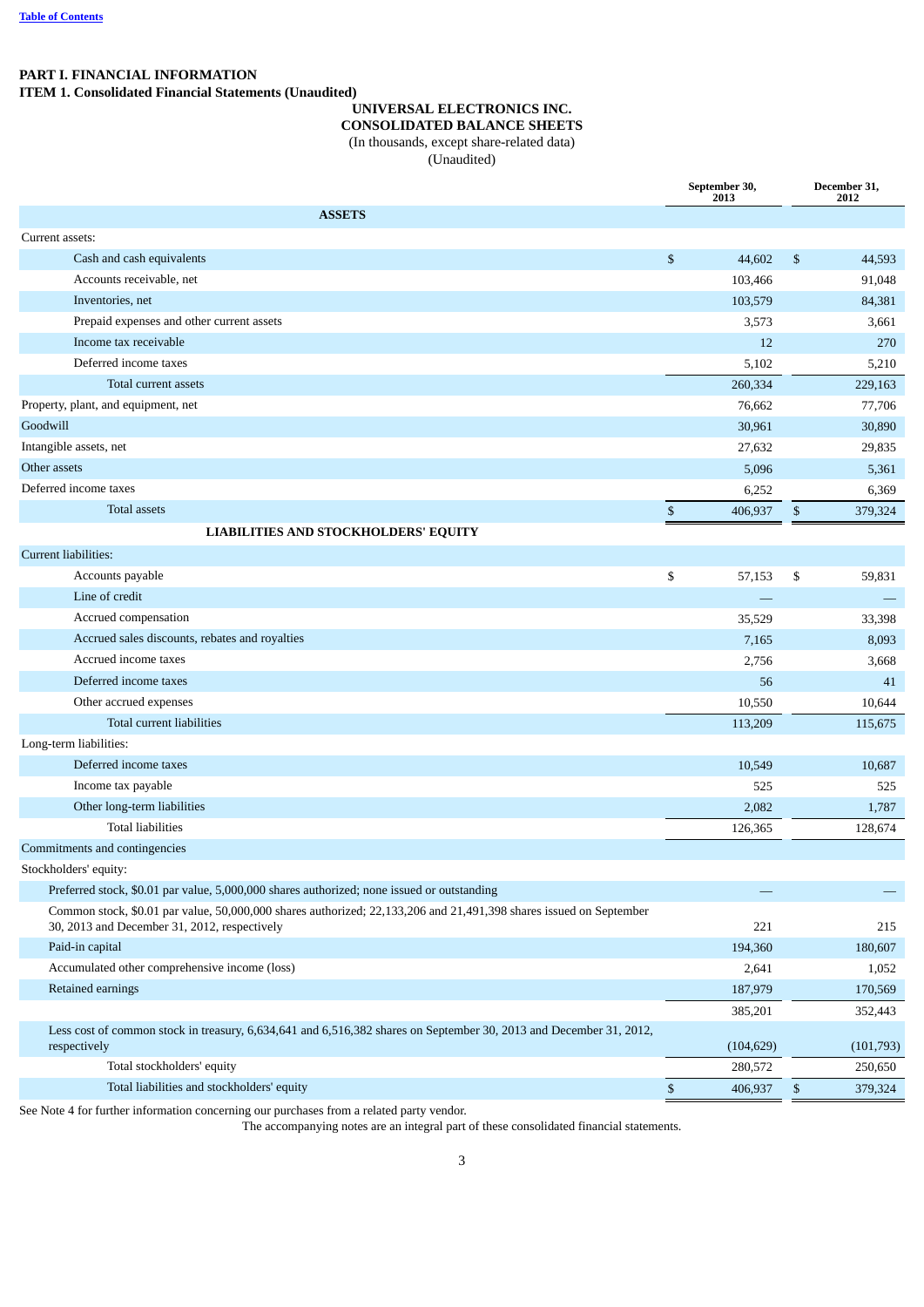# <span id="page-2-1"></span><span id="page-2-0"></span>**PART I. FINANCIAL INFORMATION ITEM 1. Consolidated Financial Statements (Unaudited)**

# **UNIVERSAL ELECTRONICS INC.**

# **CONSOLIDATED BALANCE SHEETS**

(In thousands, except share-related data)

(Unaudited)

|                                                                                                                                                                    |                | September 30,<br>2013 | December 31,<br>2012 |
|--------------------------------------------------------------------------------------------------------------------------------------------------------------------|----------------|-----------------------|----------------------|
| <b>ASSETS</b>                                                                                                                                                      |                |                       |                      |
| Current assets:                                                                                                                                                    |                |                       |                      |
| Cash and cash equivalents                                                                                                                                          | \$             | 44,602                | \$<br>44,593         |
| Accounts receivable, net                                                                                                                                           |                | 103,466               | 91,048               |
| Inventories, net                                                                                                                                                   |                | 103,579               | 84,381               |
| Prepaid expenses and other current assets                                                                                                                          |                | 3,573                 | 3,661                |
| Income tax receivable                                                                                                                                              |                | 12                    | 270                  |
| Deferred income taxes                                                                                                                                              |                | 5,102                 | 5,210                |
| Total current assets                                                                                                                                               |                | 260,334               | 229,163              |
| Property, plant, and equipment, net                                                                                                                                |                | 76,662                | 77,706               |
| Goodwill                                                                                                                                                           |                | 30,961                | 30,890               |
| Intangible assets, net                                                                                                                                             |                | 27,632                | 29,835               |
| Other assets                                                                                                                                                       |                | 5,096                 | 5,361                |
| Deferred income taxes                                                                                                                                              |                | 6,252                 | 6,369                |
| Total assets                                                                                                                                                       | $\mathbb{S}$   | 406,937               | \$<br>379,324        |
| LIABILITIES AND STOCKHOLDERS' EQUITY                                                                                                                               |                |                       |                      |
| <b>Current liabilities:</b>                                                                                                                                        |                |                       |                      |
| Accounts payable                                                                                                                                                   | \$             | 57,153                | \$<br>59,831         |
| Line of credit                                                                                                                                                     |                |                       |                      |
| Accrued compensation                                                                                                                                               |                | 35,529                | 33,398               |
| Accrued sales discounts, rebates and royalties                                                                                                                     |                | 7,165                 | 8,093                |
| Accrued income taxes                                                                                                                                               |                | 2,756                 | 3,668                |
| Deferred income taxes                                                                                                                                              |                | 56                    | 41                   |
| Other accrued expenses                                                                                                                                             |                | 10,550                | 10,644               |
| Total current liabilities                                                                                                                                          |                | 113,209               | 115,675              |
| Long-term liabilities:                                                                                                                                             |                |                       |                      |
| Deferred income taxes                                                                                                                                              |                | 10,549                | 10,687               |
| Income tax payable                                                                                                                                                 |                | 525                   | 525                  |
| Other long-term liabilities                                                                                                                                        |                | 2,082                 | 1,787                |
| <b>Total liabilities</b>                                                                                                                                           |                | 126,365               | 128,674              |
| Commitments and contingencies                                                                                                                                      |                |                       |                      |
| Stockholders' equity:                                                                                                                                              |                |                       |                      |
| Preferred stock, \$0.01 par value, 5,000,000 shares authorized; none issued or outstanding                                                                         |                |                       |                      |
| Common stock, \$0.01 par value, 50,000,000 shares authorized; 22,133,206 and 21,491,398 shares issued on September<br>30, 2013 and December 31, 2012, respectively |                | 221                   | 215                  |
| Paid-in capital                                                                                                                                                    |                | 194,360               | 180,607              |
| Accumulated other comprehensive income (loss)                                                                                                                      |                | 2,641                 | 1,052                |
| Retained earnings                                                                                                                                                  |                | 187,979               | 170,569              |
|                                                                                                                                                                    |                | 385,201               | 352,443              |
| Less cost of common stock in treasury, 6,634,641 and 6,516,382 shares on September 30, 2013 and December 31, 2012,                                                 |                |                       |                      |
| respectively                                                                                                                                                       |                | (104, 629)            | (101, 793)           |
| Total stockholders' equity                                                                                                                                         |                | 280,572               | 250,650              |
| Total liabilities and stockholders' equity                                                                                                                         | $$\mathbb{S}$$ | 406,937               | \$<br>379,324        |

<span id="page-2-2"></span>See Note 4 for further information concerning our purchases from a related party vendor.

The accompanying notes are an integral part of these consolidated financial statements.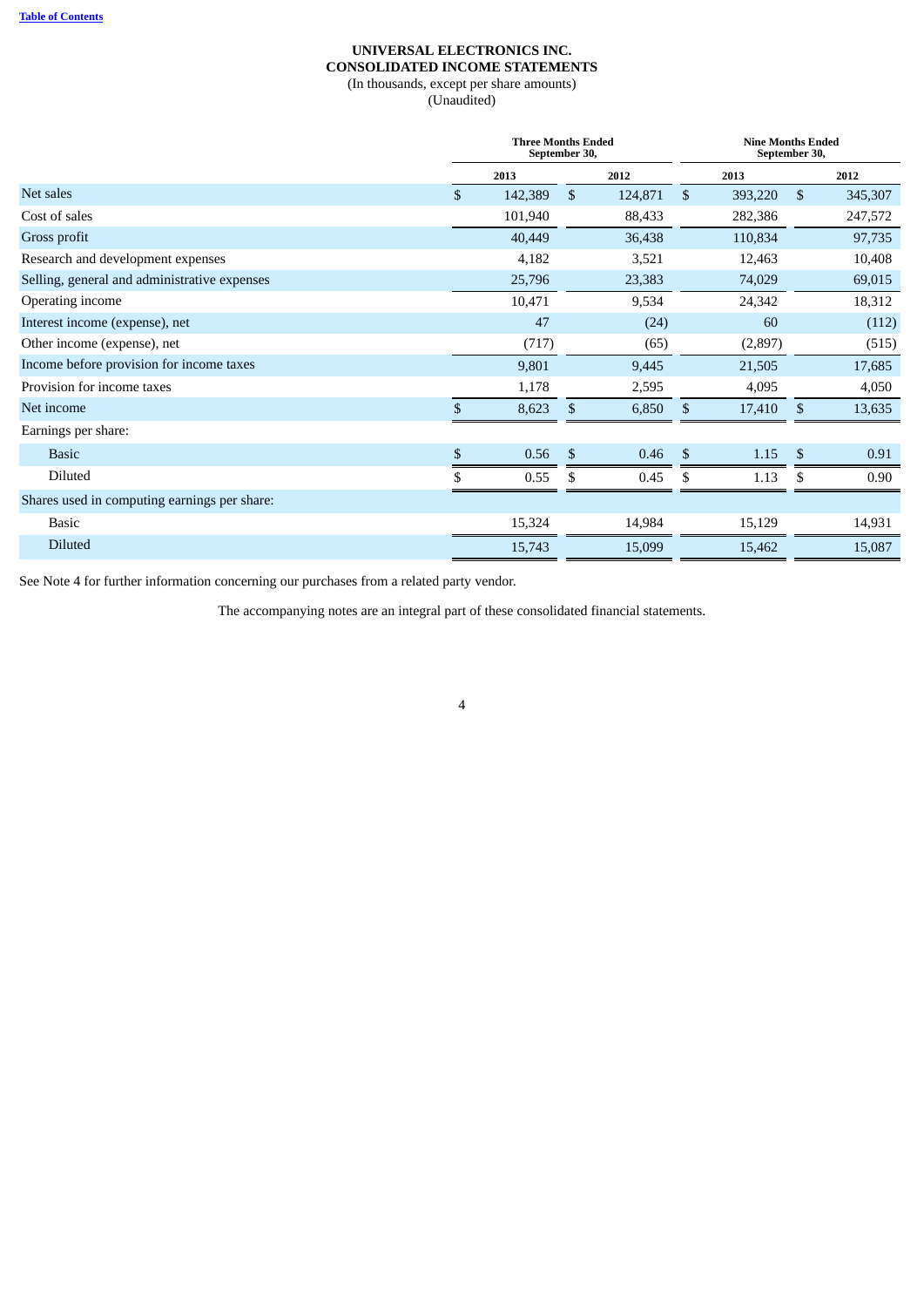# **UNIVERSAL ELECTRONICS INC. CONSOLIDATED INCOME STATEMENTS**

(In thousands, except per share amounts) (Unaudited)

|                                              |               | <b>Three Months Ended</b><br>September 30, |                |         |               | <b>Nine Months Ended</b><br>September 30, |                |         |
|----------------------------------------------|---------------|--------------------------------------------|----------------|---------|---------------|-------------------------------------------|----------------|---------|
|                                              |               | 2013                                       |                | 2012    |               | 2013                                      |                | 2012    |
| Net sales                                    | \$            | 142,389                                    | $\mathfrak{S}$ | 124,871 | <sup>\$</sup> | 393,220                                   | $\mathfrak{S}$ | 345,307 |
| Cost of sales                                |               | 101,940                                    |                | 88,433  |               | 282,386                                   |                | 247,572 |
| Gross profit                                 |               | 40,449                                     |                | 36,438  |               | 110,834                                   |                | 97,735  |
| Research and development expenses            |               | 4,182                                      |                | 3,521   |               | 12,463                                    |                | 10,408  |
| Selling, general and administrative expenses |               | 25,796                                     |                | 23,383  |               | 74,029                                    |                | 69,015  |
| Operating income                             |               | 10,471                                     |                | 9,534   |               | 24,342                                    |                | 18,312  |
| Interest income (expense), net               |               | 47                                         |                | (24)    |               | 60                                        |                | (112)   |
| Other income (expense), net                  |               | (717)                                      |                | (65)    |               | (2,897)                                   |                | (515)   |
| Income before provision for income taxes     |               | 9,801                                      |                | 9,445   |               | 21,505                                    |                | 17,685  |
| Provision for income taxes                   |               | 1,178                                      |                | 2,595   |               | 4,095                                     |                | 4,050   |
| Net income                                   | $\mathcal{S}$ | 8,623                                      | \$.            | 6,850   | <sup>\$</sup> | 17,410                                    | <sup>\$</sup>  | 13,635  |
| Earnings per share:                          |               |                                            |                |         |               |                                           |                |         |
| <b>Basic</b>                                 | \$            | 0.56                                       | \$             | 0.46    | \$            | 1.15                                      | \$             | 0.91    |
| Diluted                                      | \$            | 0.55                                       | £.             | 0.45    |               | 1.13                                      | S.             | 0.90    |
| Shares used in computing earnings per share: |               |                                            |                |         |               |                                           |                |         |
| <b>Basic</b>                                 |               | 15,324                                     |                | 14,984  |               | 15,129                                    |                | 14,931  |
| <b>Diluted</b>                               |               | 15,743                                     |                | 15,099  |               | 15,462                                    |                | 15,087  |

<span id="page-3-0"></span>See Note 4 for further information concerning our purchases from a related party vendor.

The accompanying notes are an integral part of these consolidated financial statements.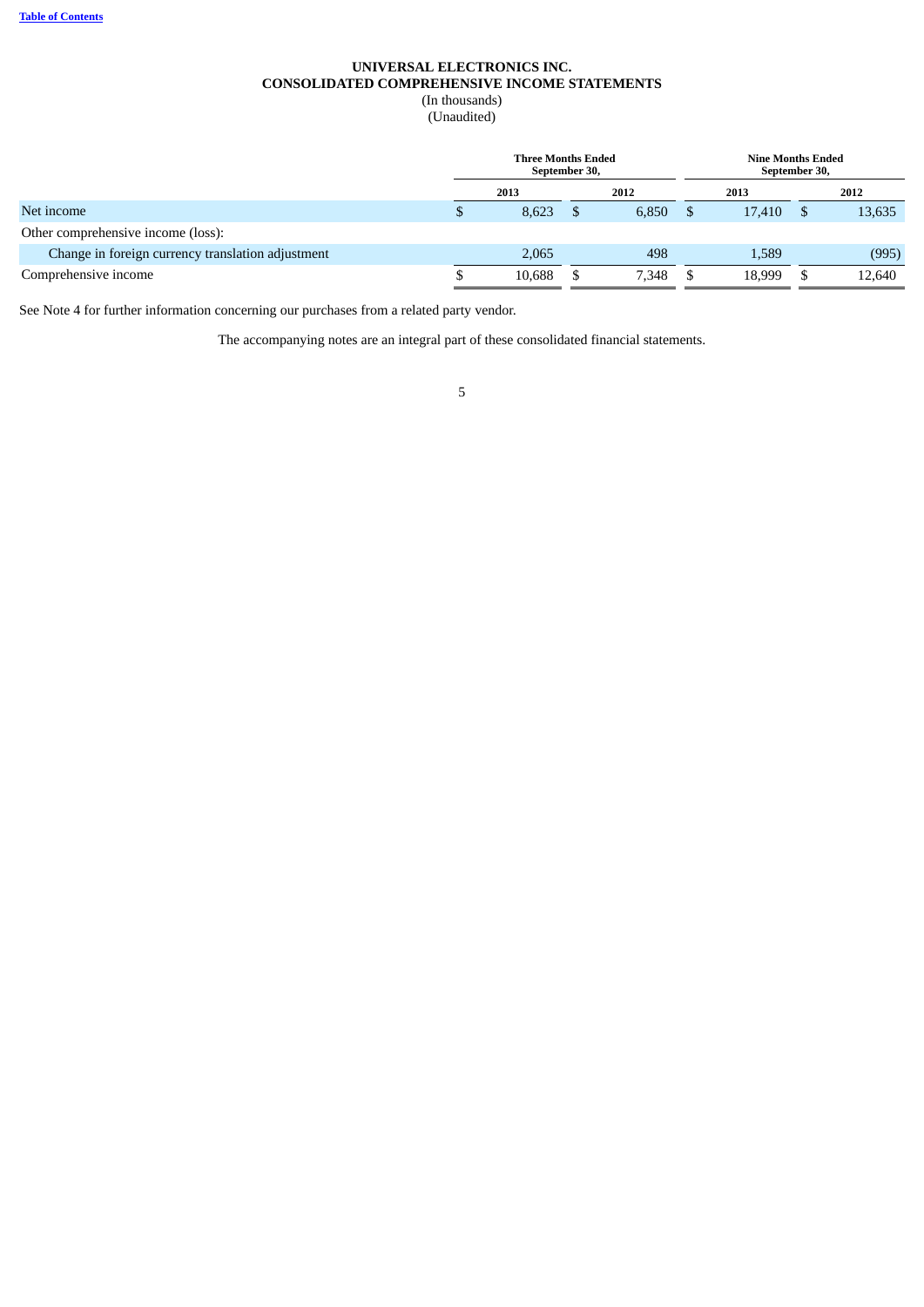# **UNIVERSAL ELECTRONICS INC. CONSOLIDATED COMPREHENSIVE INCOME STATEMENTS** (In thousands)

(Unaudited)

|                                                   | <b>Three Months Ended</b><br>September 30, |        |  | <b>Nine Months Ended</b><br>September 30, |  |        |  |        |
|---------------------------------------------------|--------------------------------------------|--------|--|-------------------------------------------|--|--------|--|--------|
|                                                   |                                            | 2013   |  | 2012                                      |  | 2013   |  | 2012   |
| Net income                                        |                                            | 8,623  |  | 6,850                                     |  | 17,410 |  | 13,635 |
| Other comprehensive income (loss):                |                                            |        |  |                                           |  |        |  |        |
| Change in foreign currency translation adjustment |                                            | 2,065  |  | 498                                       |  | 1,589  |  | (995)  |
| Comprehensive income                              |                                            | 10,688 |  | 7,348                                     |  | 18.999 |  | 12,640 |

<span id="page-4-0"></span>See Note 4 for further information concerning our purchases from a related party vendor.

The accompanying notes are an integral part of these consolidated financial statements.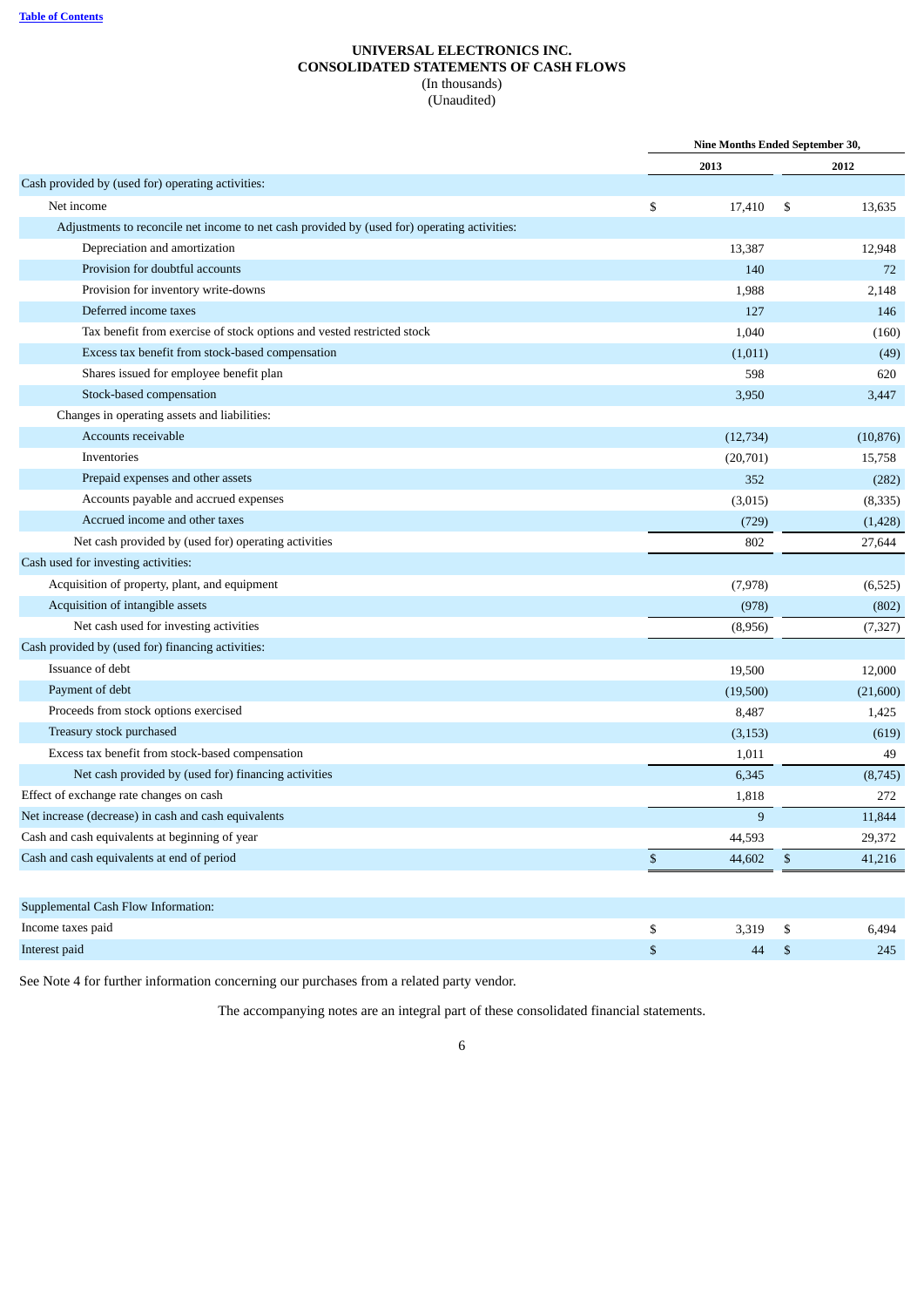# **UNIVERSAL ELECTRONICS INC. CONSOLIDATED STATEMENTS OF CASH FLOWS** (In thousands) (Unaudited)

|                                                                                              | Nine Months Ended September 30, |           |             |           |
|----------------------------------------------------------------------------------------------|---------------------------------|-----------|-------------|-----------|
|                                                                                              |                                 | 2013      |             | 2012      |
| Cash provided by (used for) operating activities:                                            |                                 |           |             |           |
| Net income                                                                                   | \$                              | 17,410    | \$          | 13,635    |
| Adjustments to reconcile net income to net cash provided by (used for) operating activities: |                                 |           |             |           |
| Depreciation and amortization                                                                |                                 | 13,387    |             | 12,948    |
| Provision for doubtful accounts                                                              |                                 | 140       |             | 72        |
| Provision for inventory write-downs                                                          |                                 | 1,988     |             | 2,148     |
| Deferred income taxes                                                                        |                                 | 127       |             | 146       |
| Tax benefit from exercise of stock options and vested restricted stock                       |                                 | 1,040     |             | (160)     |
| Excess tax benefit from stock-based compensation                                             |                                 | (1,011)   |             | (49)      |
| Shares issued for employee benefit plan                                                      |                                 | 598       |             | 620       |
| Stock-based compensation                                                                     |                                 | 3,950     |             | 3,447     |
| Changes in operating assets and liabilities:                                                 |                                 |           |             |           |
| Accounts receivable                                                                          |                                 | (12, 734) |             | (10, 876) |
| Inventories                                                                                  |                                 | (20, 701) |             | 15,758    |
| Prepaid expenses and other assets                                                            |                                 | 352       |             | (282)     |
| Accounts payable and accrued expenses                                                        |                                 | (3,015)   |             | (8, 335)  |
| Accrued income and other taxes                                                               |                                 | (729)     |             | (1,428)   |
| Net cash provided by (used for) operating activities                                         |                                 | 802       |             | 27,644    |
| Cash used for investing activities:                                                          |                                 |           |             |           |
| Acquisition of property, plant, and equipment                                                |                                 | (7,978)   |             | (6, 525)  |
| Acquisition of intangible assets                                                             |                                 | (978)     |             | (802)     |
| Net cash used for investing activities                                                       |                                 | (8,956)   |             | (7, 327)  |
| Cash provided by (used for) financing activities:                                            |                                 |           |             |           |
| Issuance of debt                                                                             |                                 | 19,500    |             | 12,000    |
| Payment of debt                                                                              |                                 | (19,500)  |             | (21,600)  |
| Proceeds from stock options exercised                                                        |                                 | 8,487     |             | 1,425     |
| Treasury stock purchased                                                                     |                                 | (3, 153)  |             | (619)     |
| Excess tax benefit from stock-based compensation                                             |                                 | 1,011     |             | 49        |
| Net cash provided by (used for) financing activities                                         |                                 | 6,345     |             | (8,745)   |
| Effect of exchange rate changes on cash                                                      |                                 | 1,818     |             | 272       |
| Net increase (decrease) in cash and cash equivalents                                         |                                 | 9         |             | 11,844    |
| Cash and cash equivalents at beginning of year                                               |                                 | 44,593    |             | 29,372    |
| Cash and cash equivalents at end of period                                                   | $\mathbb{S}$                    | 44,602    | \$          | 41,216    |
|                                                                                              |                                 |           |             |           |
| Supplemental Cash Flow Information:                                                          |                                 |           |             |           |
| Income taxes paid                                                                            | \$                              | 3,319     | \$          | 6,494     |
| Interest paid                                                                                | $\mathbb{S}$                    | $44\,$    | $\mathbb S$ | 245       |

<span id="page-5-0"></span>See Note 4 for further information concerning our purchases from a related party vendor.

The accompanying notes are an integral part of these consolidated financial statements.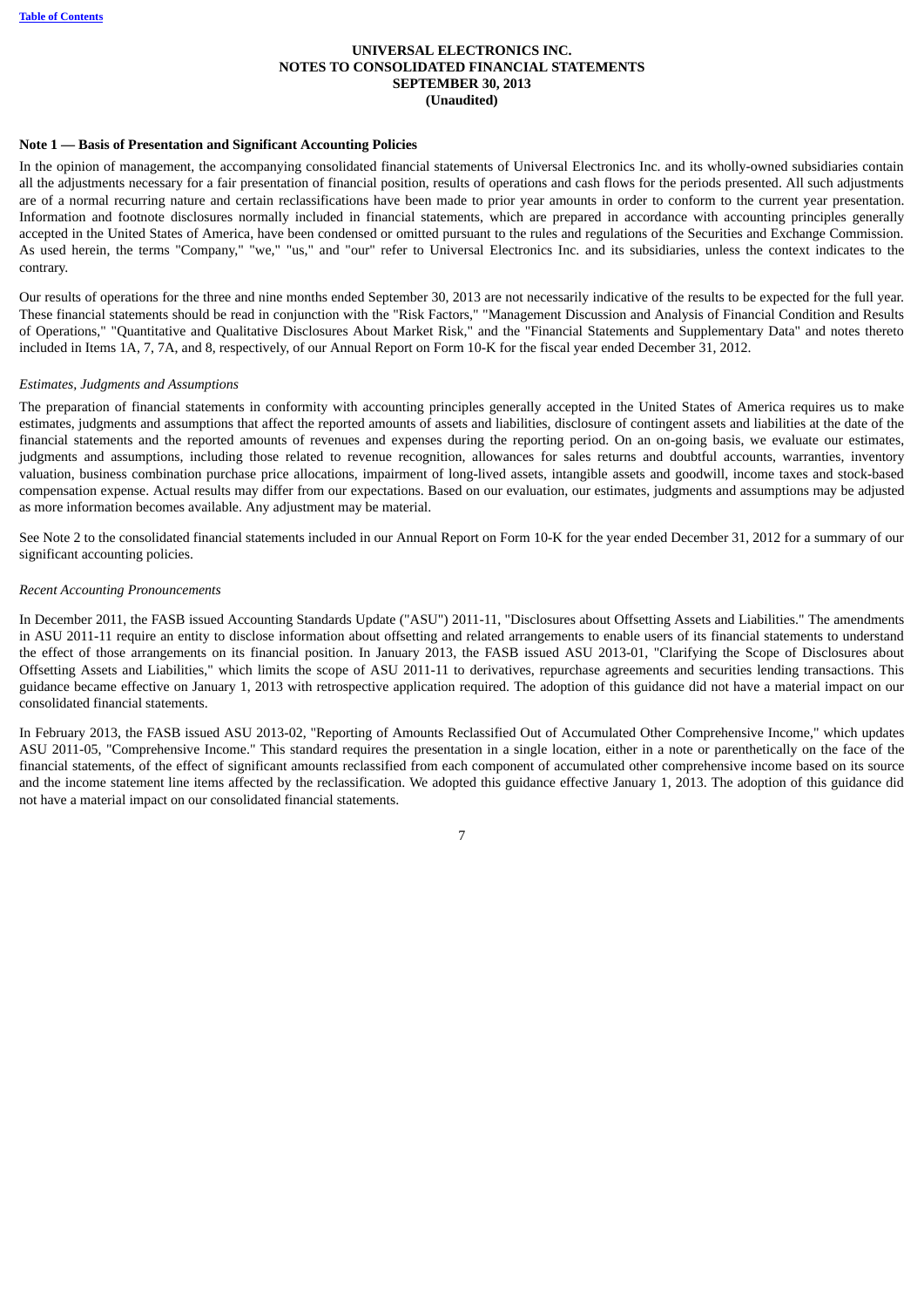#### **Note 1 — Basis of Presentation and Significant Accounting Policies**

In the opinion of management, the accompanying consolidated financial statements of Universal Electronics Inc. and its wholly-owned subsidiaries contain all the adjustments necessary for a fair presentation of financial position, results of operations and cash flows for the periods presented. All such adjustments are of a normal recurring nature and certain reclassifications have been made to prior year amounts in order to conform to the current year presentation. Information and footnote disclosures normally included in financial statements, which are prepared in accordance with accounting principles generally accepted in the United States of America, have been condensed or omitted pursuant to the rules and regulations of the Securities and Exchange Commission. As used herein, the terms "Company," "we," "us," and "our" refer to Universal Electronics Inc. and its subsidiaries, unless the context indicates to the contrary.

Our results of operations for the three and nine months ended September 30, 2013 are not necessarily indicative of the results to be expected for the full year. These financial statements should be read in conjunction with the "Risk Factors," "Management Discussion and Analysis of Financial Condition and Results of Operations," "Quantitative and Qualitative Disclosures About Market Risk," and the "Financial Statements and Supplementary Data" and notes thereto included in Items 1A, 7, 7A, and 8, respectively, of our Annual Report on Form 10-K for the fiscal year ended December 31, 2012.

#### *Estimates, Judgments and Assumptions*

The preparation of financial statements in conformity with accounting principles generally accepted in the United States of America requires us to make estimates, judgments and assumptions that affect the reported amounts of assets and liabilities, disclosure of contingent assets and liabilities at the date of the financial statements and the reported amounts of revenues and expenses during the reporting period. On an on-going basis, we evaluate our estimates, judgments and assumptions, including those related to revenue recognition, allowances for sales returns and doubtful accounts, warranties, inventory valuation, business combination purchase price allocations, impairment of long-lived assets, intangible assets and goodwill, income taxes and stock-based compensation expense. Actual results may differ from our expectations. Based on our evaluation, our estimates, judgments and assumptions may be adjusted as more information becomes available. Any adjustment may be material.

See Note 2 to the consolidated financial statements included in our Annual Report on Form 10-K for the year ended December 31, 2012 for a summary of our significant accounting policies.

#### *Recent Accounting Pronouncements*

In December 2011, the FASB issued Accounting Standards Update ("ASU") 2011-11, "Disclosures about Offsetting Assets and Liabilities." The amendments in ASU 2011-11 require an entity to disclose information about offsetting and related arrangements to enable users of its financial statements to understand the effect of those arrangements on its financial position. In January 2013, the FASB issued ASU 2013-01, "Clarifying the Scope of Disclosures about Offsetting Assets and Liabilities," which limits the scope of ASU 2011-11 to derivatives, repurchase agreements and securities lending transactions. This guidance became effective on January 1, 2013 with retrospective application required. The adoption of this guidance did not have a material impact on our consolidated financial statements.

In February 2013, the FASB issued ASU 2013-02, "Reporting of Amounts Reclassified Out of Accumulated Other Comprehensive Income," which updates ASU 2011-05, "Comprehensive Income." This standard requires the presentation in a single location, either in a note or parenthetically on the face of the financial statements, of the effect of significant amounts reclassified from each component of accumulated other comprehensive income based on its source and the income statement line items affected by the reclassification. We adopted this guidance effective January 1, 2013. The adoption of this guidance did not have a material impact on our consolidated financial statements.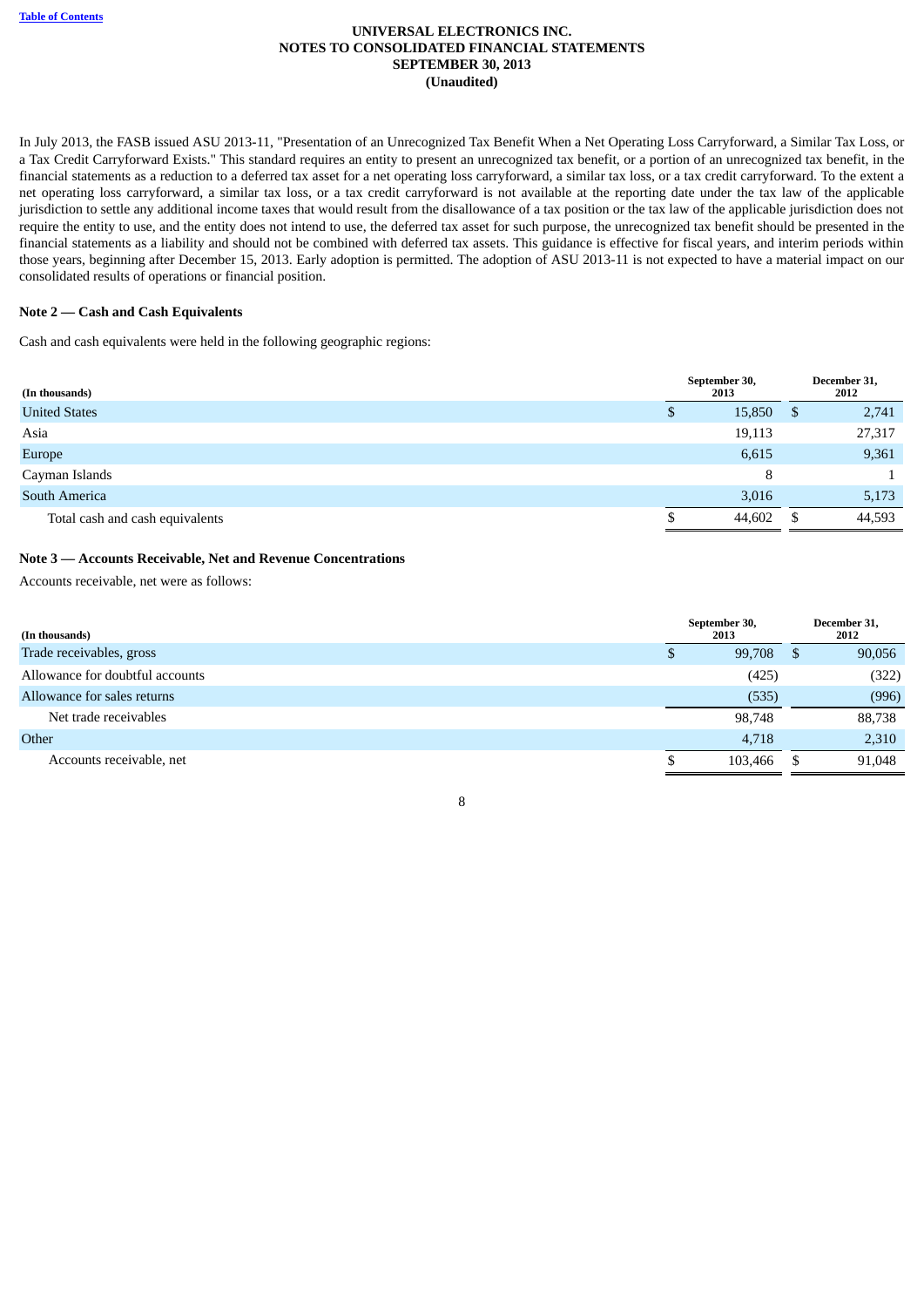In July 2013, the FASB issued ASU 2013-11, "Presentation of an Unrecognized Tax Benefit When a Net Operating Loss Carryforward, a Similar Tax Loss, or a Tax Credit Carryforward Exists." This standard requires an entity to present an unrecognized tax benefit, or a portion of an unrecognized tax benefit, in the financial statements as a reduction to a deferred tax asset for a net operating loss carryforward, a similar tax loss, or a tax credit carryforward. To the extent a net operating loss carryforward, a similar tax loss, or a tax credit carryforward is not available at the reporting date under the tax law of the applicable jurisdiction to settle any additional income taxes that would result from the disallowance of a tax position or the tax law of the applicable jurisdiction does not require the entity to use, and the entity does not intend to use, the deferred tax asset for such purpose, the unrecognized tax benefit should be presented in the financial statements as a liability and should not be combined with deferred tax assets. This guidance is effective for fiscal years, and interim periods within those years, beginning after December 15, 2013. Early adoption is permitted. The adoption of ASU 2013-11 is not expected to have a material impact on our consolidated results of operations or financial position.

# **Note 2 — Cash and Cash Equivalents**

Cash and cash equivalents were held in the following geographic regions:

| (In thousands)                  | September 30,<br>2013 |      | December 31,<br>2012 |
|---------------------------------|-----------------------|------|----------------------|
| <b>United States</b>            | 15,850                | - \$ | 2,741                |
| Asia                            | 19,113                |      | 27,317               |
| Europe                          | 6,615                 |      | 9,361                |
| Cayman Islands                  | 8                     |      |                      |
| South America                   | 3,016                 |      | 5,173                |
| Total cash and cash equivalents | 44,602                |      | 44,593               |

# **Note 3 — Accounts Receivable, Net and Revenue Concentrations**

Accounts receivable, net were as follows:

| (In thousands)                  | September 30,<br>2013 |         |      | December 31,<br>2012 |
|---------------------------------|-----------------------|---------|------|----------------------|
| Trade receivables, gross        |                       | 99,708  | - \$ | 90,056               |
| Allowance for doubtful accounts |                       | (425)   |      | (322)                |
| Allowance for sales returns     |                       | (535)   |      | (996)                |
| Net trade receivables           |                       | 98,748  |      | 88,738               |
| Other                           |                       | 4.718   |      | 2,310                |
| Accounts receivable, net        |                       | 103.466 | -S   | 91,048               |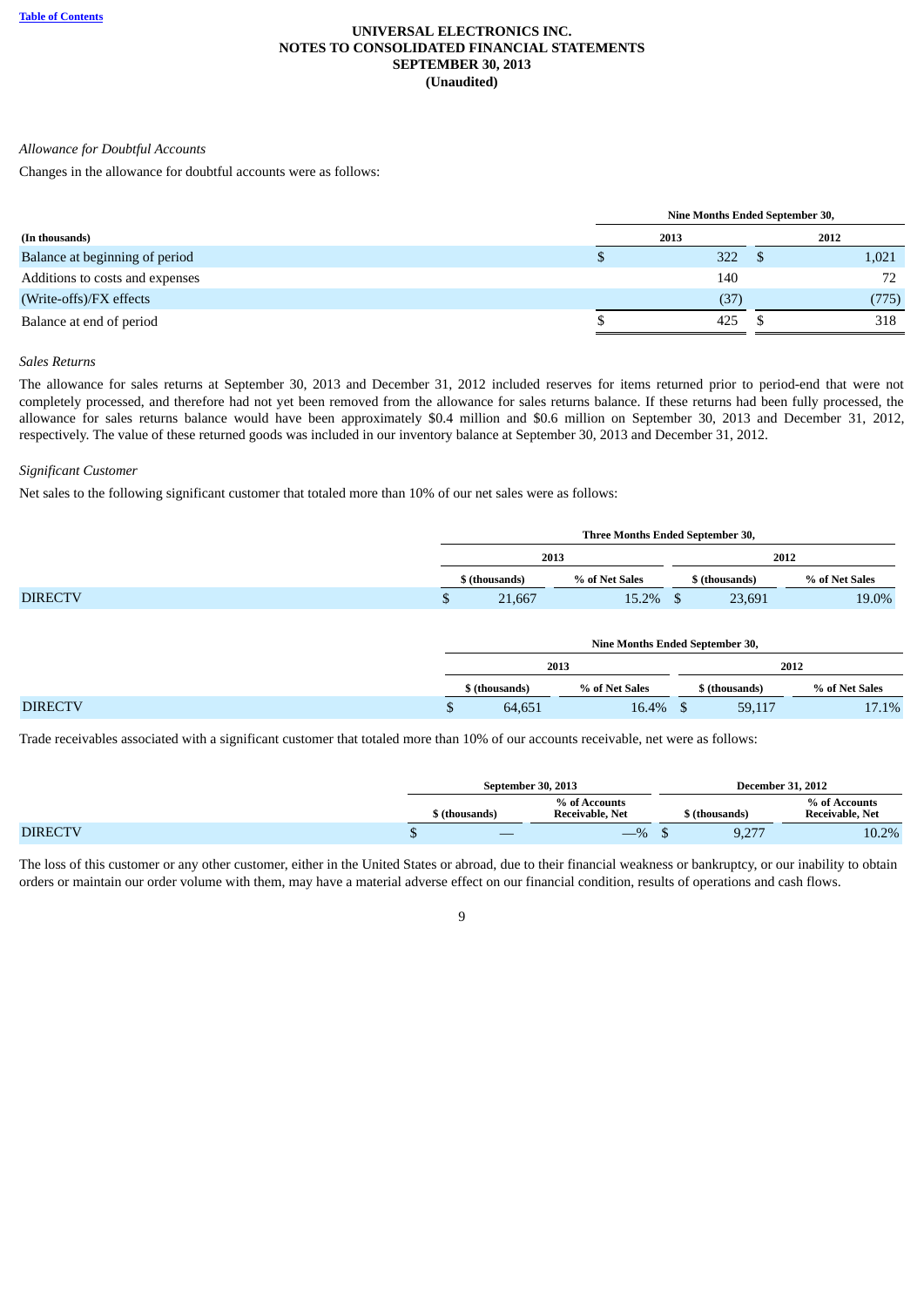# *Allowance for Doubtful Accounts*

Changes in the allowance for doubtful accounts were as follows:

|                                 | Nine Months Ended September 30, |      |  |       |  |  |  |
|---------------------------------|---------------------------------|------|--|-------|--|--|--|
| (In thousands)                  | 2013                            |      |  | 2012  |  |  |  |
| Balance at beginning of period  |                                 | 322  |  | 1,021 |  |  |  |
| Additions to costs and expenses |                                 | 140  |  | 72    |  |  |  |
| (Write-offs)/FX effects         |                                 | (37) |  | (775) |  |  |  |
| Balance at end of period        |                                 | 425  |  | 318   |  |  |  |

#### *Sales Returns*

The allowance for sales returns at September 30, 2013 and December 31, 2012 included reserves for items returned prior to period-end that were not completely processed, and therefore had not yet been removed from the allowance for sales returns balance. If these returns had been fully processed, the allowance for sales returns balance would have been approximately \$0.4 million and \$0.6 million on September 30, 2013 and December 31, 2012, respectively. The value of these returned goods was included in our inventory balance at September 30, 2013 and December 31, 2012.

#### *Significant Customer*

Net sales to the following significant customer that totaled more than 10% of our net sales were as follows:

|                |    | Three Months Ended September 30, |                                 |                |                |                |  |  |
|----------------|----|----------------------------------|---------------------------------|----------------|----------------|----------------|--|--|
|                |    | 2013                             |                                 |                | 2012           |                |  |  |
|                |    | % of Net Sales<br>\$ (thousands) |                                 | \$ (thousands) |                | % of Net Sales |  |  |
| <b>DIRECTV</b> | Φ  | 21,667                           | 15.2%                           | $\sqrt{s}$     | 23,691         | 19.0%          |  |  |
|                |    |                                  | Nine Months Ended September 30, |                |                |                |  |  |
|                |    | 2013<br>2012                     |                                 |                |                |                |  |  |
|                |    | \$ (thousands)                   | % of Net Sales                  |                | \$ (thousands) | % of Net Sales |  |  |
| <b>DIRECTV</b> | \$ | 64,651                           | 16.4%                           | \$             | 59,117         | 17.1%          |  |  |

Trade receivables associated with a significant customer that totaled more than 10% of our accounts receivable, net were as follows:

|                |                      | <b>September 30, 2013</b>               |               | <b>December 31, 2012</b>                |  |
|----------------|----------------------|-----------------------------------------|---------------|-----------------------------------------|--|
|                | <i>i</i> (thousands) | % of Accounts<br><b>Receivable, Net</b> | ` (thousands) | % of Accounts<br><b>Receivable, Net</b> |  |
| <b>DIRECTV</b> |                      | $-$ %                                   | 0.27<br>J, L  | 10.2%                                   |  |

The loss of this customer or any other customer, either in the United States or abroad, due to their financial weakness or bankruptcy, or our inability to obtain orders or maintain our order volume with them, may have a material adverse effect on our financial condition, results of operations and cash flows.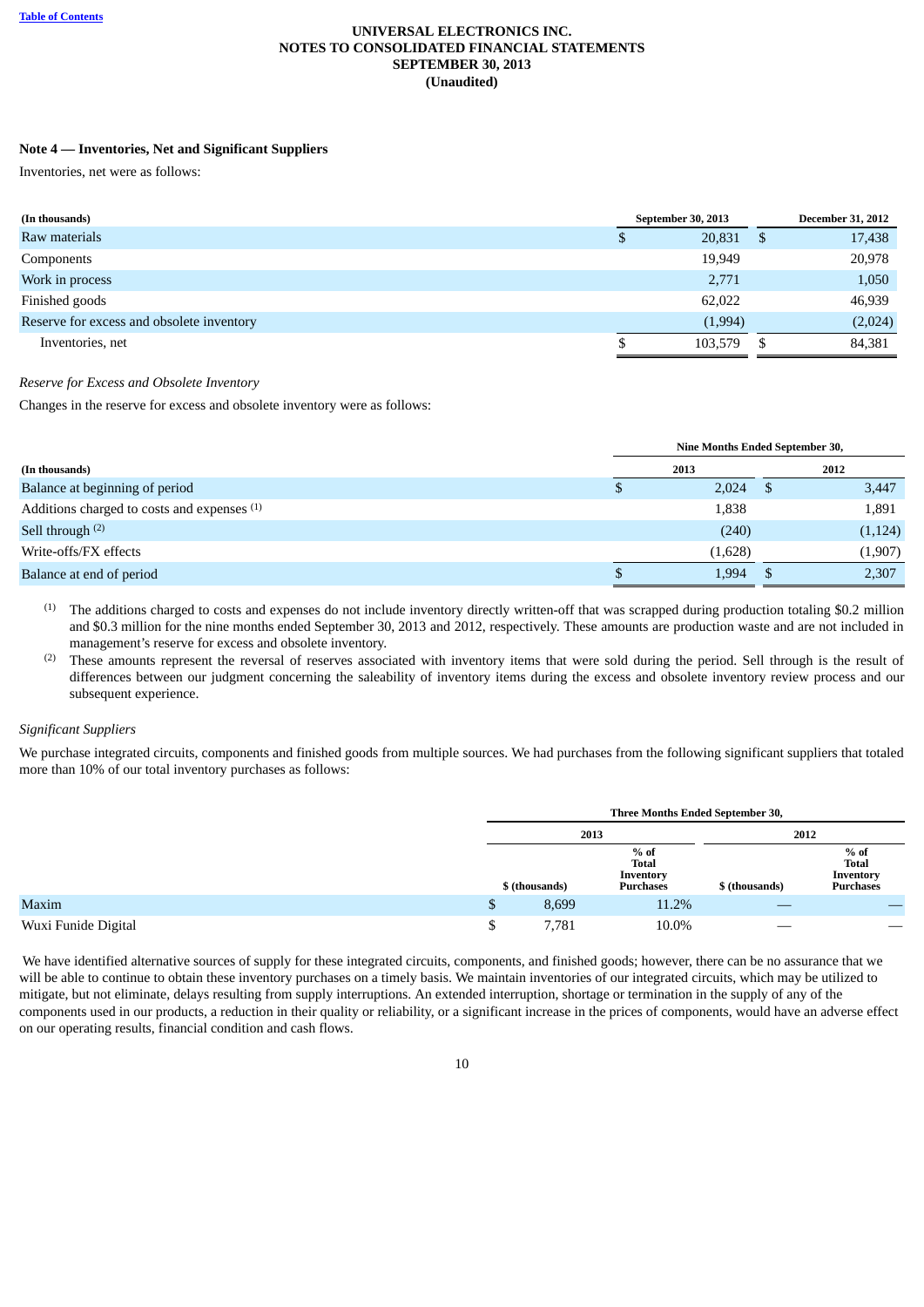# **Note 4 — Inventories, Net and Significant Suppliers**

Inventories, net were as follows:

| (In thousands)                            |   | September 30, 2013 |    | <b>December 31, 2012</b> |
|-------------------------------------------|---|--------------------|----|--------------------------|
| Raw materials                             | ъ | 20,831             | \$ | 17,438                   |
| Components                                |   | 19,949             |    | 20,978                   |
| Work in process                           |   | 2,771              |    | 1,050                    |
| Finished goods                            |   | 62,022             |    | 46,939                   |
| Reserve for excess and obsolete inventory |   | (1,994)            |    | (2,024)                  |
| Inventories, net                          |   | 103,579            | S. | 84,381                   |

# *Reserve for Excess and Obsolete Inventory*

Changes in the reserve for excess and obsolete inventory were as follows:

|                                             | Nine Months Ended September 30, |         |  |          |  |  |  |  |
|---------------------------------------------|---------------------------------|---------|--|----------|--|--|--|--|
| (In thousands)                              |                                 | 2013    |  | 2012     |  |  |  |  |
| Balance at beginning of period              | Φ                               | 2,024   |  | 3,447    |  |  |  |  |
| Additions charged to costs and expenses (1) |                                 | 1,838   |  | 1,891    |  |  |  |  |
| Sell through $(2)$                          |                                 | (240)   |  | (1, 124) |  |  |  |  |
| Write-offs/FX effects                       |                                 | (1,628) |  | (1,907)  |  |  |  |  |
| Balance at end of period                    |                                 | 1.994   |  | 2,307    |  |  |  |  |

 $<sup>(1)</sup>$  The additions charged to costs and expenses do not include inventory directly written-off that was scrapped during production totaling \$0.2 million</sup> and \$0.3 million for the nine months ended September 30, 2013 and 2012, respectively. These amounts are production waste and are not included in management's reserve for excess and obsolete inventory.

(2) These amounts represent the reversal of reserves associated with inventory items that were sold during the period. Sell through is the result of differences between our judgment concerning the saleability of inventory items during the excess and obsolete inventory review process and our subsequent experience.

# *Significant Suppliers*

We purchase integrated circuits, components and finished goods from multiple sources. We had purchases from the following significant suppliers that totaled more than 10% of our total inventory purchases as follows:

|                     |                | Three Months Ended September 30,                        |                |                                                         |
|---------------------|----------------|---------------------------------------------------------|----------------|---------------------------------------------------------|
|                     | 2013           |                                                         | 2012           |                                                         |
|                     | \$ (thousands) | $%$ of<br><b>Total</b><br>Inventory<br><b>Purchases</b> | \$ (thousands) | $%$ of<br><b>Total</b><br>Inventory<br><b>Purchases</b> |
| Maxim               | \$<br>8,699    | 11.2%                                                   | __             |                                                         |
| Wuxi Funide Digital | 7,781          | 10.0%                                                   | __             | $\overline{\phantom{a}}$                                |

We have identified alternative sources of supply for these integrated circuits, components, and finished goods; however, there can be no assurance that we will be able to continue to obtain these inventory purchases on a timely basis. We maintain inventories of our integrated circuits, which may be utilized to mitigate, but not eliminate, delays resulting from supply interruptions. An extended interruption, shortage or termination in the supply of any of the components used in our products, a reduction in their quality or reliability, or a significant increase in the prices of components, would have an adverse effect on our operating results, financial condition and cash flows.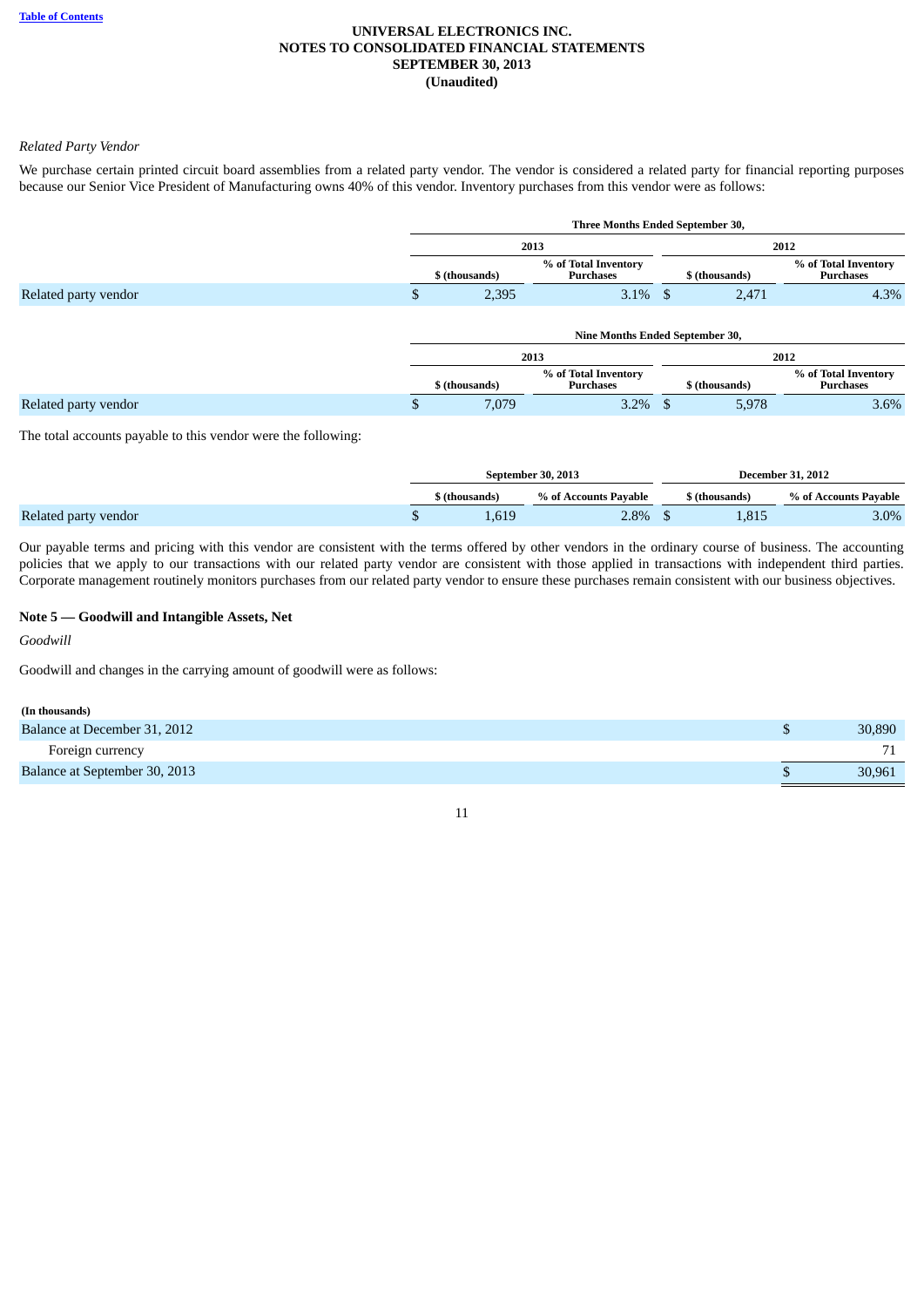#### *Related Party Vendor*

We purchase certain printed circuit board assemblies from a related party vendor. The vendor is considered a related party for financial reporting purposes because our Senior Vice President of Manufacturing owns 40% of this vendor. Inventory purchases from this vendor were as follows:

|                      | Three Months Ended September 30, |                |                                          |      |                |                                          |  |  |  |  |
|----------------------|----------------------------------|----------------|------------------------------------------|------|----------------|------------------------------------------|--|--|--|--|
|                      |                                  |                | 2013                                     | 2012 |                |                                          |  |  |  |  |
|                      |                                  | \$ (thousands) | % of Total Inventory<br><b>Purchases</b> |      | \$ (thousands) | % of Total Inventory<br><b>Purchases</b> |  |  |  |  |
| Related party vendor | Φ                                | 2,395          | $3.1\%$ \$                               |      | 2,471          | 4.3%                                     |  |  |  |  |
|                      |                                  |                | Nine Months Ended September 30,          |      |                |                                          |  |  |  |  |
|                      |                                  |                | 2013                                     |      |                | 2012                                     |  |  |  |  |
|                      |                                  | \$ (thousands) | % of Total Inventory<br><b>Purchases</b> |      | \$ (thousands) | % of Total Inventory<br><b>Purchases</b> |  |  |  |  |
| Related party vendor | \$                               | 7,079          | $3.2\%$ \$                               |      | 5,978          | 3.6%                                     |  |  |  |  |

The total accounts payable to this vendor were the following:

|                      |               | September 30, 2013    |                | <b>December 31, 2012</b> |
|----------------------|---------------|-----------------------|----------------|--------------------------|
|                      | ` (thousands) | % of Accounts Pavable | \$ (thousands) | % of Accounts Pavable    |
| Related party vendor | 1,619         | 2.8%                  | .,815          | $3.0\%$                  |

Our payable terms and pricing with this vendor are consistent with the terms offered by other vendors in the ordinary course of business. The accounting policies that we apply to our transactions with our related party vendor are consistent with those applied in transactions with independent third parties. Corporate management routinely monitors purchases from our related party vendor to ensure these purchases remain consistent with our business objectives.

### **Note 5 — Goodwill and Intangible Assets, Net**

*Goodwill*

Goodwill and changes in the carrying amount of goodwill were as follows:

| (In thousands)                |        |
|-------------------------------|--------|
| Balance at December 31, 2012  | 30,890 |
| Foreign currency              |        |
| Balance at September 30, 2013 | 30,961 |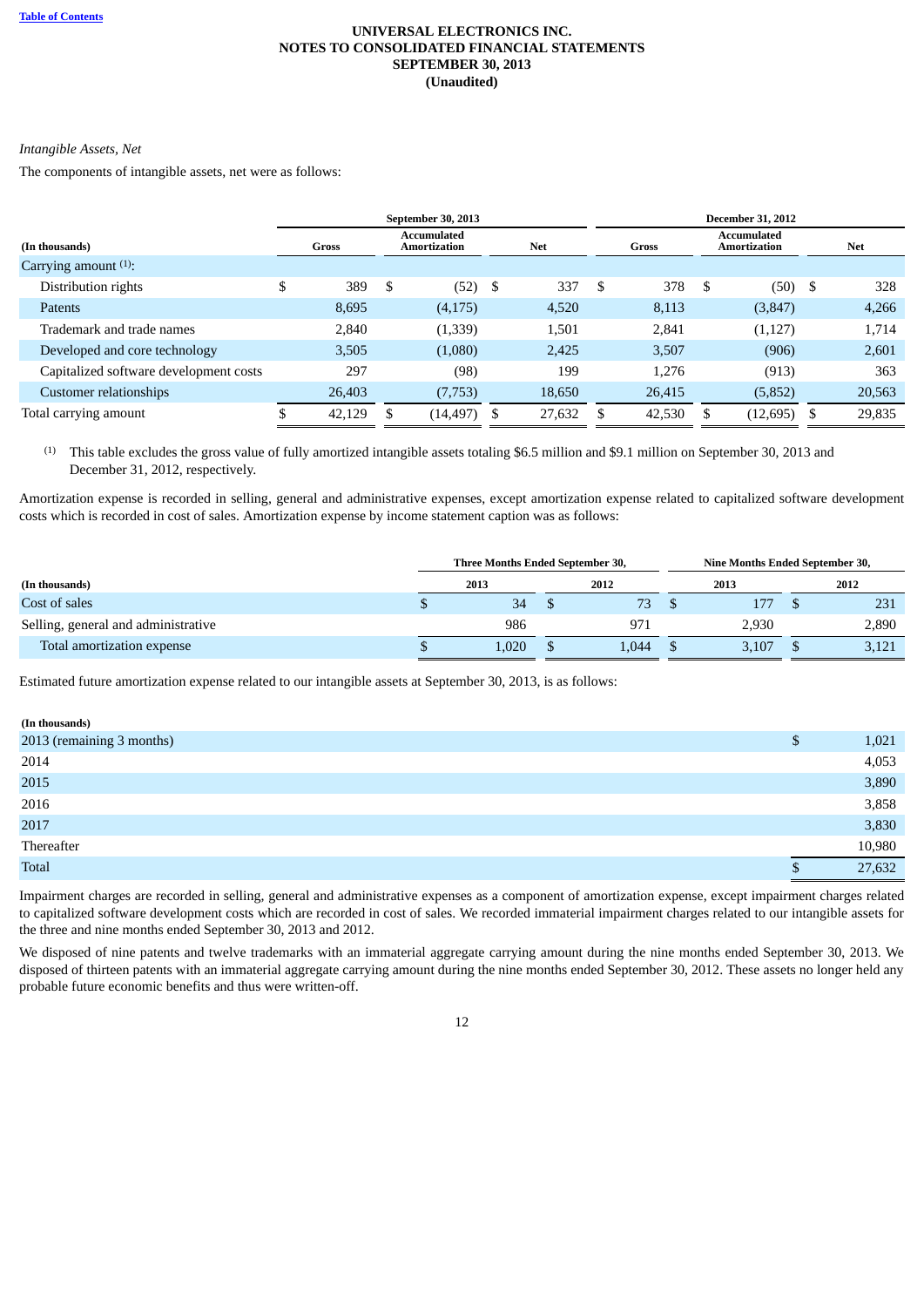### *Intangible Assets, Net*

The components of intangible assets, net were as follows:

|                                        | <b>September 30, 2013</b> |              |    |                                                  |     |              | <b>December 31, 2012</b> |        |    |                                           |      |        |  |  |
|----------------------------------------|---------------------------|--------------|----|--------------------------------------------------|-----|--------------|--------------------------|--------|----|-------------------------------------------|------|--------|--|--|
| (In thousands)                         |                           | <b>Gross</b> |    | Accumulated<br><b>Net</b><br><b>Amortization</b> |     | <b>Gross</b> |                          |        |    | <b>Accumulated</b><br><b>Amortization</b> |      |        |  |  |
| Carrying amount $(1)$ :                |                           |              |    |                                                  |     |              |                          |        |    |                                           |      |        |  |  |
| Distribution rights                    | \$                        | 389          | \$ | (52)                                             | -\$ | 337          | \$                       | 378    | S. | (50)                                      | - \$ | 328    |  |  |
| <b>Patents</b>                         |                           | 8,695        |    | (4, 175)                                         |     | 4,520        |                          | 8,113  |    | (3, 847)                                  |      | 4,266  |  |  |
| Trademark and trade names              |                           | 2.840        |    | (1, 339)                                         |     | 1,501        |                          | 2.841  |    | (1, 127)                                  |      | 1,714  |  |  |
| Developed and core technology          |                           | 3,505        |    | (1,080)                                          |     | 2,425        |                          | 3,507  |    | (906)                                     |      | 2,601  |  |  |
| Capitalized software development costs |                           | 297          |    | (98)                                             |     | 199          |                          | 1,276  |    | (913)                                     |      | 363    |  |  |
| Customer relationships                 |                           | 26,403       |    | (7, 753)                                         |     | 18,650       |                          | 26,415 |    | (5,852)                                   |      | 20,563 |  |  |
| Total carrying amount                  | S                         | 42,129       |    | (14, 497)                                        | S   | 27,632       |                          | 42,530 |    | (12, 695)                                 |      | 29,835 |  |  |

(1) This table excludes the gross value of fully amortized intangible assets totaling \$6.5 million and \$9.1 million on September 30, 2013 and December 31, 2012, respectively.

Amortization expense is recorded in selling, general and administrative expenses, except amortization expense related to capitalized software development costs which is recorded in cost of sales. Amortization expense by income statement caption was as follows:

|                                     | <b>Three Months Ended September 30,</b> |       |  |       |       | Nine Months Ended September 30, |       |  |
|-------------------------------------|-----------------------------------------|-------|--|-------|-------|---------------------------------|-------|--|
| (In thousands)                      |                                         | 2013  |  | 2012  | 2013  |                                 | 2012  |  |
| Cost of sales                       |                                         | 34    |  | 73    | 177   |                                 | 231   |  |
| Selling, general and administrative |                                         | 986   |  | 971   | 2.930 |                                 | 2,890 |  |
| Total amortization expense          | Φ                                       | 1,020 |  | 1.044 | 3.107 |                                 | 3,121 |  |

Estimated future amortization expense related to our intangible assets at September 30, 2013, is as follows:

| (In thousands)            |             |
|---------------------------|-------------|
| 2013 (remaining 3 months) | \$<br>1,021 |
| 2014                      | 4,053       |
| 2015                      | 3,890       |
| 2016                      | 3,858       |
| 2017                      | 3,830       |
| Thereafter                | 10,980      |
| <b>Total</b>              | 27,632      |
|                           |             |

Impairment charges are recorded in selling, general and administrative expenses as a component of amortization expense, except impairment charges related to capitalized software development costs which are recorded in cost of sales. We recorded immaterial impairment charges related to our intangible assets for the three and nine months ended September 30, 2013 and 2012.

We disposed of nine patents and twelve trademarks with an immaterial aggregate carrying amount during the nine months ended September 30, 2013. We disposed of thirteen patents with an immaterial aggregate carrying amount during the nine months ended September 30, 2012. These assets no longer held any probable future economic benefits and thus were written-off.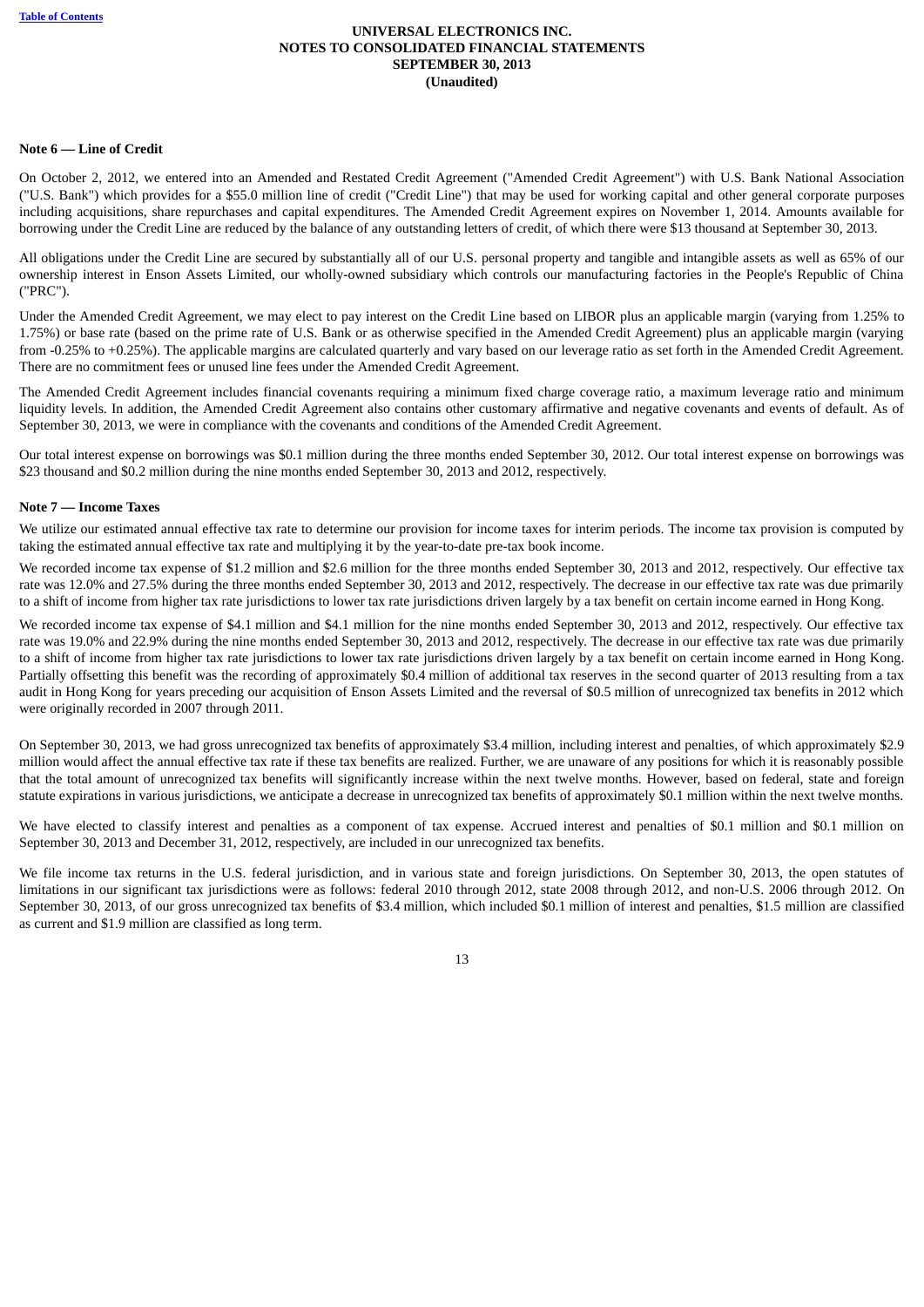#### **Note 6 — Line of Credit**

On October 2, 2012, we entered into an Amended and Restated Credit Agreement ("Amended Credit Agreement") with U.S. Bank National Association ("U.S. Bank") which provides for a \$55.0 million line of credit ("Credit Line") that may be used for working capital and other general corporate purposes including acquisitions, share repurchases and capital expenditures. The Amended Credit Agreement expires on November 1, 2014. Amounts available for borrowing under the Credit Line are reduced by the balance of any outstanding letters of credit, of which there were \$13 thousand at September 30, 2013.

All obligations under the Credit Line are secured by substantially all of our U.S. personal property and tangible and intangible assets as well as 65% of our ownership interest in Enson Assets Limited, our wholly-owned subsidiary which controls our manufacturing factories in the People's Republic of China ("PRC").

Under the Amended Credit Agreement, we may elect to pay interest on the Credit Line based on LIBOR plus an applicable margin (varying from 1.25% to 1.75%) or base rate (based on the prime rate of U.S. Bank or as otherwise specified in the Amended Credit Agreement) plus an applicable margin (varying from -0.25% to +0.25%). The applicable margins are calculated quarterly and vary based on our leverage ratio as set forth in the Amended Credit Agreement. There are no commitment fees or unused line fees under the Amended Credit Agreement.

The Amended Credit Agreement includes financial covenants requiring a minimum fixed charge coverage ratio, a maximum leverage ratio and minimum liquidity levels. In addition, the Amended Credit Agreement also contains other customary affirmative and negative covenants and events of default. As of September 30, 2013, we were in compliance with the covenants and conditions of the Amended Credit Agreement.

Our total interest expense on borrowings was \$0.1 million during the three months ended September 30, 2012. Our total interest expense on borrowings was \$23 thousand and \$0.2 million during the nine months ended September 30, 2013 and 2012, respectively.

#### **Note 7 — Income Taxes**

We utilize our estimated annual effective tax rate to determine our provision for income taxes for interim periods. The income tax provision is computed by taking the estimated annual effective tax rate and multiplying it by the year-to-date pre-tax book income.

We recorded income tax expense of \$1.2 million and \$2.6 million for the three months ended September 30, 2013 and 2012, respectively. Our effective tax rate was 12.0% and 27.5% during the three months ended September 30, 2013 and 2012, respectively. The decrease in our effective tax rate was due primarily to a shift of income from higher tax rate jurisdictions to lower tax rate jurisdictions driven largely by a tax benefit on certain income earned in Hong Kong.

We recorded income tax expense of \$4.1 million and \$4.1 million for the nine months ended September 30, 2013 and 2012, respectively. Our effective tax rate was 19.0% and 22.9% during the nine months ended September 30, 2013 and 2012, respectively. The decrease in our effective tax rate was due primarily to a shift of income from higher tax rate jurisdictions to lower tax rate jurisdictions driven largely by a tax benefit on certain income earned in Hong Kong. Partially offsetting this benefit was the recording of approximately \$0.4 million of additional tax reserves in the second quarter of 2013 resulting from a tax audit in Hong Kong for years preceding our acquisition of Enson Assets Limited and the reversal of \$0.5 million of unrecognized tax benefits in 2012 which were originally recorded in 2007 through 2011.

On September 30, 2013, we had gross unrecognized tax benefits of approximately \$3.4 million, including interest and penalties, of which approximately \$2.9 million would affect the annual effective tax rate if these tax benefits are realized. Further, we are unaware of any positions for which it is reasonably possible that the total amount of unrecognized tax benefits will significantly increase within the next twelve months. However, based on federal, state and foreign statute expirations in various jurisdictions, we anticipate a decrease in unrecognized tax benefits of approximately \$0.1 million within the next twelve months.

We have elected to classify interest and penalties as a component of tax expense. Accrued interest and penalties of \$0.1 million and \$0.1 million on September 30, 2013 and December 31, 2012, respectively, are included in our unrecognized tax benefits.

We file income tax returns in the U.S. federal jurisdiction, and in various state and foreign jurisdictions. On September 30, 2013, the open statutes of limitations in our significant tax jurisdictions were as follows: federal 2010 through 2012, state 2008 through 2012, and non-U.S. 2006 through 2012. On September 30, 2013, of our gross unrecognized tax benefits of \$3.4 million, which included \$0.1 million of interest and penalties, \$1.5 million are classified as current and \$1.9 million are classified as long term.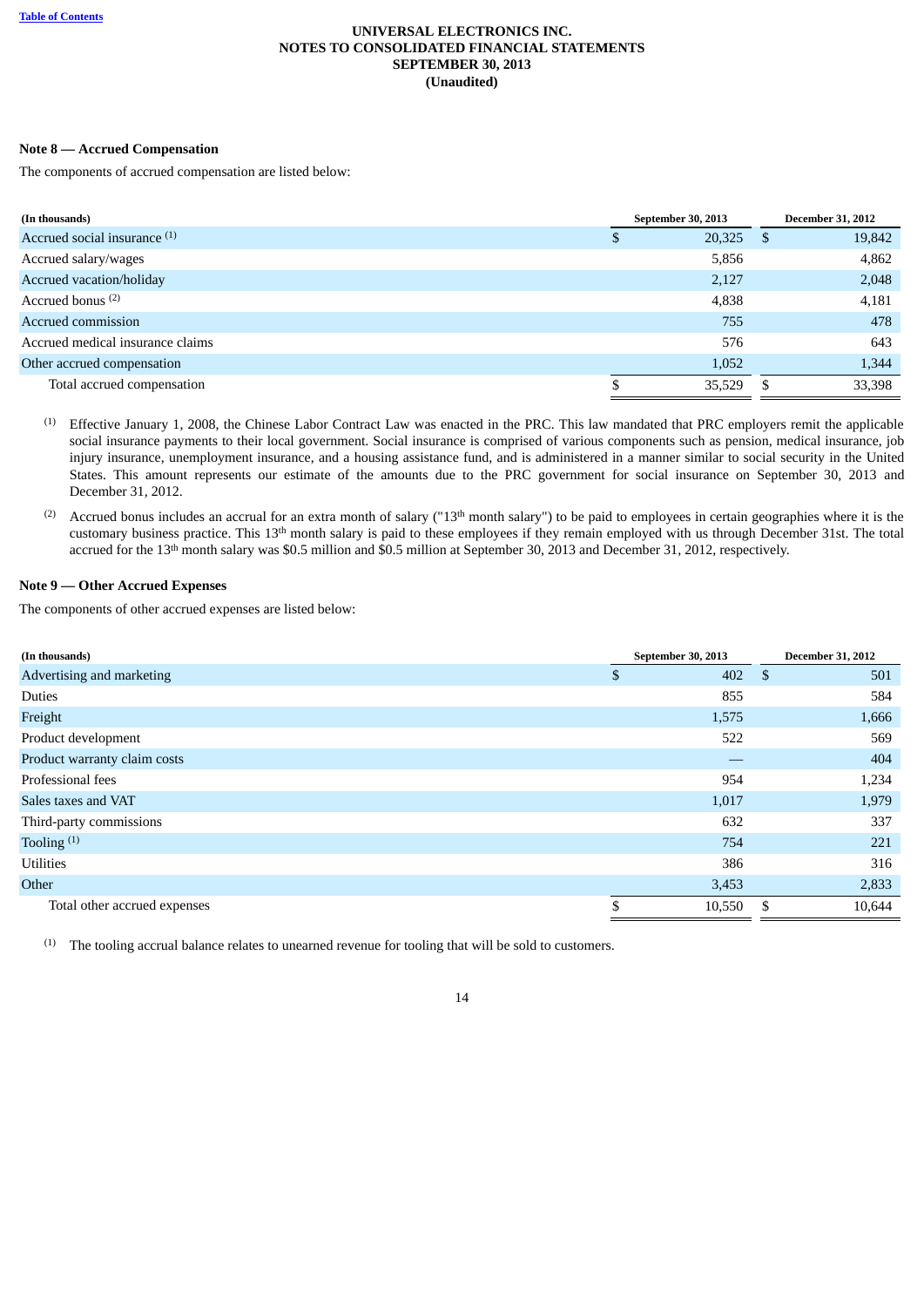### **Note 8 — Accrued Compensation**

The components of accrued compensation are listed below:

| (In thousands)                   | <b>September 30, 2013</b> |    | <b>December 31, 2012</b> |
|----------------------------------|---------------------------|----|--------------------------|
| Accrued social insurance (1)     | 20,325                    | -S | 19,842                   |
| Accrued salary/wages             | 5,856                     |    | 4,862                    |
| Accrued vacation/holiday         | 2,127                     |    | 2,048                    |
| Accrued bonus <sup>(2)</sup>     | 4,838                     |    | 4,181                    |
| Accrued commission               | 755                       |    | 478                      |
| Accrued medical insurance claims | 576                       |    | 643                      |
| Other accrued compensation       | 1,052                     |    | 1,344                    |
| Total accrued compensation       | 35,529                    |    | 33,398                   |

(1) Effective January 1, 2008, the Chinese Labor Contract Law was enacted in the PRC. This law mandated that PRC employers remit the applicable social insurance payments to their local government. Social insurance is comprised of various components such as pension, medical insurance, job injury insurance, unemployment insurance, and a housing assistance fund, and is administered in a manner similar to social security in the United States. This amount represents our estimate of the amounts due to the PRC government for social insurance on September 30, 2013 and December 31, 2012.

<sup>(2)</sup> Accrued bonus includes an accrual for an extra month of salary ( $^{\prime\prime}13^{\text{th}}$  month salary") to be paid to employees in certain geographies where it is the customary business practice. This 13<sup>th</sup> month salary is paid to these employees if they remain employed with us through December 31st. The total accrued for the 13<sup>th</sup> month salary was \$0.5 million and \$0.5 million at September 30, 2013 and December 31, 2012, respectively.

# **Note 9 — Other Accrued Expenses**

The components of other accrued expenses are listed below:

| (In thousands)               | September 30, 2013 |        |    | <b>December 31, 2012</b> |
|------------------------------|--------------------|--------|----|--------------------------|
| Advertising and marketing    | \$                 | 402    | \$ | 501                      |
| <b>Duties</b>                |                    | 855    |    | 584                      |
| Freight                      |                    | 1,575  |    | 1,666                    |
| Product development          |                    | 522    |    | 569                      |
| Product warranty claim costs |                    |        |    | 404                      |
| Professional fees            |                    | 954    |    | 1,234                    |
| Sales taxes and VAT          |                    | 1,017  |    | 1,979                    |
| Third-party commissions      |                    | 632    |    | 337                      |
| Tooling <sup>(1)</sup>       |                    | 754    |    | 221                      |
| <b>Utilities</b>             |                    | 386    |    | 316                      |
| Other                        |                    | 3,453  |    | 2,833                    |
| Total other accrued expenses | \$                 | 10,550 | \$ | 10,644                   |

 $(1)$  The tooling accrual balance relates to unearned revenue for tooling that will be sold to customers.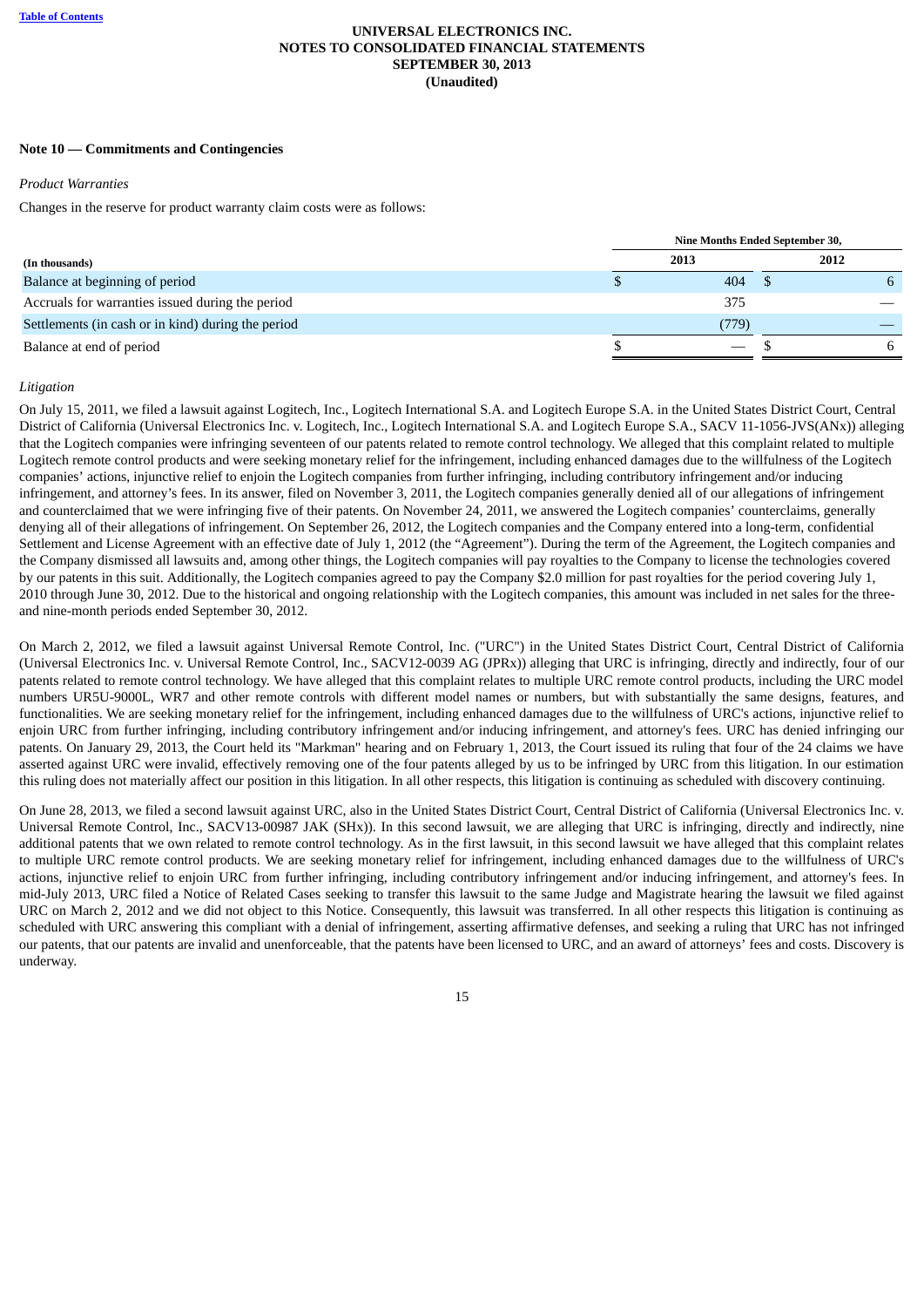### **Note 10 — Commitments and Contingencies**

#### *Product Warranties*

Changes in the reserve for product warranty claim costs were as follows:

|                                                    | Nine Months Ended September 30, |                               |  |      |  |  |  |
|----------------------------------------------------|---------------------------------|-------------------------------|--|------|--|--|--|
| (In thousands)                                     |                                 | 2013                          |  | 2012 |  |  |  |
| Balance at beginning of period                     |                                 | 404                           |  |      |  |  |  |
| Accruals for warranties issued during the period   |                                 | 375                           |  |      |  |  |  |
| Settlements (in cash or in kind) during the period |                                 | (779)                         |  |      |  |  |  |
| Balance at end of period                           |                                 | $\overbrace{\phantom{12332}}$ |  |      |  |  |  |

#### *Litigation*

On July 15, 2011, we filed a lawsuit against Logitech, Inc., Logitech International S.A. and Logitech Europe S.A. in the United States District Court, Central District of California (Universal Electronics Inc. v. Logitech, Inc., Logitech International S.A. and Logitech Europe S.A., SACV 11-1056-JVS(ANx)) alleging that the Logitech companies were infringing seventeen of our patents related to remote control technology. We alleged that this complaint related to multiple Logitech remote control products and were seeking monetary relief for the infringement, including enhanced damages due to the willfulness of the Logitech companies' actions, injunctive relief to enjoin the Logitech companies from further infringing, including contributory infringement and/or inducing infringement, and attorney's fees. In its answer, filed on November 3, 2011, the Logitech companies generally denied all of our allegations of infringement and counterclaimed that we were infringing five of their patents. On November 24, 2011, we answered the Logitech companies' counterclaims, generally denying all of their allegations of infringement. On September 26, 2012, the Logitech companies and the Company entered into a long-term, confidential Settlement and License Agreement with an effective date of July 1, 2012 (the "Agreement"). During the term of the Agreement, the Logitech companies and the Company dismissed all lawsuits and, among other things, the Logitech companies will pay royalties to the Company to license the technologies covered by our patents in this suit. Additionally, the Logitech companies agreed to pay the Company \$2.0 million for past royalties for the period covering July 1, 2010 through June 30, 2012. Due to the historical and ongoing relationship with the Logitech companies, this amount was included in net sales for the threeand nine-month periods ended September 30, 2012.

On March 2, 2012, we filed a lawsuit against Universal Remote Control, Inc. ("URC") in the United States District Court, Central District of California (Universal Electronics Inc. v. Universal Remote Control, Inc., SACV12-0039 AG (JPRx)) alleging that URC is infringing, directly and indirectly, four of our patents related to remote control technology. We have alleged that this complaint relates to multiple URC remote control products, including the URC model numbers UR5U-9000L, WR7 and other remote controls with different model names or numbers, but with substantially the same designs, features, and functionalities. We are seeking monetary relief for the infringement, including enhanced damages due to the willfulness of URC's actions, injunctive relief to enjoin URC from further infringing, including contributory infringement and/or inducing infringement, and attorney's fees. URC has denied infringing our patents. On January 29, 2013, the Court held its "Markman" hearing and on February 1, 2013, the Court issued its ruling that four of the 24 claims we have asserted against URC were invalid, effectively removing one of the four patents alleged by us to be infringed by URC from this litigation. In our estimation this ruling does not materially affect our position in this litigation. In all other respects, this litigation is continuing as scheduled with discovery continuing.

On June 28, 2013, we filed a second lawsuit against URC, also in the United States District Court, Central District of California (Universal Electronics Inc. v. Universal Remote Control, Inc., SACV13-00987 JAK (SHx)). In this second lawsuit, we are alleging that URC is infringing, directly and indirectly, nine additional patents that we own related to remote control technology. As in the first lawsuit, in this second lawsuit we have alleged that this complaint relates to multiple URC remote control products. We are seeking monetary relief for infringement, including enhanced damages due to the willfulness of URC's actions, injunctive relief to enjoin URC from further infringing, including contributory infringement and/or inducing infringement, and attorney's fees. In mid-July 2013, URC filed a Notice of Related Cases seeking to transfer this lawsuit to the same Judge and Magistrate hearing the lawsuit we filed against URC on March 2, 2012 and we did not object to this Notice. Consequently, this lawsuit was transferred. In all other respects this litigation is continuing as scheduled with URC answering this compliant with a denial of infringement, asserting affirmative defenses, and seeking a ruling that URC has not infringed our patents, that our patents are invalid and unenforceable, that the patents have been licensed to URC, and an award of attorneys' fees and costs. Discovery is underway.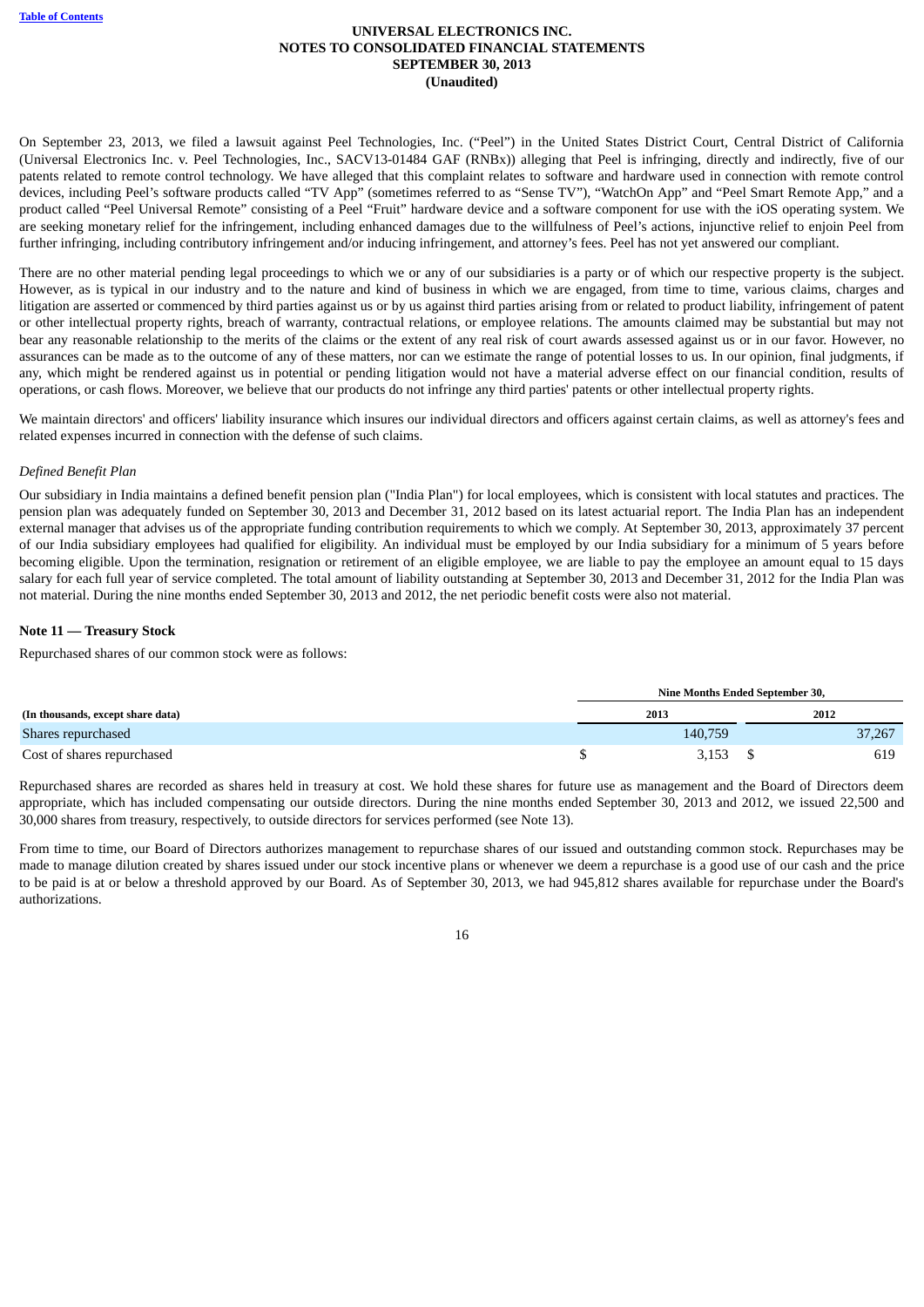On September 23, 2013, we filed a lawsuit against Peel Technologies, Inc. ("Peel") in the United States District Court, Central District of California (Universal Electronics Inc. v. Peel Technologies, Inc., SACV13-01484 GAF (RNBx)) alleging that Peel is infringing, directly and indirectly, five of our patents related to remote control technology. We have alleged that this complaint relates to software and hardware used in connection with remote control devices, including Peel's software products called "TV App" (sometimes referred to as "Sense TV"), "WatchOn App" and "Peel Smart Remote App," and a product called "Peel Universal Remote" consisting of a Peel "Fruit" hardware device and a software component for use with the iOS operating system. We are seeking monetary relief for the infringement, including enhanced damages due to the willfulness of Peel's actions, injunctive relief to enjoin Peel from further infringing, including contributory infringement and/or inducing infringement, and attorney's fees. Peel has not yet answered our compliant.

There are no other material pending legal proceedings to which we or any of our subsidiaries is a party or of which our respective property is the subject. However, as is typical in our industry and to the nature and kind of business in which we are engaged, from time to time, various claims, charges and litigation are asserted or commenced by third parties against us or by us against third parties arising from or related to product liability, infringement of patent or other intellectual property rights, breach of warranty, contractual relations, or employee relations. The amounts claimed may be substantial but may not bear any reasonable relationship to the merits of the claims or the extent of any real risk of court awards assessed against us or in our favor. However, no assurances can be made as to the outcome of any of these matters, nor can we estimate the range of potential losses to us. In our opinion, final judgments, if any, which might be rendered against us in potential or pending litigation would not have a material adverse effect on our financial condition, results of operations, or cash flows. Moreover, we believe that our products do not infringe any third parties' patents or other intellectual property rights.

We maintain directors' and officers' liability insurance which insures our individual directors and officers against certain claims, as well as attorney's fees and related expenses incurred in connection with the defense of such claims.

#### *Defined Benefit Plan*

Our subsidiary in India maintains a defined benefit pension plan ("India Plan") for local employees, which is consistent with local statutes and practices. The pension plan was adequately funded on September 30, 2013 and December 31, 2012 based on its latest actuarial report. The India Plan has an independent external manager that advises us of the appropriate funding contribution requirements to which we comply. At September 30, 2013, approximately 37 percent of our India subsidiary employees had qualified for eligibility. An individual must be employed by our India subsidiary for a minimum of 5 years before becoming eligible. Upon the termination, resignation or retirement of an eligible employee, we are liable to pay the employee an amount equal to 15 days salary for each full year of service completed. The total amount of liability outstanding at September 30, 2013 and December 31, 2012 for the India Plan was not material. During the nine months ended September 30, 2013 and 2012, the net periodic benefit costs were also not material.

#### **Note 11 — Treasury Stock**

Repurchased shares of our common stock were as follows:

|                                   | Nine Months Ended September 30, |         |      |        |  |  |  |  |  |
|-----------------------------------|---------------------------------|---------|------|--------|--|--|--|--|--|
| (In thousands, except share data) | 2013                            |         | 2012 |        |  |  |  |  |  |
| Shares repurchased                |                                 | 140,759 |      | 37,267 |  |  |  |  |  |
| Cost of shares repurchased        |                                 | 3,153   |      | 619    |  |  |  |  |  |

Repurchased shares are recorded as shares held in treasury at cost. We hold these shares for future use as management and the Board of Directors deem appropriate, which has included compensating our outside directors. During the nine months ended September 30, 2013 and 2012, we issued 22,500 and 30,000 shares from treasury, respectively, to outside directors for services performed (see Note 13).

From time to time, our Board of Directors authorizes management to repurchase shares of our issued and outstanding common stock. Repurchases may be made to manage dilution created by shares issued under our stock incentive plans or whenever we deem a repurchase is a good use of our cash and the price to be paid is at or below a threshold approved by our Board. As of September 30, 2013, we had 945,812 shares available for repurchase under the Board's authorizations.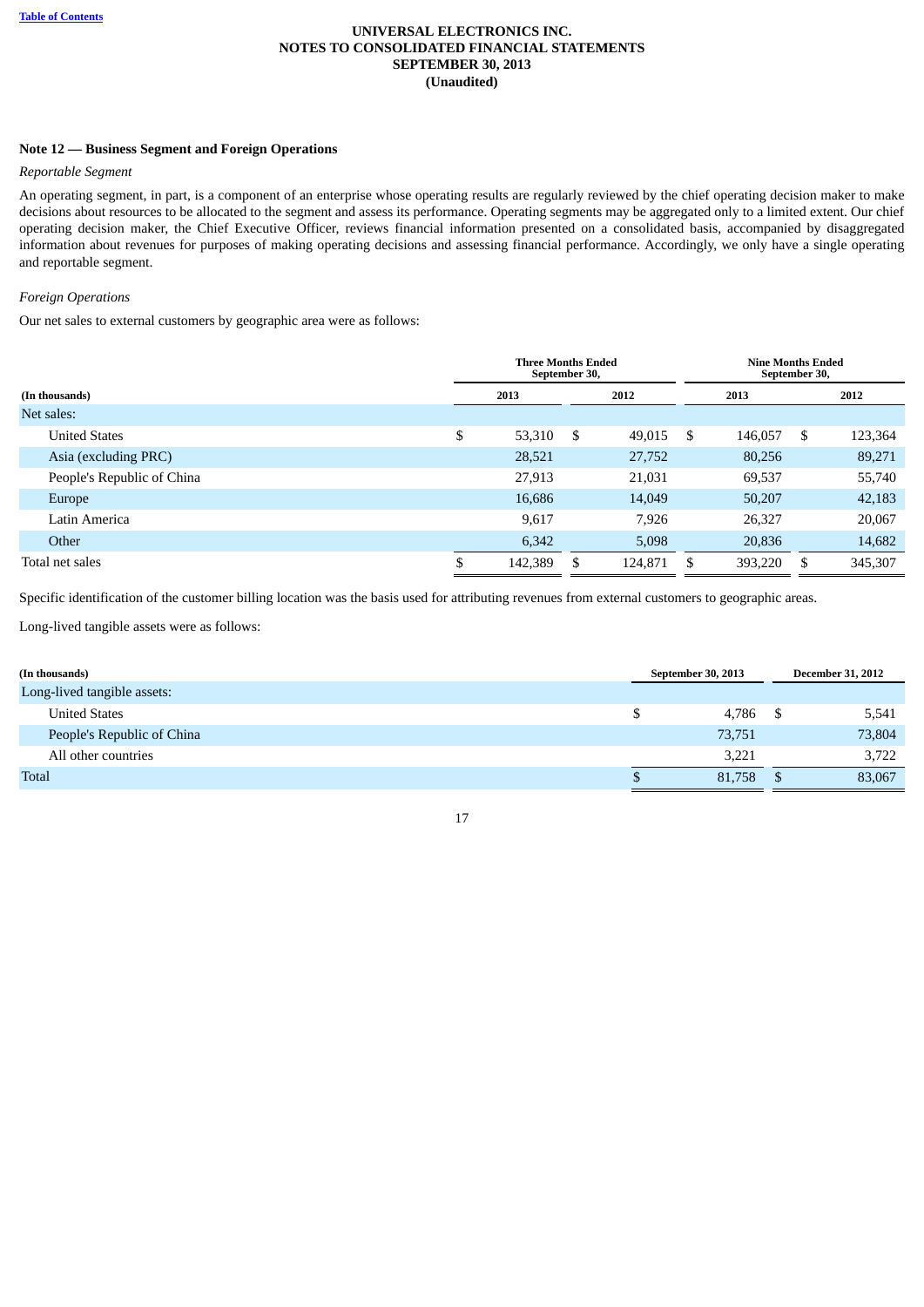# **Note 12 — Business Segment and Foreign Operations**

#### *Reportable Segment*

An operating segment, in part, is a component of an enterprise whose operating results are regularly reviewed by the chief operating decision maker to make decisions about resources to be allocated to the segment and assess its performance. Operating segments may be aggregated only to a limited extent. Our chief operating decision maker, the Chief Executive Officer, reviews financial information presented on a consolidated basis, accompanied by disaggregated information about revenues for purposes of making operating decisions and assessing financial performance. Accordingly, we only have a single operating and reportable segment.

# *Foreign Operations*

Our net sales to external customers by geographic area were as follows:

|                            | <b>Three Months Ended</b><br>September 30, |         |      |         | <b>Nine Months Ended</b><br>September 30, |         |      |         |
|----------------------------|--------------------------------------------|---------|------|---------|-------------------------------------------|---------|------|---------|
| (In thousands)             | 2013                                       |         | 2012 |         | 2013                                      |         | 2012 |         |
| Net sales:                 |                                            |         |      |         |                                           |         |      |         |
| <b>United States</b>       | \$                                         | 53,310  | \$   | 49,015  | -S                                        | 146,057 | \$   | 123,364 |
| Asia (excluding PRC)       |                                            | 28,521  |      | 27,752  |                                           | 80,256  |      | 89,271  |
| People's Republic of China |                                            | 27,913  |      | 21,031  |                                           | 69,537  |      | 55,740  |
| Europe                     |                                            | 16,686  |      | 14,049  |                                           | 50,207  |      | 42,183  |
| Latin America              |                                            | 9,617   |      | 7,926   |                                           | 26,327  |      | 20,067  |
| Other                      |                                            | 6,342   |      | 5,098   |                                           | 20,836  |      | 14,682  |
| Total net sales            | ÷<br>J                                     | 142,389 | .Ъ   | 124,871 |                                           | 393,220 | \$.  | 345,307 |

Specific identification of the customer billing location was the basis used for attributing revenues from external customers to geographic areas.

Long-lived tangible assets were as follows:

| (In thousands)              | September 30, 2013 | <b>December 31, 2012</b> |  |  |
|-----------------------------|--------------------|--------------------------|--|--|
| Long-lived tangible assets: |                    |                          |  |  |
| <b>United States</b>        | \$<br>4.786        | 5,541                    |  |  |
| People's Republic of China  | 73,751             | 73,804                   |  |  |
| All other countries         | 3,221              | 3.722                    |  |  |
| <b>Total</b>                | \$<br>81,758       | 83,067                   |  |  |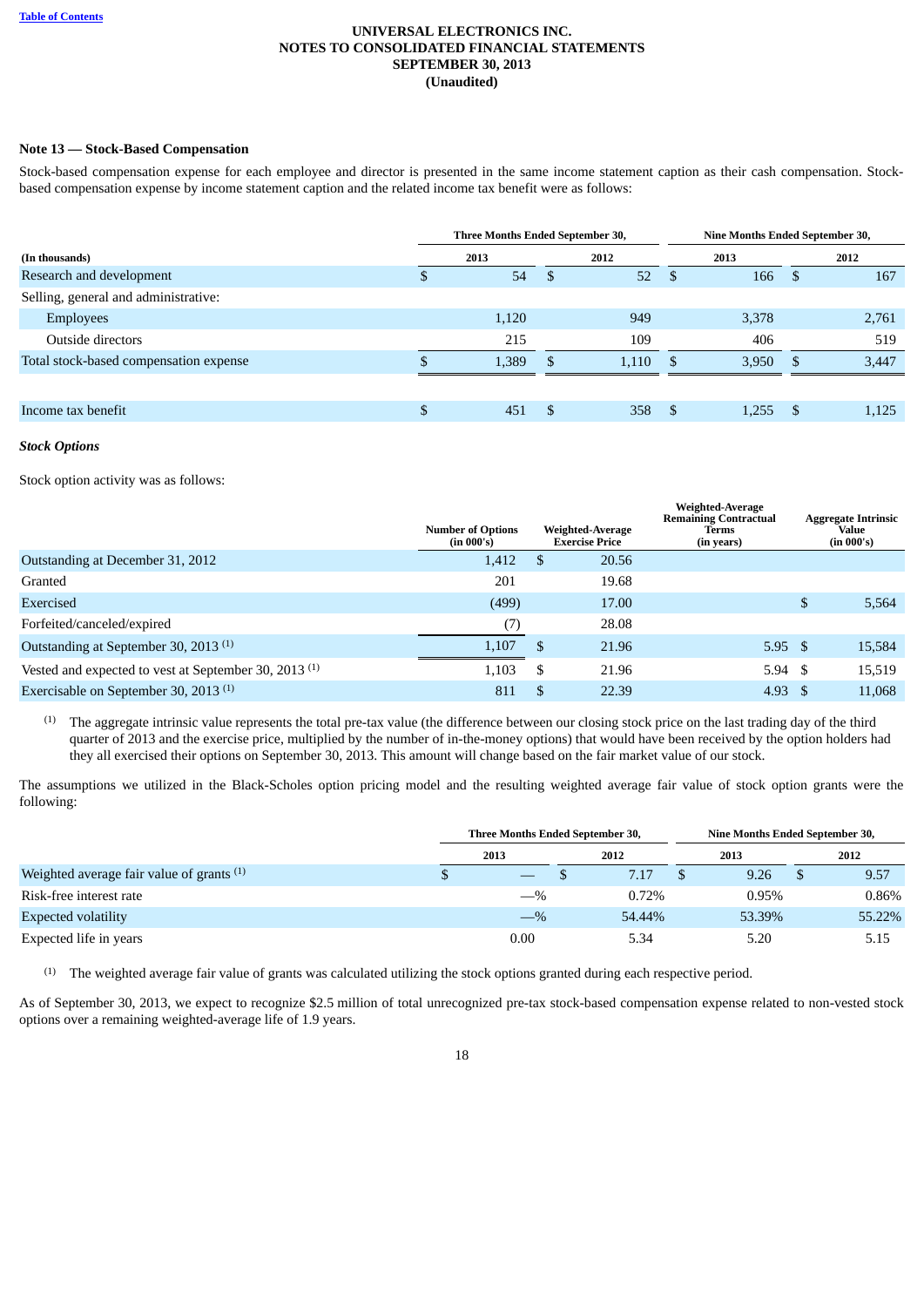# **Note 13 — Stock-Based Compensation**

Stock-based compensation expense for each employee and director is presented in the same income statement caption as their cash compensation. Stockbased compensation expense by income statement caption and the related income tax benefit were as follows:

|                                        | Three Months Ended September 30, |              |  |       |               | Nine Months Ended September 30, |     |       |  |
|----------------------------------------|----------------------------------|--------------|--|-------|---------------|---------------------------------|-----|-------|--|
| (In thousands)                         |                                  | 2012<br>2013 |  |       | 2013          | 2012                            |     |       |  |
| Research and development               |                                  | 54           |  | 52    | \$            | 166                             | -\$ | 167   |  |
| Selling, general and administrative:   |                                  |              |  |       |               |                                 |     |       |  |
| <b>Employees</b>                       |                                  | 1,120        |  | 949   |               | 3,378                           |     | 2,761 |  |
| Outside directors                      |                                  | 215          |  | 109   |               | 406                             |     | 519   |  |
| Total stock-based compensation expense |                                  | 1.389        |  | 1,110 | <sup>\$</sup> | 3,950                           | -S  | 3,447 |  |
|                                        |                                  |              |  |       |               |                                 |     |       |  |
| Income tax benefit                     | \$                               | 451          |  | 358   | <sup>\$</sup> | 1,255                           | -\$ | 1,125 |  |

#### *Stock Options*

Stock option activity was as follows:

|                                                                  | <b>Number of Options</b><br>(in 000's) |      | Weighted-Average<br><b>Exercise Price</b> | <b>Weighted-Average</b><br><b>Remaining Contractual</b><br>Terms<br>(in years) | <b>Aggregate Intrinsic</b><br><b>Value</b><br>(in 000's) |
|------------------------------------------------------------------|----------------------------------------|------|-------------------------------------------|--------------------------------------------------------------------------------|----------------------------------------------------------|
| Outstanding at December 31, 2012                                 | 1,412                                  | -\$  | 20.56                                     |                                                                                |                                                          |
| Granted                                                          | 201                                    |      | 19.68                                     |                                                                                |                                                          |
| Exercised                                                        | (499)                                  |      | 17.00                                     |                                                                                | \$<br>5,564                                              |
| Forfeited/canceled/expired                                       | (7)                                    |      | 28.08                                     |                                                                                |                                                          |
| Outstanding at September 30, 2013 <sup>(1)</sup>                 | 1.107                                  | -S   | 21.96                                     | 5.95 \$                                                                        | 15,584                                                   |
| Vested and expected to vest at September 30, 2013 <sup>(1)</sup> | 1.103                                  | - \$ | 21.96                                     | $5.94 \text{ } $s$                                                             | 15,519                                                   |
| Exercisable on September 30, 2013 <sup>(1)</sup>                 | 811                                    | -S   | 22.39                                     | 4.93 \$                                                                        | 11,068                                                   |
|                                                                  |                                        |      |                                           |                                                                                |                                                          |

(1) The aggregate intrinsic value represents the total pre-tax value (the difference between our closing stock price on the last trading day of the third quarter of 2013 and the exercise price, multiplied by the number of in-the-money options) that would have been received by the option holders had they all exercised their options on September 30, 2013. This amount will change based on the fair market value of our stock.

The assumptions we utilized in the Black-Scholes option pricing model and the resulting weighted average fair value of stock option grants were the following:

|                                           |              | Three Months Ended September 30, |  |        |  | Nine Months Ended September 30, |  |        |  |
|-------------------------------------------|--------------|----------------------------------|--|--------|--|---------------------------------|--|--------|--|
|                                           | 2013<br>2012 |                                  |  | 2013   |  | 2012                            |  |        |  |
| Weighted average fair value of grants (1) |              |                                  |  | 7.17   |  | 9.26                            |  | 9.57   |  |
| Risk-free interest rate                   |              | $-$ %                            |  | 0.72%  |  | 0.95%                           |  | 0.86%  |  |
| <b>Expected volatility</b>                |              | $-$ %                            |  | 54.44% |  | 53.39%                          |  | 55.22% |  |
| Expected life in years                    |              | 0.00                             |  | 5.34   |  | 5.20                            |  | 5.15   |  |

(1) The weighted average fair value of grants was calculated utilizing the stock options granted during each respective period.

As of September 30, 2013, we expect to recognize \$2.5 million of total unrecognized pre-tax stock-based compensation expense related to non-vested stock options over a remaining weighted-average life of 1.9 years.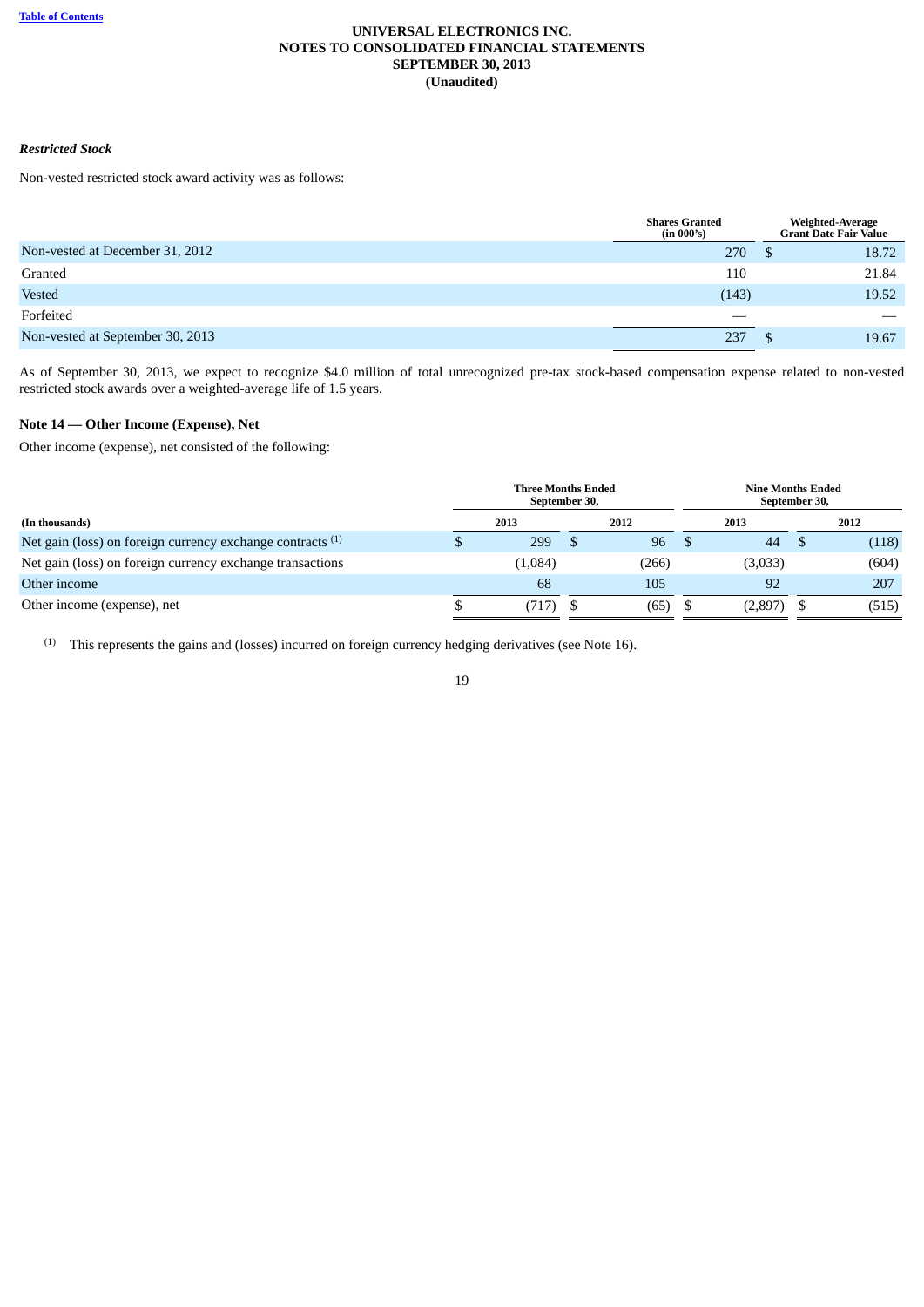# *Restricted Stock*

Non-vested restricted stock award activity was as follows:

|                                  | <b>Shares Granted</b><br>(in 000's) | Weighted-Average<br><b>Grant Date Fair Value</b> |
|----------------------------------|-------------------------------------|--------------------------------------------------|
| Non-vested at December 31, 2012  | 270                                 | 18.72                                            |
| Granted                          | 110                                 | 21.84                                            |
| <b>Vested</b>                    | (143)                               | 19.52                                            |
| Forfeited                        |                                     |                                                  |
| Non-vested at September 30, 2013 | 237                                 | 19.67                                            |

As of September 30, 2013, we expect to recognize \$4.0 million of total unrecognized pre-tax stock-based compensation expense related to non-vested restricted stock awards over a weighted-average life of 1.5 years.

# **Note 14 — Other Income (Expense), Net**

Other income (expense), net consisted of the following:

|                                                            |      | <b>Three Months Ended</b><br>September 30, |  |       | <b>Nine Months Ended</b><br>September 30, |         |      |       |
|------------------------------------------------------------|------|--------------------------------------------|--|-------|-------------------------------------------|---------|------|-------|
| (In thousands)                                             | 2013 |                                            |  | 2012  | 2013                                      |         | 2012 |       |
| Net gain (loss) on foreign currency exchange contracts (1) |      | 299                                        |  | 96    |                                           | 44      |      | (118) |
| Net gain (loss) on foreign currency exchange transactions  |      | (1,084)                                    |  | (266) |                                           | (3,033) |      | (604) |
| Other income                                               |      | 68                                         |  | 105   |                                           | 92      |      | 207   |
| Other income (expense), net                                |      | (717)                                      |  | (65)  |                                           | (2,897) |      | (515) |

(1) This represents the gains and (losses) incurred on foreign currency hedging derivatives (see Note 16).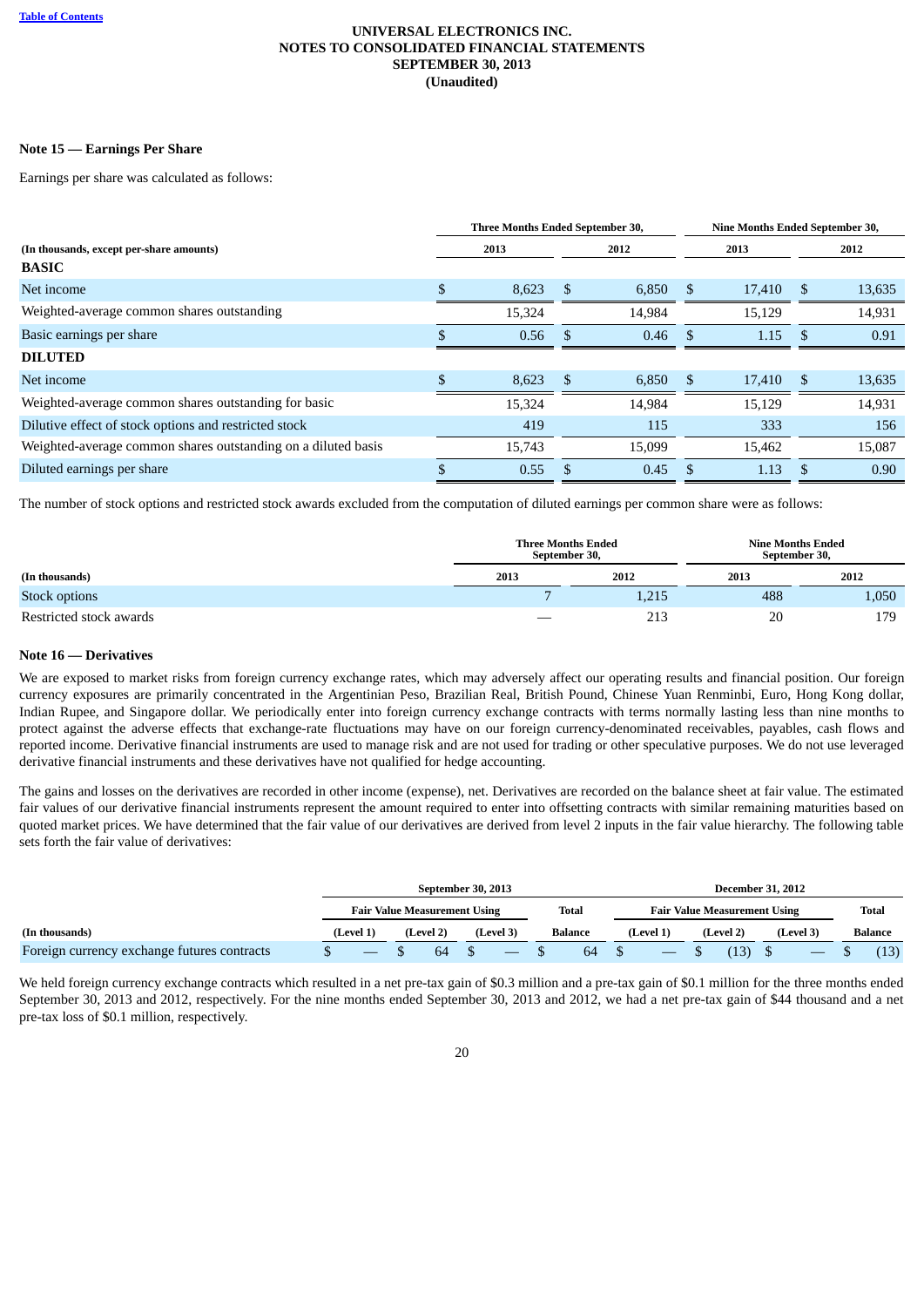### **Note 15 — Earnings Per Share**

Earnings per share was calculated as follows:

|                                                               | Three Months Ended September 30, |        |    | Nine Months Ended September 30, |  |        |               |        |
|---------------------------------------------------------------|----------------------------------|--------|----|---------------------------------|--|--------|---------------|--------|
| (In thousands, except per-share amounts)                      |                                  | 2013   |    | 2012                            |  | 2013   |               | 2012   |
| <b>BASIC</b>                                                  |                                  |        |    |                                 |  |        |               |        |
| Net income                                                    | \$                               | 8,623  | \$ | 6,850                           |  | 17,410 | S             | 13,635 |
| Weighted-average common shares outstanding                    |                                  | 15,324 |    | 14,984                          |  | 15,129 |               | 14,931 |
| Basic earnings per share                                      |                                  | 0.56   |    | 0.46                            |  | 1.15   | -S            | 0.91   |
| <b>DILUTED</b>                                                |                                  |        |    |                                 |  |        |               |        |
| Net income                                                    |                                  | 8,623  | \$ | 6,850                           |  | 17,410 | <sup>\$</sup> | 13,635 |
| Weighted-average common shares outstanding for basic          |                                  | 15,324 |    | 14,984                          |  | 15,129 |               | 14,931 |
| Dilutive effect of stock options and restricted stock         |                                  | 419    |    | 115                             |  | 333    |               | 156    |
| Weighted-average common shares outstanding on a diluted basis |                                  | 15,743 |    | 15,099                          |  | 15,462 |               | 15,087 |
| Diluted earnings per share                                    |                                  | 0.55   |    | 0.45                            |  | 1.13   |               | 0.90   |

The number of stock options and restricted stock awards excluded from the computation of diluted earnings per common share were as follows:

|                         | <b>Three Months Ended</b><br>September 30, |       | <b>Nine Months Ended</b><br>September 30, |       |  |
|-------------------------|--------------------------------------------|-------|-------------------------------------------|-------|--|
| (In thousands)          | 2013                                       | 2012  | 2013                                      | 2012  |  |
| Stock options           |                                            | 1,215 | 488                                       | 1,050 |  |
| Restricted stock awards | $\overline{\phantom{a}}$                   | 213   | 20                                        | 179   |  |

#### **Note 16 — Derivatives**

We are exposed to market risks from foreign currency exchange rates, which may adversely affect our operating results and financial position. Our foreign currency exposures are primarily concentrated in the Argentinian Peso, Brazilian Real, British Pound, Chinese Yuan Renminbi, Euro, Hong Kong dollar, Indian Rupee, and Singapore dollar. We periodically enter into foreign currency exchange contracts with terms normally lasting less than nine months to protect against the adverse effects that exchange-rate fluctuations may have on our foreign currency-denominated receivables, payables, cash flows and reported income. Derivative financial instruments are used to manage risk and are not used for trading or other speculative purposes. We do not use leveraged derivative financial instruments and these derivatives have not qualified for hedge accounting.

The gains and losses on the derivatives are recorded in other income (expense), net. Derivatives are recorded on the balance sheet at fair value. The estimated fair values of our derivative financial instruments represent the amount required to enter into offsetting contracts with similar remaining maturities based on quoted market prices. We have determined that the fair value of our derivatives are derived from level 2 inputs in the fair value hierarchy. The following table sets forth the fair value of derivatives:

|                                             |           |                                              | <b>September 30, 2013</b> |                |                                | <b>December 31, 2012</b>            |           |         |  |  |
|---------------------------------------------|-----------|----------------------------------------------|---------------------------|----------------|--------------------------------|-------------------------------------|-----------|---------|--|--|
|                                             |           | <b>Fair Value Measurement Using</b><br>Total |                           |                |                                | <b>Fair Value Measurement Using</b> |           |         |  |  |
| (In thousands)                              | (Level 1) | (Level 2)                                    | (Level 3)                 | <b>Balance</b> | (Level 1)                      | (Level 2)                           | (Level 3) | Balance |  |  |
| Foreign currency exchange futures contracts |           | 64                                           |                           | 64             | $\qquad \qquad \longleftarrow$ |                                     |           |         |  |  |

We held foreign currency exchange contracts which resulted in a net pre-tax gain of \$0.3 million and a pre-tax gain of \$0.1 million for the three months ended September 30, 2013 and 2012, respectively. For the nine months ended September 30, 2013 and 2012, we had a net pre-tax gain of \$44 thousand and a net pre-tax loss of \$0.1 million, respectively.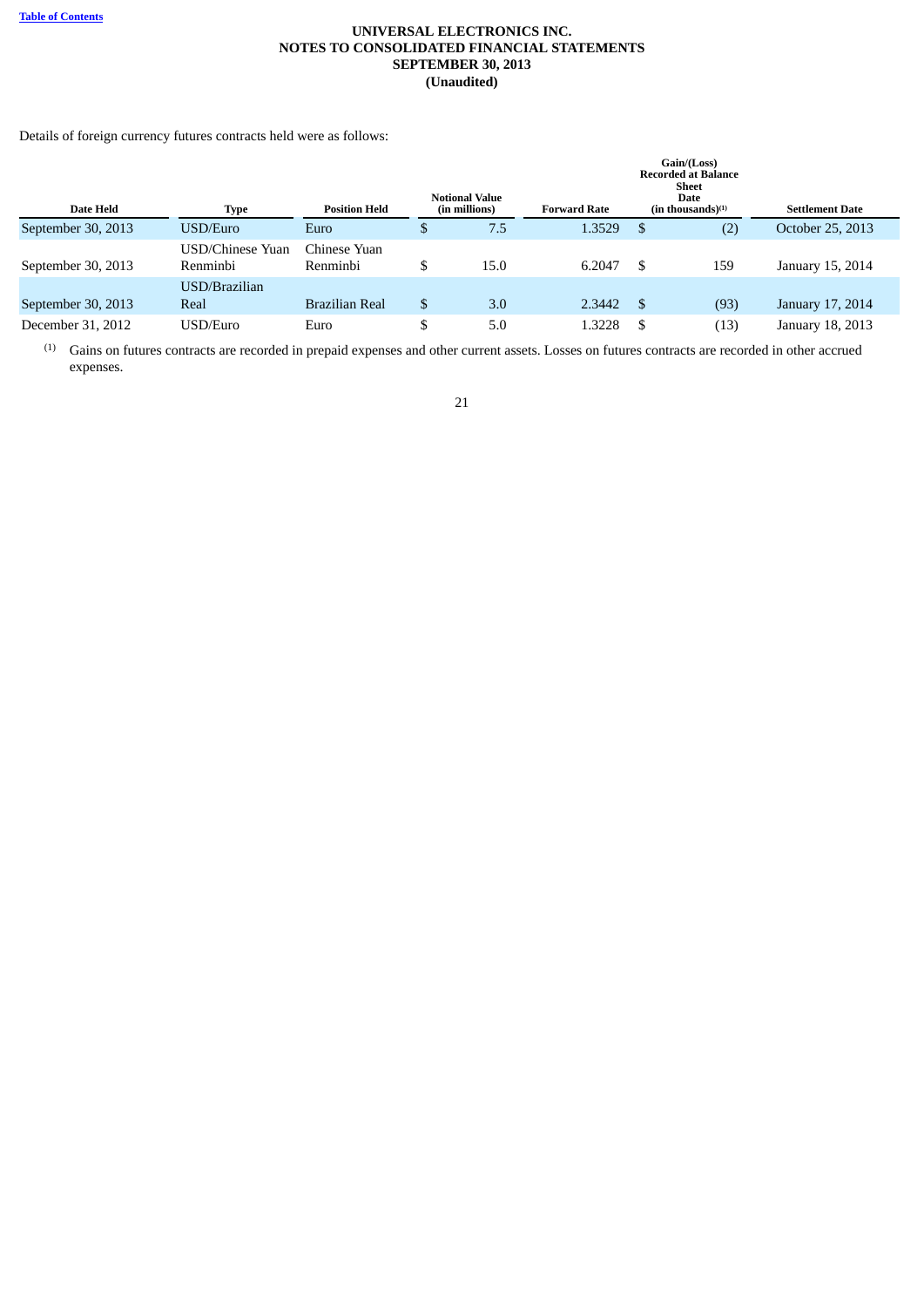Details of foreign currency futures contracts held were as follows:

| <b>Date Held</b>   | Type                         | <b>Position Held</b>     | <b>Notional Value</b><br>(in millions) | <b>Forward Rate</b> | Gain / (Loss)<br><b>Recorded at Balance</b><br>Sheet<br>Date<br>$(in thousands)^{(1)}$ | <b>Settlement Date</b> |                  |
|--------------------|------------------------------|--------------------------|----------------------------------------|---------------------|----------------------------------------------------------------------------------------|------------------------|------------------|
| September 30, 2013 | USD/Euro                     | Euro                     | \$<br>7.5                              | 1.3529              |                                                                                        | (2)                    | October 25, 2013 |
| September 30, 2013 | USD/Chinese Yuan<br>Renminbi | Chinese Yuan<br>Renminbi | \$<br>15.0                             | 6.2047              |                                                                                        | 159                    | January 15, 2014 |
|                    | USD/Brazilian                |                          |                                        |                     |                                                                                        |                        |                  |
| September 30, 2013 | Real                         | <b>Brazilian Real</b>    | \$<br>3.0                              | 2.3442              |                                                                                        | (93)                   | January 17, 2014 |
| December 31, 2012  | USD/Euro                     | Euro                     | \$<br>5.0                              | 1.3228              |                                                                                        | (13)                   | January 18, 2013 |

<span id="page-20-0"></span>(1) Gains on futures contracts are recorded in prepaid expenses and other current assets. Losses on futures contracts are recorded in other accrued expenses.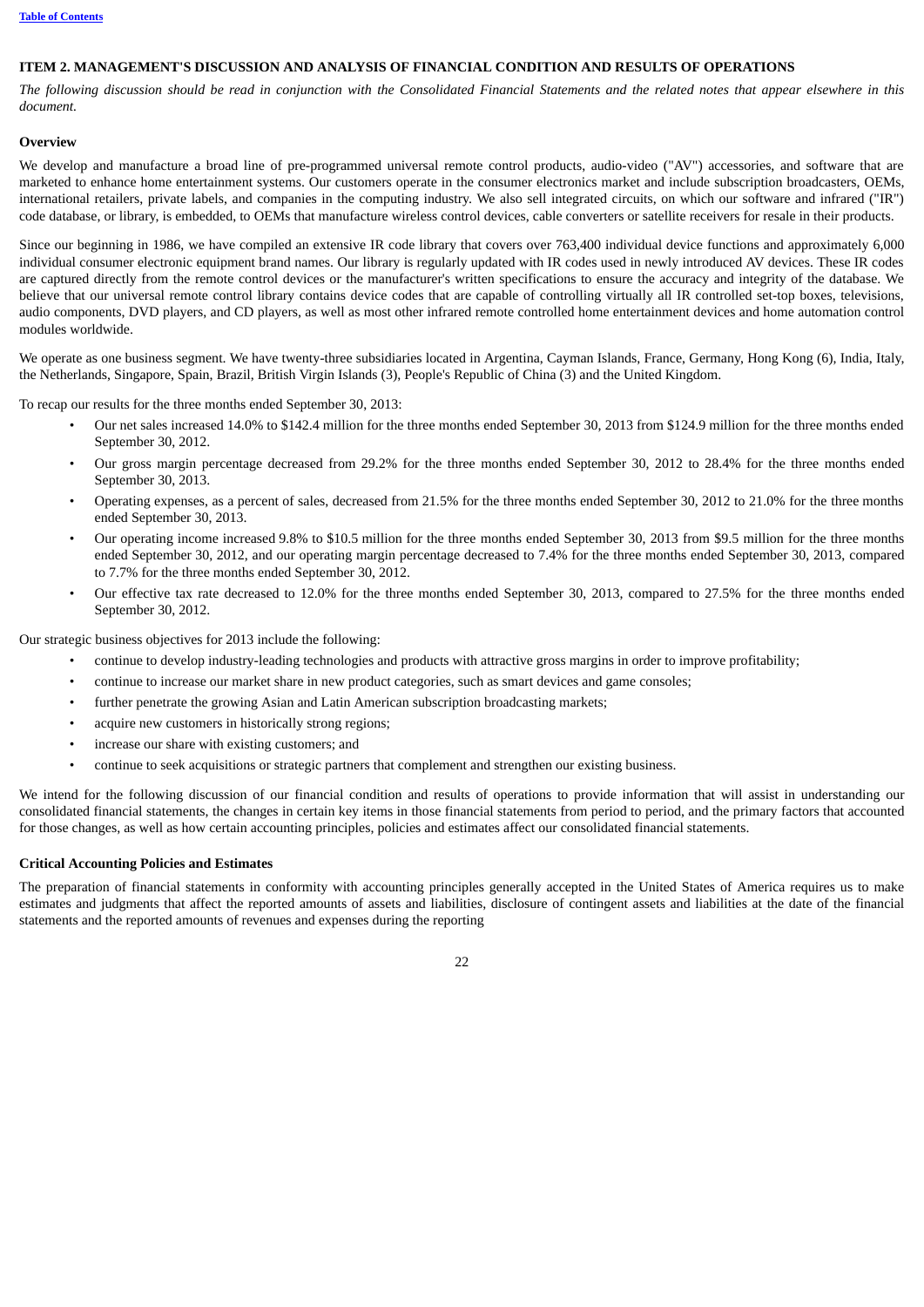#### **ITEM 2. MANAGEMENT'S DISCUSSION AND ANALYSIS OF FINANCIAL CONDITION AND RESULTS OF OPERATIONS**

The following discussion should be read in conjunction with the Consolidated Financial Statements and the related notes that appear elsewhere in this *document.*

#### **Overview**

We develop and manufacture a broad line of pre-programmed universal remote control products, audio-video ("AV") accessories, and software that are marketed to enhance home entertainment systems. Our customers operate in the consumer electronics market and include subscription broadcasters, OEMs, international retailers, private labels, and companies in the computing industry. We also sell integrated circuits, on which our software and infrared ("IR") code database, or library, is embedded, to OEMs that manufacture wireless control devices, cable converters or satellite receivers for resale in their products.

Since our beginning in 1986, we have compiled an extensive IR code library that covers over 763,400 individual device functions and approximately 6,000 individual consumer electronic equipment brand names. Our library is regularly updated with IR codes used in newly introduced AV devices. These IR codes are captured directly from the remote control devices or the manufacturer's written specifications to ensure the accuracy and integrity of the database. We believe that our universal remote control library contains device codes that are capable of controlling virtually all IR controlled set-top boxes, televisions, audio components, DVD players, and CD players, as well as most other infrared remote controlled home entertainment devices and home automation control modules worldwide.

We operate as one business segment. We have twenty-three subsidiaries located in Argentina, Cayman Islands, France, Germany, Hong Kong (6), India, Italy, the Netherlands, Singapore, Spain, Brazil, British Virgin Islands (3), People's Republic of China (3) and the United Kingdom.

To recap our results for the three months ended September 30, 2013:

- Our net sales increased 14.0% to \$142.4 million for the three months ended September 30, 2013 from \$124.9 million for the three months ended September 30, 2012.
- Our gross margin percentage decreased from 29.2% for the three months ended September 30, 2012 to 28.4% for the three months ended September 30, 2013.
- Operating expenses, as a percent of sales, decreased from 21.5% for the three months ended September 30, 2012 to 21.0% for the three months ended September 30, 2013.
- Our operating income increased 9.8% to \$10.5 million for the three months ended September 30, 2013 from \$9.5 million for the three months ended September 30, 2012, and our operating margin percentage decreased to 7.4% for the three months ended September 30, 2013, compared to 7.7% for the three months ended September 30, 2012.
- Our effective tax rate decreased to 12.0% for the three months ended September 30, 2013, compared to 27.5% for the three months ended September 30, 2012.

Our strategic business objectives for 2013 include the following:

- continue to develop industry-leading technologies and products with attractive gross margins in order to improve profitability;
- continue to increase our market share in new product categories, such as smart devices and game consoles;
- further penetrate the growing Asian and Latin American subscription broadcasting markets;
- acquire new customers in historically strong regions;
- increase our share with existing customers; and
- continue to seek acquisitions or strategic partners that complement and strengthen our existing business.

We intend for the following discussion of our financial condition and results of operations to provide information that will assist in understanding our consolidated financial statements, the changes in certain key items in those financial statements from period to period, and the primary factors that accounted for those changes, as well as how certain accounting principles, policies and estimates affect our consolidated financial statements.

#### **Critical Accounting Policies and Estimates**

The preparation of financial statements in conformity with accounting principles generally accepted in the United States of America requires us to make estimates and judgments that affect the reported amounts of assets and liabilities, disclosure of contingent assets and liabilities at the date of the financial statements and the reported amounts of revenues and expenses during the reporting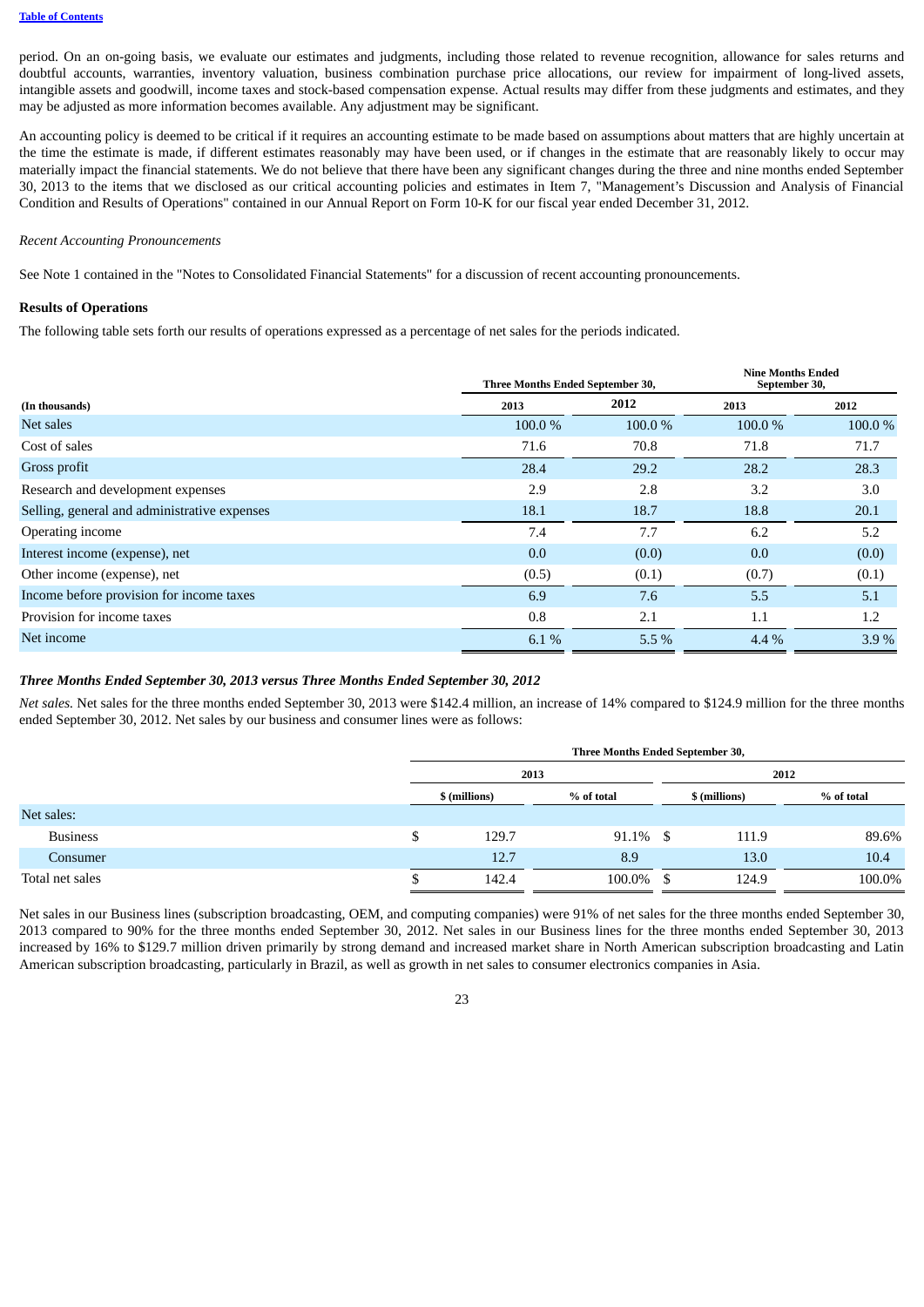period. On an on-going basis, we evaluate our estimates and judgments, including those related to revenue recognition, allowance for sales returns and doubtful accounts, warranties, inventory valuation, business combination purchase price allocations, our review for impairment of long-lived assets, intangible assets and goodwill, income taxes and stock-based compensation expense. Actual results may differ from these judgments and estimates, and they may be adjusted as more information becomes available. Any adjustment may be significant.

An accounting policy is deemed to be critical if it requires an accounting estimate to be made based on assumptions about matters that are highly uncertain at the time the estimate is made, if different estimates reasonably may have been used, or if changes in the estimate that are reasonably likely to occur may materially impact the financial statements. We do not believe that there have been any significant changes during the three and nine months ended September 30, 2013 to the items that we disclosed as our critical accounting policies and estimates in Item 7, "Management's Discussion and Analysis of Financial Condition and Results of Operations" contained in our Annual Report on Form 10-K for our fiscal year ended December 31, 2012.

#### *Recent Accounting Pronouncements*

See Note 1 contained in the "Notes to Consolidated Financial Statements" for a discussion of recent accounting pronouncements.

#### **Results of Operations**

The following table sets forth our results of operations expressed as a percentage of net sales for the periods indicated.

|                                              | Three Months Ended September 30, |        | <b>Nine Months Ended</b><br>September 30, |        |  |  |
|----------------------------------------------|----------------------------------|--------|-------------------------------------------|--------|--|--|
| (In thousands)                               | 2013                             | 2012   | 2013                                      | 2012   |  |  |
| Net sales                                    | 100.0%                           | 100.0% | 100.0%                                    | 100.0% |  |  |
| Cost of sales                                | 71.6                             | 70.8   | 71.8                                      | 71.7   |  |  |
| Gross profit                                 | 28.4                             | 29.2   | 28.2                                      | 28.3   |  |  |
| Research and development expenses            | 2.9                              | 2.8    | 3.2                                       | 3.0    |  |  |
| Selling, general and administrative expenses | 18.1                             | 18.7   | 18.8                                      | 20.1   |  |  |
| Operating income                             | 7.4                              | 7.7    | 6.2                                       | 5.2    |  |  |
| Interest income (expense), net               | 0.0                              | (0.0)  | 0.0                                       | (0.0)  |  |  |
| Other income (expense), net                  | (0.5)                            | (0.1)  | (0.7)                                     | (0.1)  |  |  |
| Income before provision for income taxes     | 6.9                              | 7.6    | 5.5                                       | 5.1    |  |  |
| Provision for income taxes                   | 0.8                              | 2.1    | 1.1                                       | 1.2    |  |  |
| Net income                                   | 6.1%                             | 5.5%   | $4.4\%$                                   | 3.9%   |  |  |

#### *Three Months Ended September 30, 2013 versus Three Months Ended September 30, 2012*

*Net sales.* Net sales for the three months ended September 30, 2013 were \$142.4 million, an increase of 14% compared to \$124.9 million for the three months ended September 30, 2012. Net sales by our business and consumer lines were as follows:

|                 |    | Three Months Ended September 30, |            |  |               |            |  |  |
|-----------------|----|----------------------------------|------------|--|---------------|------------|--|--|
|                 |    |                                  | 2013       |  | 2012          |            |  |  |
|                 |    | \$ (millions)                    | % of total |  | \$ (millions) | % of total |  |  |
| Net sales:      |    |                                  |            |  |               |            |  |  |
| <b>Business</b> | \$ | 129.7                            | 91.1% \$   |  | 111.9         | 89.6%      |  |  |
| Consumer        |    | 12.7                             | 8.9        |  | 13.0          | 10.4       |  |  |
| Total net sales | ۰D | 142.4                            | 100.0% \$  |  | 124.9         | 100.0%     |  |  |

Net sales in our Business lines (subscription broadcasting, OEM, and computing companies) were 91% of net sales for the three months ended September 30, 2013 compared to 90% for the three months ended September 30, 2012. Net sales in our Business lines for the three months ended September 30, 2013 increased by 16% to \$129.7 million driven primarily by strong demand and increased market share in North American subscription broadcasting and Latin American subscription broadcasting, particularly in Brazil, as well as growth in net sales to consumer electronics companies in Asia.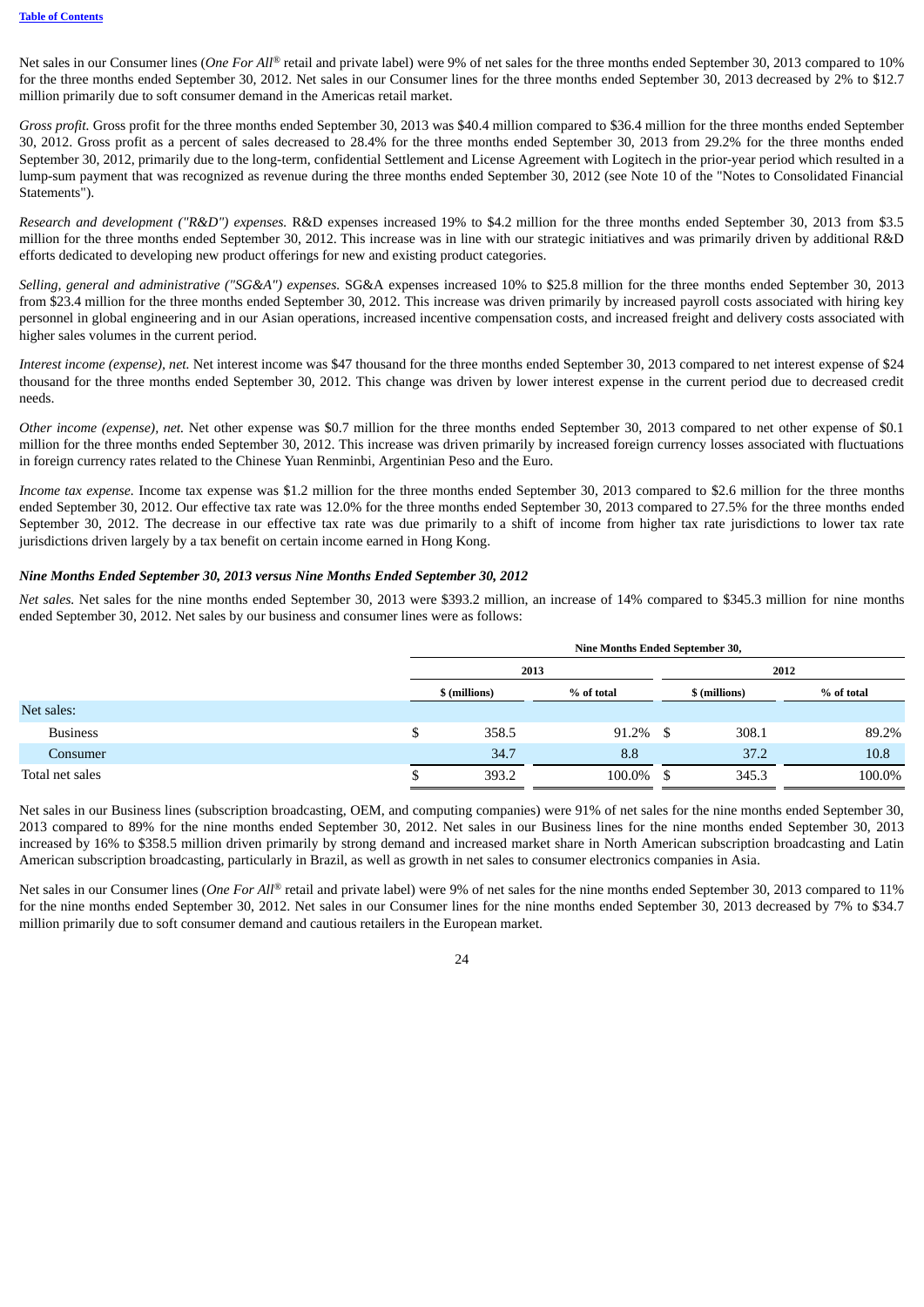Net sales in our Consumer lines (*One For All®* retail and private label) were 9% of net sales for the three months ended September 30, 2013 compared to 10% for the three months ended September 30, 2012. Net sales in our Consumer lines for the three months ended September 30, 2013 decreased by 2% to \$12.7 million primarily due to soft consumer demand in the Americas retail market.

*Gross profit.* Gross profit for the three months ended September 30, 2013 was \$40.4 million compared to \$36.4 million for the three months ended September 30, 2012. Gross profit as a percent of sales decreased to 28.4% for the three months ended September 30, 2013 from 29.2% for the three months ended September 30, 2012, primarily due to the long-term, confidential Settlement and License Agreement with Logitech in the prior-year period which resulted in a lump-sum payment that was recognized as revenue during the three months ended September 30, 2012 (see Note 10 of the "Notes to Consolidated Financial Statements").

*Research and development ("R&D") expenses.* R&D expenses increased 19% to \$4.2 million for the three months ended September 30, 2013 from \$3.5 million for the three months ended September 30, 2012. This increase was in line with our strategic initiatives and was primarily driven by additional R&D efforts dedicated to developing new product offerings for new and existing product categories.

*Selling, general and administrative ("SG&A") expenses.* SG&A expenses increased 10% to \$25.8 million for the three months ended September 30, 2013 from \$23.4 million for the three months ended September 30, 2012. This increase was driven primarily by increased payroll costs associated with hiring key personnel in global engineering and in our Asian operations, increased incentive compensation costs, and increased freight and delivery costs associated with higher sales volumes in the current period.

*Interest income (expense), net.* Net interest income was \$47 thousand for the three months ended September 30, 2013 compared to net interest expense of \$24 thousand for the three months ended September 30, 2012. This change was driven by lower interest expense in the current period due to decreased credit needs.

*Other income (expense), net.* Net other expense was \$0.7 million for the three months ended September 30, 2013 compared to net other expense of \$0.1 million for the three months ended September 30, 2012. This increase was driven primarily by increased foreign currency losses associated with fluctuations in foreign currency rates related to the Chinese Yuan Renminbi, Argentinian Peso and the Euro.

*Income tax expense.* Income tax expense was \$1.2 million for the three months ended September 30, 2013 compared to \$2.6 million for the three months ended September 30, 2012. Our effective tax rate was 12.0% for the three months ended September 30, 2013 compared to 27.5% for the three months ended September 30, 2012. The decrease in our effective tax rate was due primarily to a shift of income from higher tax rate jurisdictions to lower tax rate jurisdictions driven largely by a tax benefit on certain income earned in Hong Kong.

#### *Nine Months Ended September 30, 2013 versus Nine Months Ended September 30, 2012*

*Net sales.* Net sales for the nine months ended September 30, 2013 were \$393.2 million, an increase of 14% compared to \$345.3 million for nine months ended September 30, 2012. Net sales by our business and consumer lines were as follows:

|                 |   | Nine Months Ended September 30, |            |               |       |            |  |  |
|-----------------|---|---------------------------------|------------|---------------|-------|------------|--|--|
|                 |   |                                 | 2013       |               | 2012  |            |  |  |
|                 |   | \$ (millions)                   | % of total | \$ (millions) |       | % of total |  |  |
| Net sales:      |   |                                 |            |               |       |            |  |  |
| <b>Business</b> | Φ | 358.5                           | 91.2% \$   |               | 308.1 | 89.2%      |  |  |
| Consumer        |   | 34.7                            | 8.8        |               | 37.2  | 10.8       |  |  |
| Total net sales | ω | 393.2                           | 100.0% \$  |               | 345.3 | 100.0%     |  |  |

Net sales in our Business lines (subscription broadcasting, OEM, and computing companies) were 91% of net sales for the nine months ended September 30, 2013 compared to 89% for the nine months ended September 30, 2012. Net sales in our Business lines for the nine months ended September 30, 2013 increased by 16% to \$358.5 million driven primarily by strong demand and increased market share in North American subscription broadcasting and Latin American subscription broadcasting, particularly in Brazil, as well as growth in net sales to consumer electronics companies in Asia.

Net sales in our Consumer lines (*One For All®* retail and private label) were 9% of net sales for the nine months ended September 30, 2013 compared to 11% for the nine months ended September 30, 2012. Net sales in our Consumer lines for the nine months ended September 30, 2013 decreased by 7% to \$34.7 million primarily due to soft consumer demand and cautious retailers in the European market.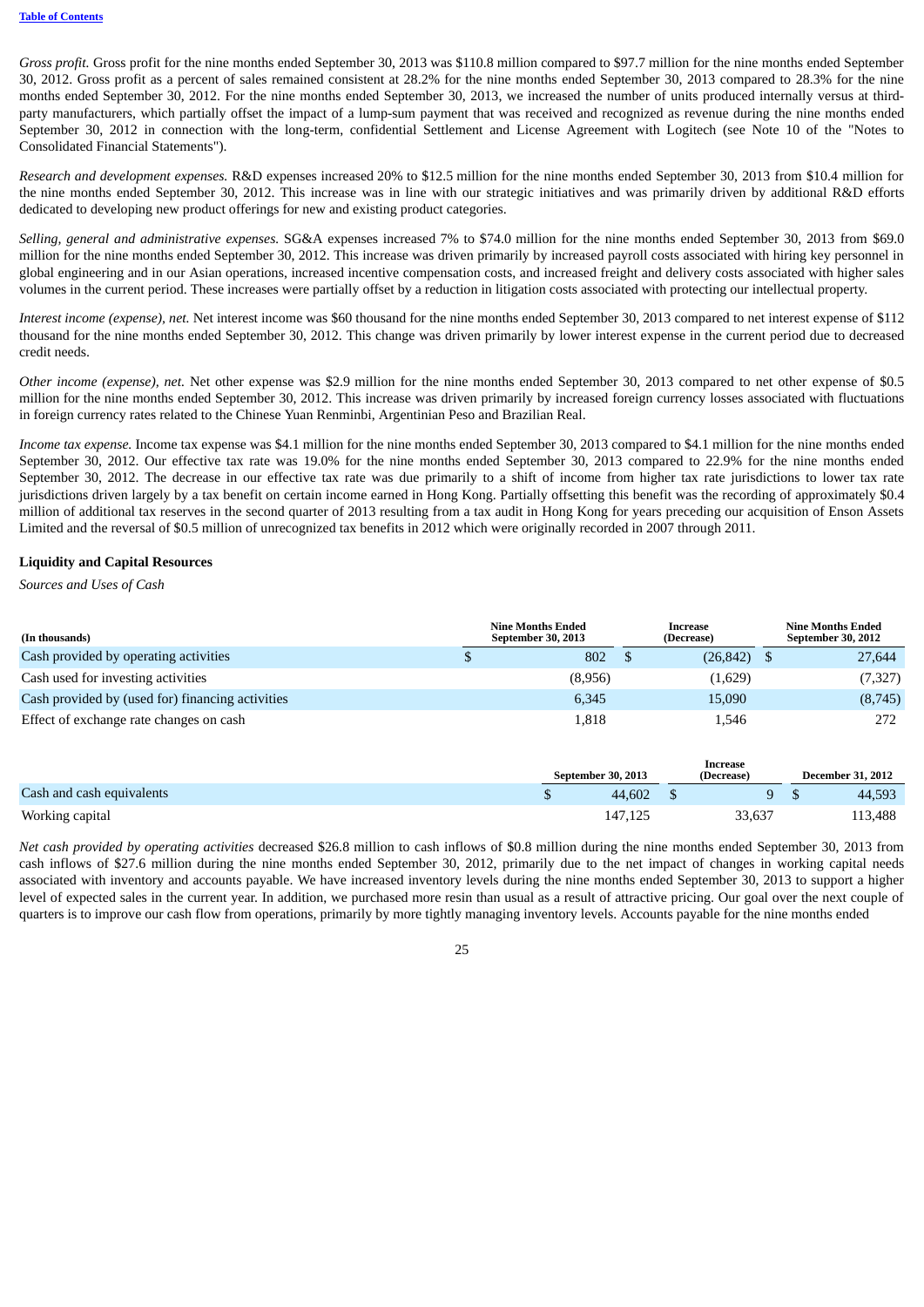*Gross profit.* Gross profit for the nine months ended September 30, 2013 was \$110.8 million compared to \$97.7 million for the nine months ended September 30, 2012. Gross profit as a percent of sales remained consistent at 28.2% for the nine months ended September 30, 2013 compared to 28.3% for the nine months ended September 30, 2012. For the nine months ended September 30, 2013, we increased the number of units produced internally versus at thirdparty manufacturers, which partially offset the impact of a lump-sum payment that was received and recognized as revenue during the nine months ended September 30, 2012 in connection with the long-term, confidential Settlement and License Agreement with Logitech (see Note 10 of the "Notes to Consolidated Financial Statements").

*Research and development expenses.* R&D expenses increased 20% to \$12.5 million for the nine months ended September 30, 2013 from \$10.4 million for the nine months ended September 30, 2012. This increase was in line with our strategic initiatives and was primarily driven by additional R&D efforts dedicated to developing new product offerings for new and existing product categories.

*Selling, general and administrative expenses.* SG&A expenses increased 7% to \$74.0 million for the nine months ended September 30, 2013 from \$69.0 million for the nine months ended September 30, 2012. This increase was driven primarily by increased payroll costs associated with hiring key personnel in global engineering and in our Asian operations, increased incentive compensation costs, and increased freight and delivery costs associated with higher sales volumes in the current period. These increases were partially offset by a reduction in litigation costs associated with protecting our intellectual property.

*Interest income (expense), net.* Net interest income was \$60 thousand for the nine months ended September 30, 2013 compared to net interest expense of \$112 thousand for the nine months ended September 30, 2012. This change was driven primarily by lower interest expense in the current period due to decreased credit needs.

*Other income (expense), net.* Net other expense was \$2.9 million for the nine months ended September 30, 2013 compared to net other expense of \$0.5 million for the nine months ended September 30, 2012. This increase was driven primarily by increased foreign currency losses associated with fluctuations in foreign currency rates related to the Chinese Yuan Renminbi, Argentinian Peso and Brazilian Real.

*Income tax expense.* Income tax expense was \$4.1 million for the nine months ended September 30, 2013 compared to \$4.1 million for the nine months ended September 30, 2012. Our effective tax rate was 19.0% for the nine months ended September 30, 2013 compared to 22.9% for the nine months ended September 30, 2012. The decrease in our effective tax rate was due primarily to a shift of income from higher tax rate jurisdictions to lower tax rate jurisdictions driven largely by a tax benefit on certain income earned in Hong Kong. Partially offsetting this benefit was the recording of approximately \$0.4 million of additional tax reserves in the second quarter of 2013 resulting from a tax audit in Hong Kong for years preceding our acquisition of Enson Assets Limited and the reversal of \$0.5 million of unrecognized tax benefits in 2012 which were originally recorded in 2007 through 2011.

#### **Liquidity and Capital Resources**

*Sources and Uses of Cash*

| (In thousands)                                   | <b>Nine Months Ended</b><br><b>September 30, 2013</b> | Increase<br>(Decrease) |           |  | <b>Nine Months Ended</b><br>September 30, 2012 |
|--------------------------------------------------|-------------------------------------------------------|------------------------|-----------|--|------------------------------------------------|
| Cash provided by operating activities            | 802                                                   |                        | (26, 842) |  | 27,644                                         |
| Cash used for investing activities               | (8,956)                                               |                        | (1,629)   |  | (7,327)                                        |
| Cash provided by (used for) financing activities | 6,345                                                 |                        | 15,090    |  | (8,745)                                        |
| Effect of exchange rate changes on cash          | 1,818                                                 |                        | 1,546     |  | 272                                            |

|                           |  | September 30, 2013 | Increase<br>(Decrease) | <b>December 31, 2012</b> |
|---------------------------|--|--------------------|------------------------|--------------------------|
| Cash and cash equivalents |  | 44.602             |                        | 44,593                   |
| Working capital           |  | 147.125            | 33.637                 | 113,488                  |

*Net cash provided by operating activities* decreased \$26.8 million to cash inflows of \$0.8 million during the nine months ended September 30, 2013 from cash inflows of \$27.6 million during the nine months ended September 30, 2012, primarily due to the net impact of changes in working capital needs associated with inventory and accounts payable. We have increased inventory levels during the nine months ended September 30, 2013 to support a higher level of expected sales in the current year. In addition, we purchased more resin than usual as a result of attractive pricing. Our goal over the next couple of quarters is to improve our cash flow from operations, primarily by more tightly managing inventory levels. Accounts payable for the nine months ended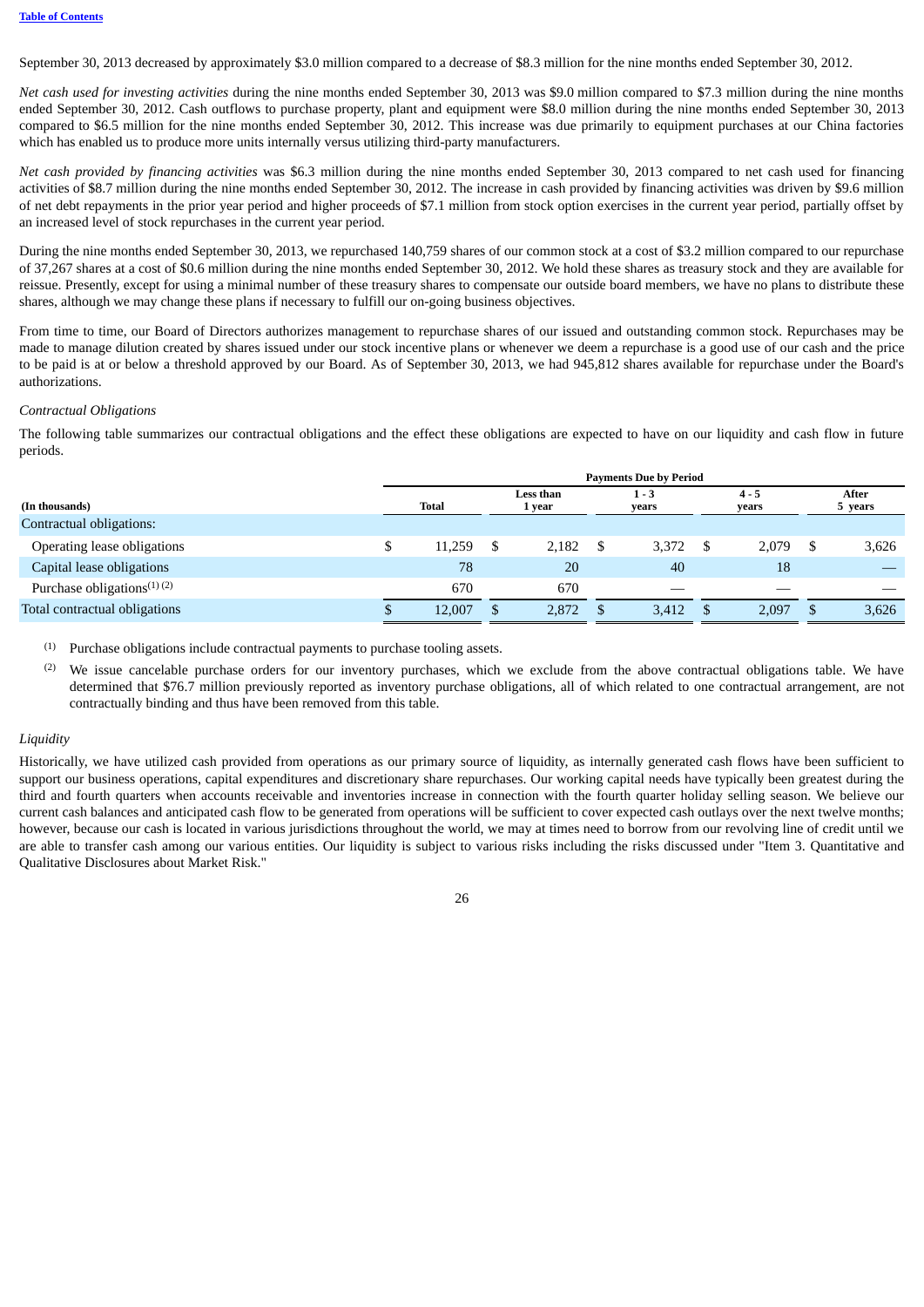September 30, 2013 decreased by approximately \$3.0 million compared to a decrease of \$8.3 million for the nine months ended September 30, 2012.

*Net cash used for investing activities* during the nine months ended September 30, 2013 was \$9.0 million compared to \$7.3 million during the nine months ended September 30, 2012. Cash outflows to purchase property, plant and equipment were \$8.0 million during the nine months ended September 30, 2013 compared to \$6.5 million for the nine months ended September 30, 2012. This increase was due primarily to equipment purchases at our China factories which has enabled us to produce more units internally versus utilizing third-party manufacturers.

*Net cash provided by financing activities* was \$6.3 million during the nine months ended September 30, 2013 compared to net cash used for financing activities of \$8.7 million during the nine months ended September 30, 2012. The increase in cash provided by financing activities was driven by \$9.6 million of net debt repayments in the prior year period and higher proceeds of \$7.1 million from stock option exercises in the current year period, partially offset by an increased level of stock repurchases in the current year period.

During the nine months ended September 30, 2013, we repurchased 140,759 shares of our common stock at a cost of \$3.2 million compared to our repurchase of 37,267 shares at a cost of \$0.6 million during the nine months ended September 30, 2012. We hold these shares as treasury stock and they are available for reissue. Presently, except for using a minimal number of these treasury shares to compensate our outside board members, we have no plans to distribute these shares, although we may change these plans if necessary to fulfill our on-going business objectives.

From time to time, our Board of Directors authorizes management to repurchase shares of our issued and outstanding common stock. Repurchases may be made to manage dilution created by shares issued under our stock incentive plans or whenever we deem a repurchase is a good use of our cash and the price to be paid is at or below a threshold approved by our Board. As of September 30, 2013, we had 945,812 shares available for repurchase under the Board's authorizations.

#### *Contractual Obligations*

The following table summarizes our contractual obligations and the effect these obligations are expected to have on our liquidity and cash flow in future periods.

|                                         | <b>Payments Due by Period</b> |              |     |                     |  |                  |  |                  |                  |
|-----------------------------------------|-------------------------------|--------------|-----|---------------------|--|------------------|--|------------------|------------------|
| (In thousands)                          |                               | <b>Total</b> |     | Less than<br>1 year |  | $1 - 3$<br>vears |  | $4 - 5$<br>years | After<br>5 years |
| Contractual obligations:                |                               |              |     |                     |  |                  |  |                  |                  |
| Operating lease obligations             |                               | 11.259       | \$. | 2.182               |  | 3.372            |  | 2.079            | 3,626            |
| Capital lease obligations               |                               | 78           |     | 20                  |  | 40               |  | 18               |                  |
| Purchase obligations <sup>(1)</sup> (2) |                               | 670          |     | 670                 |  |                  |  |                  |                  |
| Total contractual obligations           |                               | 12.007       | S   | 2,872               |  | 3,412            |  | 2,097            | 3,626            |

(1) Purchase obligations include contractual payments to purchase tooling assets.

<sup>(2)</sup> We issue cancelable purchase orders for our inventory purchases, which we exclude from the above contractual obligations table. We have determined that \$76.7 million previously reported as inventory purchase obligations, all of which related to one contractual arrangement, are not contractually binding and thus have been removed from this table.

#### *Liquidity*

Historically, we have utilized cash provided from operations as our primary source of liquidity, as internally generated cash flows have been sufficient to support our business operations, capital expenditures and discretionary share repurchases. Our working capital needs have typically been greatest during the third and fourth quarters when accounts receivable and inventories increase in connection with the fourth quarter holiday selling season. We believe our current cash balances and anticipated cash flow to be generated from operations will be sufficient to cover expected cash outlays over the next twelve months; however, because our cash is located in various jurisdictions throughout the world, we may at times need to borrow from our revolving line of credit until we are able to transfer cash among our various entities. Our liquidity is subject to various risks including the risks discussed under "Item 3. Quantitative and Qualitative Disclosures about Market Risk."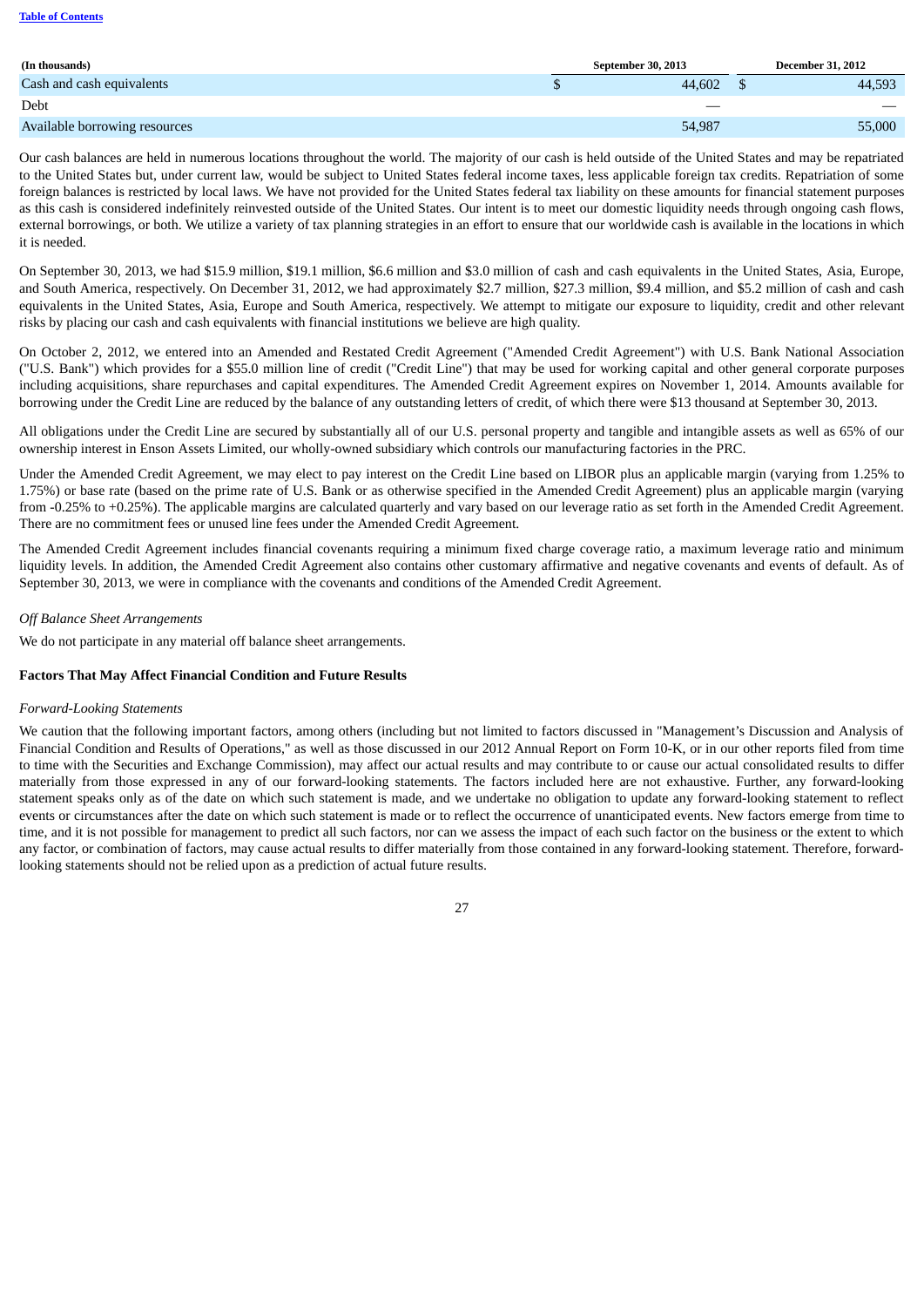| (In thousands)                   | <b>September 30, 2013</b> | <b>December 31, 2012</b> |
|----------------------------------|---------------------------|--------------------------|
| <b>Cash and cash equivalents</b> | 44,602                    | 44.593                   |
| Debt                             |                           |                          |
| Available borrowing resources    | 54,987                    | 55.000                   |

Our cash balances are held in numerous locations throughout the world. The majority of our cash is held outside of the United States and may be repatriated to the United States but, under current law, would be subject to United States federal income taxes, less applicable foreign tax credits. Repatriation of some foreign balances is restricted by local laws. We have not provided for the United States federal tax liability on these amounts for financial statement purposes as this cash is considered indefinitely reinvested outside of the United States. Our intent is to meet our domestic liquidity needs through ongoing cash flows, external borrowings, or both. We utilize a variety of tax planning strategies in an effort to ensure that our worldwide cash is available in the locations in which it is needed.

On September 30, 2013, we had \$15.9 million, \$19.1 million, \$6.6 million and \$3.0 million of cash and cash equivalents in the United States, Asia, Europe, and South America, respectively. On December 31, 2012, we had approximately \$2.7 million, \$27.3 million, \$9.4 million, and \$5.2 million of cash and cash equivalents in the United States, Asia, Europe and South America, respectively. We attempt to mitigate our exposure to liquidity, credit and other relevant risks by placing our cash and cash equivalents with financial institutions we believe are high quality.

On October 2, 2012, we entered into an Amended and Restated Credit Agreement ("Amended Credit Agreement") with U.S. Bank National Association ("U.S. Bank") which provides for a \$55.0 million line of credit ("Credit Line") that may be used for working capital and other general corporate purposes including acquisitions, share repurchases and capital expenditures. The Amended Credit Agreement expires on November 1, 2014. Amounts available for borrowing under the Credit Line are reduced by the balance of any outstanding letters of credit, of which there were \$13 thousand at September 30, 2013.

All obligations under the Credit Line are secured by substantially all of our U.S. personal property and tangible and intangible assets as well as 65% of our ownership interest in Enson Assets Limited, our wholly-owned subsidiary which controls our manufacturing factories in the PRC.

Under the Amended Credit Agreement, we may elect to pay interest on the Credit Line based on LIBOR plus an applicable margin (varying from 1.25% to 1.75%) or base rate (based on the prime rate of U.S. Bank or as otherwise specified in the Amended Credit Agreement) plus an applicable margin (varying from -0.25% to +0.25%). The applicable margins are calculated quarterly and vary based on our leverage ratio as set forth in the Amended Credit Agreement. There are no commitment fees or unused line fees under the Amended Credit Agreement.

The Amended Credit Agreement includes financial covenants requiring a minimum fixed charge coverage ratio, a maximum leverage ratio and minimum liquidity levels. In addition, the Amended Credit Agreement also contains other customary affirmative and negative covenants and events of default. As of September 30, 2013, we were in compliance with the covenants and conditions of the Amended Credit Agreement.

# *Off Balance Sheet Arrangements*

We do not participate in any material off balance sheet arrangements.

# **Factors That May Affect Financial Condition and Future Results**

#### *Forward-Looking Statements*

We caution that the following important factors, among others (including but not limited to factors discussed in "Management's Discussion and Analysis of Financial Condition and Results of Operations," as well as those discussed in our 2012 Annual Report on Form 10-K, or in our other reports filed from time to time with the Securities and Exchange Commission), may affect our actual results and may contribute to or cause our actual consolidated results to differ materially from those expressed in any of our forward-looking statements. The factors included here are not exhaustive. Further, any forward-looking statement speaks only as of the date on which such statement is made, and we undertake no obligation to update any forward-looking statement to reflect events or circumstances after the date on which such statement is made or to reflect the occurrence of unanticipated events. New factors emerge from time to time, and it is not possible for management to predict all such factors, nor can we assess the impact of each such factor on the business or the extent to which any factor, or combination of factors, may cause actual results to differ materially from those contained in any forward-looking statement. Therefore, forwardlooking statements should not be relied upon as a prediction of actual future results.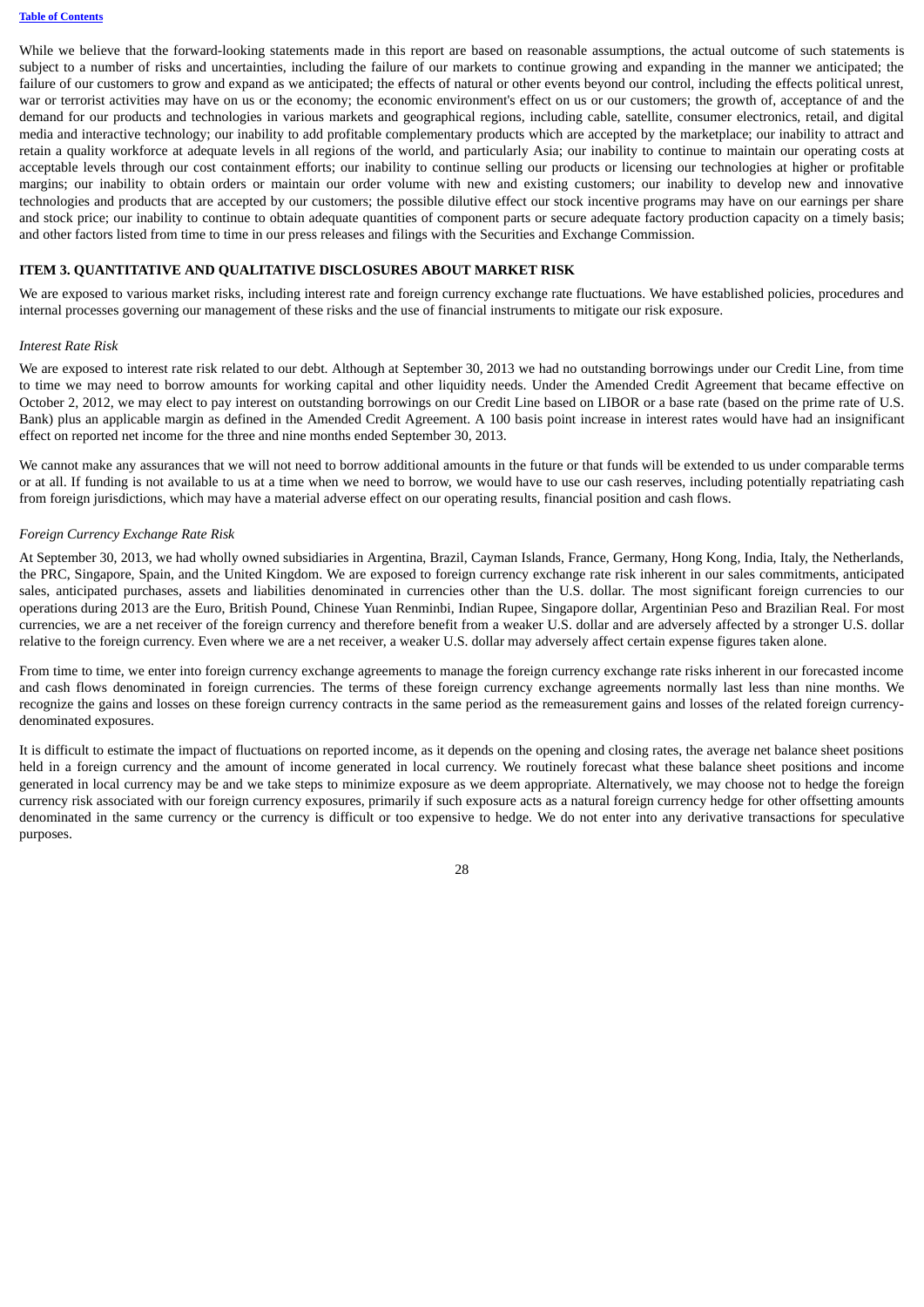While we believe that the forward-looking statements made in this report are based on reasonable assumptions, the actual outcome of such statements is subject to a number of risks and uncertainties, including the failure of our markets to continue growing and expanding in the manner we anticipated; the failure of our customers to grow and expand as we anticipated; the effects of natural or other events beyond our control, including the effects political unrest, war or terrorist activities may have on us or the economy; the economic environment's effect on us or our customers; the growth of, acceptance of and the demand for our products and technologies in various markets and geographical regions, including cable, satellite, consumer electronics, retail, and digital media and interactive technology; our inability to add profitable complementary products which are accepted by the marketplace; our inability to attract and retain a quality workforce at adequate levels in all regions of the world, and particularly Asia; our inability to continue to maintain our operating costs at acceptable levels through our cost containment efforts; our inability to continue selling our products or licensing our technologies at higher or profitable margins; our inability to obtain orders or maintain our order volume with new and existing customers; our inability to develop new and innovative technologies and products that are accepted by our customers; the possible dilutive effect our stock incentive programs may have on our earnings per share and stock price; our inability to continue to obtain adequate quantities of component parts or secure adequate factory production capacity on a timely basis; and other factors listed from time to time in our press releases and filings with the Securities and Exchange Commission.

#### <span id="page-27-0"></span>**ITEM 3. QUANTITATIVE AND QUALITATIVE DISCLOSURES ABOUT MARKET RISK**

We are exposed to various market risks, including interest rate and foreign currency exchange rate fluctuations. We have established policies, procedures and internal processes governing our management of these risks and the use of financial instruments to mitigate our risk exposure.

#### *Interest Rate Risk*

We are exposed to interest rate risk related to our debt. Although at September 30, 2013 we had no outstanding borrowings under our Credit Line, from time to time we may need to borrow amounts for working capital and other liquidity needs. Under the Amended Credit Agreement that became effective on October 2, 2012, we may elect to pay interest on outstanding borrowings on our Credit Line based on LIBOR or a base rate (based on the prime rate of U.S. Bank) plus an applicable margin as defined in the Amended Credit Agreement. A 100 basis point increase in interest rates would have had an insignificant effect on reported net income for the three and nine months ended September 30, 2013.

We cannot make any assurances that we will not need to borrow additional amounts in the future or that funds will be extended to us under comparable terms or at all. If funding is not available to us at a time when we need to borrow, we would have to use our cash reserves, including potentially repatriating cash from foreign jurisdictions, which may have a material adverse effect on our operating results, financial position and cash flows.

#### *Foreign Currency Exchange Rate Risk*

At September 30, 2013, we had wholly owned subsidiaries in Argentina, Brazil, Cayman Islands, France, Germany, Hong Kong, India, Italy, the Netherlands, the PRC, Singapore, Spain, and the United Kingdom. We are exposed to foreign currency exchange rate risk inherent in our sales commitments, anticipated sales, anticipated purchases, assets and liabilities denominated in currencies other than the U.S. dollar. The most significant foreign currencies to our operations during 2013 are the Euro, British Pound, Chinese Yuan Renminbi, Indian Rupee, Singapore dollar, Argentinian Peso and Brazilian Real. For most currencies, we are a net receiver of the foreign currency and therefore benefit from a weaker U.S. dollar and are adversely affected by a stronger U.S. dollar relative to the foreign currency. Even where we are a net receiver, a weaker U.S. dollar may adversely affect certain expense figures taken alone.

From time to time, we enter into foreign currency exchange agreements to manage the foreign currency exchange rate risks inherent in our forecasted income and cash flows denominated in foreign currencies. The terms of these foreign currency exchange agreements normally last less than nine months. We recognize the gains and losses on these foreign currency contracts in the same period as the remeasurement gains and losses of the related foreign currencydenominated exposures.

It is difficult to estimate the impact of fluctuations on reported income, as it depends on the opening and closing rates, the average net balance sheet positions held in a foreign currency and the amount of income generated in local currency. We routinely forecast what these balance sheet positions and income generated in local currency may be and we take steps to minimize exposure as we deem appropriate. Alternatively, we may choose not to hedge the foreign currency risk associated with our foreign currency exposures, primarily if such exposure acts as a natural foreign currency hedge for other offsetting amounts denominated in the same currency or the currency is difficult or too expensive to hedge. We do not enter into any derivative transactions for speculative purposes.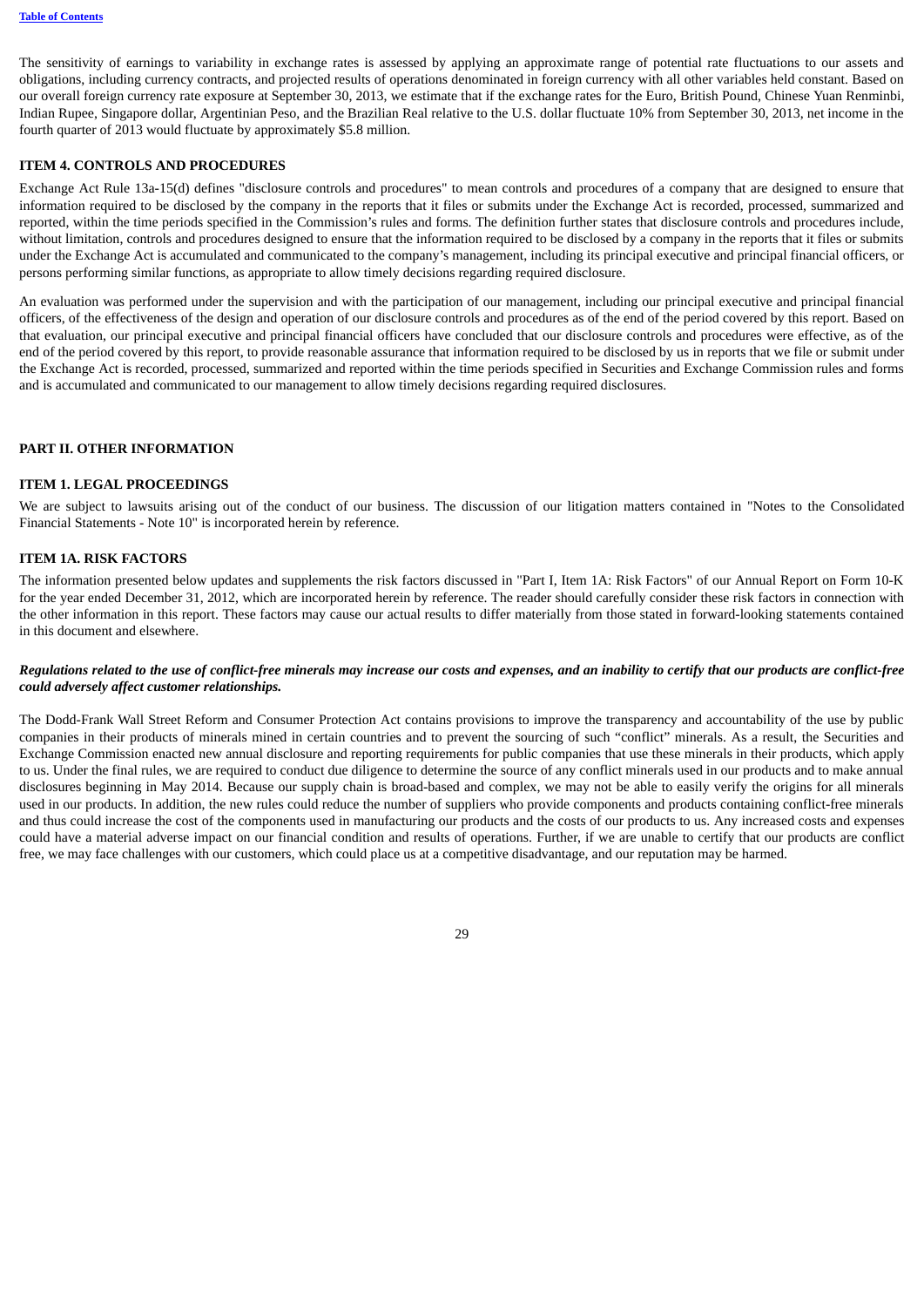The sensitivity of earnings to variability in exchange rates is assessed by applying an approximate range of potential rate fluctuations to our assets and obligations, including currency contracts, and projected results of operations denominated in foreign currency with all other variables held constant. Based on our overall foreign currency rate exposure at September 30, 2013, we estimate that if the exchange rates for the Euro, British Pound, Chinese Yuan Renminbi, Indian Rupee, Singapore dollar, Argentinian Peso, and the Brazilian Real relative to the U.S. dollar fluctuate 10% from September 30, 2013, net income in the fourth quarter of 2013 would fluctuate by approximately \$5.8 million.

#### <span id="page-28-0"></span>**ITEM 4. CONTROLS AND PROCEDURES**

Exchange Act Rule 13a-15(d) defines "disclosure controls and procedures" to mean controls and procedures of a company that are designed to ensure that information required to be disclosed by the company in the reports that it files or submits under the Exchange Act is recorded, processed, summarized and reported, within the time periods specified in the Commission's rules and forms. The definition further states that disclosure controls and procedures include, without limitation, controls and procedures designed to ensure that the information required to be disclosed by a company in the reports that it files or submits under the Exchange Act is accumulated and communicated to the company's management, including its principal executive and principal financial officers, or persons performing similar functions, as appropriate to allow timely decisions regarding required disclosure.

An evaluation was performed under the supervision and with the participation of our management, including our principal executive and principal financial officers, of the effectiveness of the design and operation of our disclosure controls and procedures as of the end of the period covered by this report. Based on that evaluation, our principal executive and principal financial officers have concluded that our disclosure controls and procedures were effective, as of the end of the period covered by this report, to provide reasonable assurance that information required to be disclosed by us in reports that we file or submit under the Exchange Act is recorded, processed, summarized and reported within the time periods specified in Securities and Exchange Commission rules and forms and is accumulated and communicated to our management to allow timely decisions regarding required disclosures.

### <span id="page-28-2"></span><span id="page-28-1"></span>**PART II. OTHER INFORMATION**

#### **ITEM 1. LEGAL PROCEEDINGS**

We are subject to lawsuits arising out of the conduct of our business. The discussion of our litigation matters contained in "Notes to the Consolidated Financial Statements - Note 10" is incorporated herein by reference.

### <span id="page-28-3"></span>**ITEM 1A. RISK FACTORS**

The information presented below updates and supplements the risk factors discussed in "Part I, Item 1A: Risk Factors" of our Annual Report on Form 10-K for the year ended December 31, 2012, which are incorporated herein by reference. The reader should carefully consider these risk factors in connection with the other information in this report. These factors may cause our actual results to differ materially from those stated in forward-looking statements contained in this document and elsewhere.

#### Regulations related to the use of conflict-free minerals may increase our costs and expenses, and an inability to certify that our products are conflict-free *could adversely affect customer relationships.*

<span id="page-28-4"></span>The Dodd-Frank Wall Street Reform and Consumer Protection Act contains provisions to improve the transparency and accountability of the use by public companies in their products of minerals mined in certain countries and to prevent the sourcing of such "conflict" minerals. As a result, the Securities and Exchange Commission enacted new annual disclosure and reporting requirements for public companies that use these minerals in their products, which apply to us. Under the final rules, we are required to conduct due diligence to determine the source of any conflict minerals used in our products and to make annual disclosures beginning in May 2014. Because our supply chain is broad-based and complex, we may not be able to easily verify the origins for all minerals used in our products. In addition, the new rules could reduce the number of suppliers who provide components and products containing conflict-free minerals and thus could increase the cost of the components used in manufacturing our products and the costs of our products to us. Any increased costs and expenses could have a material adverse impact on our financial condition and results of operations. Further, if we are unable to certify that our products are conflict free, we may face challenges with our customers, which could place us at a competitive disadvantage, and our reputation may be harmed.

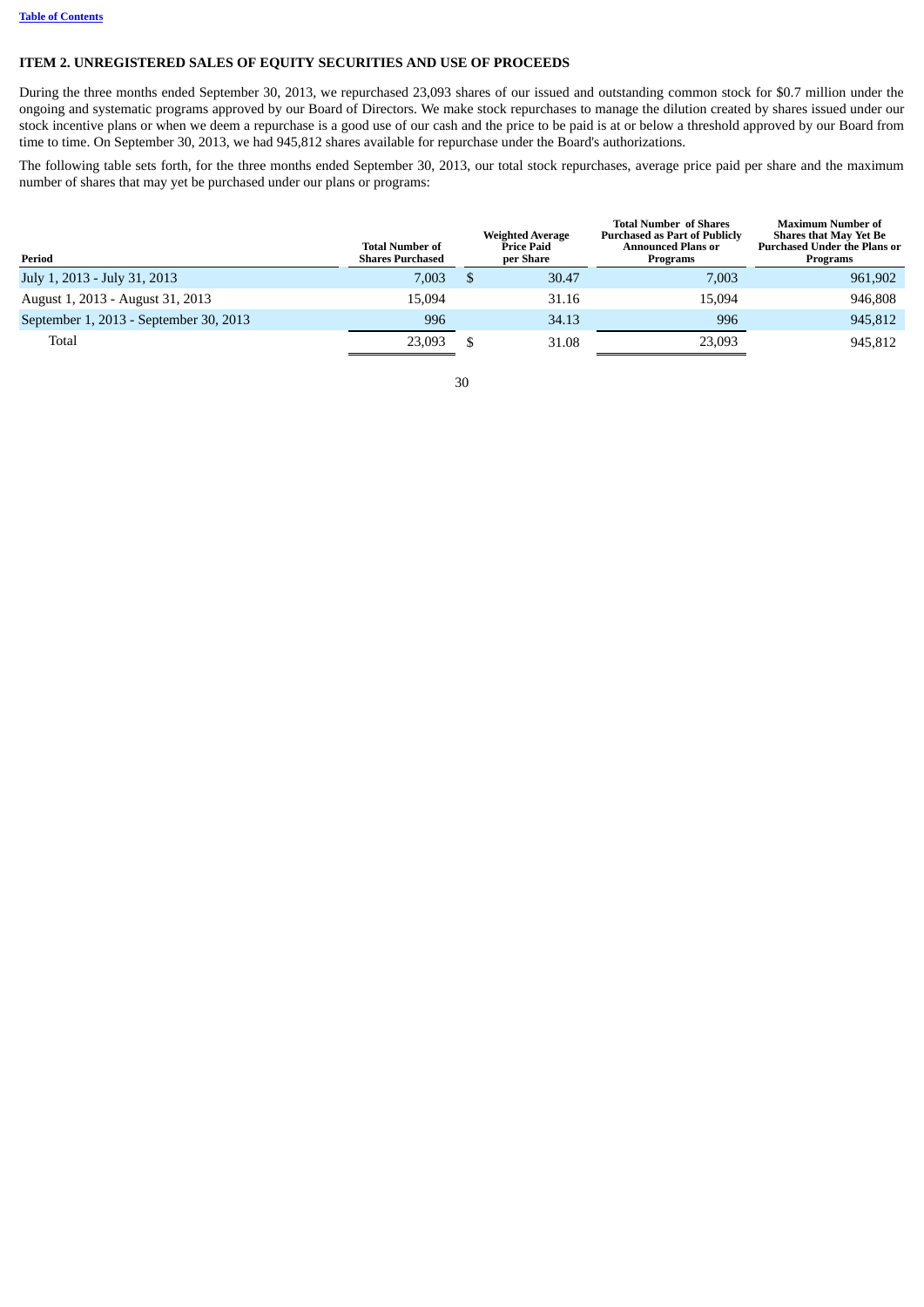# **ITEM 2. UNREGISTERED SALES OF EQUITY SECURITIES AND USE OF PROCEEDS**

During the three months ended September 30, 2013, we repurchased 23,093 shares of our issued and outstanding common stock for \$0.7 million under the ongoing and systematic programs approved by our Board of Directors. We make stock repurchases to manage the dilution created by shares issued under our stock incentive plans or when we deem a repurchase is a good use of our cash and the price to be paid is at or below a threshold approved by our Board from time to time. On September 30, 2013, we had 945,812 shares available for repurchase under the Board's authorizations.

The following table sets forth, for the three months ended September 30, 2013, our total stock repurchases, average price paid per share and the maximum number of shares that may yet be purchased under our plans or programs:

<span id="page-29-0"></span>

| Period                                 | <b>Total Number of</b><br><b>Shares Purchased</b> | <b>Weighted Average</b><br>Price Paid<br>per Share | <b>Total Number of Shares</b><br><b>Purchased as Part of Publicly</b><br><b>Announced Plans or</b><br>Programs | <b>Maximum Number of</b><br><b>Shares that May Yet Be</b><br><b>Purchased Under the Plans or</b><br>Programs |
|----------------------------------------|---------------------------------------------------|----------------------------------------------------|----------------------------------------------------------------------------------------------------------------|--------------------------------------------------------------------------------------------------------------|
| July 1, 2013 - July 31, 2013           | 7,003                                             | 30.47                                              | 7,003                                                                                                          | 961,902                                                                                                      |
| August 1, 2013 - August 31, 2013       | 15.094                                            | 31.16                                              | 15,094                                                                                                         | 946,808                                                                                                      |
| September 1, 2013 - September 30, 2013 | 996                                               | 34.13                                              | 996                                                                                                            | 945,812                                                                                                      |
| Total                                  | 23,093                                            | 31.08                                              | 23,093                                                                                                         | 945,812                                                                                                      |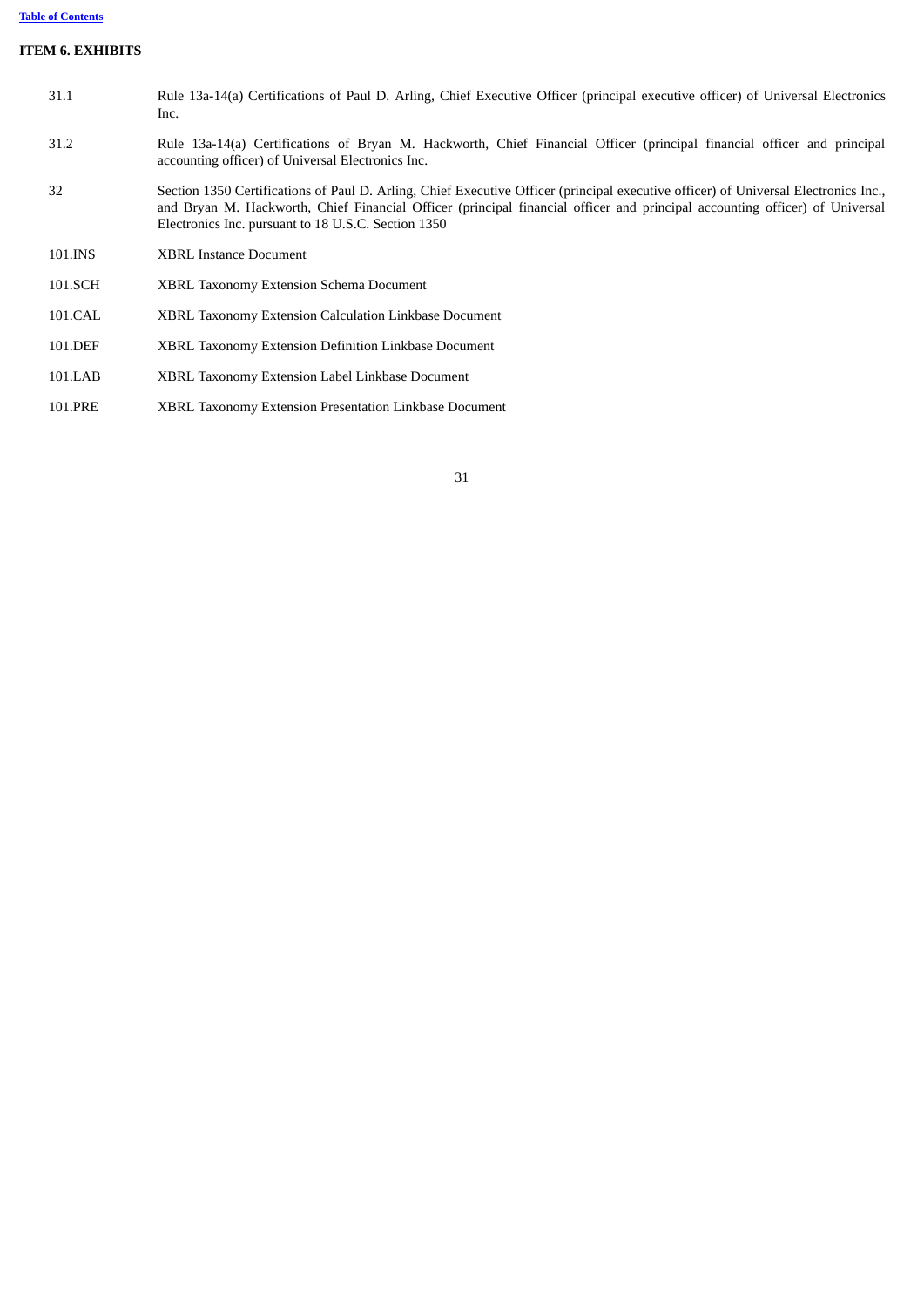# **Table of [Contents](#page-0-0)**

# **ITEM 6. EXHIBITS**

<span id="page-30-0"></span>

| 31.1    | Rule 13a-14(a) Certifications of Paul D. Arling, Chief Executive Officer (principal executive officer) of Universal Electronics                                                                                                                                                                                           |
|---------|---------------------------------------------------------------------------------------------------------------------------------------------------------------------------------------------------------------------------------------------------------------------------------------------------------------------------|
|         | Inc.                                                                                                                                                                                                                                                                                                                      |
| 31.2    | Rule 13a-14(a) Certifications of Bryan M. Hackworth, Chief Financial Officer (principal financial officer and principal<br>accounting officer) of Universal Electronics Inc.                                                                                                                                              |
| 32      | Section 1350 Certifications of Paul D. Arling, Chief Executive Officer (principal executive officer) of Universal Electronics Inc.,<br>and Bryan M. Hackworth, Chief Financial Officer (principal financial officer and principal accounting officer) of Universal<br>Electronics Inc. pursuant to 18 U.S.C. Section 1350 |
| 101.INS | <b>XBRL Instance Document</b>                                                                                                                                                                                                                                                                                             |
| 101.SCH | <b>XBRL Taxonomy Extension Schema Document</b>                                                                                                                                                                                                                                                                            |
| 101.CAL | XBRL Taxonomy Extension Calculation Linkbase Document                                                                                                                                                                                                                                                                     |
| 101.DEF | XBRL Taxonomy Extension Definition Linkbase Document                                                                                                                                                                                                                                                                      |
| 101.LAB | XBRL Taxonomy Extension Label Linkbase Document                                                                                                                                                                                                                                                                           |
| 101.PRE | XBRL Taxonomy Extension Presentation Linkbase Document                                                                                                                                                                                                                                                                    |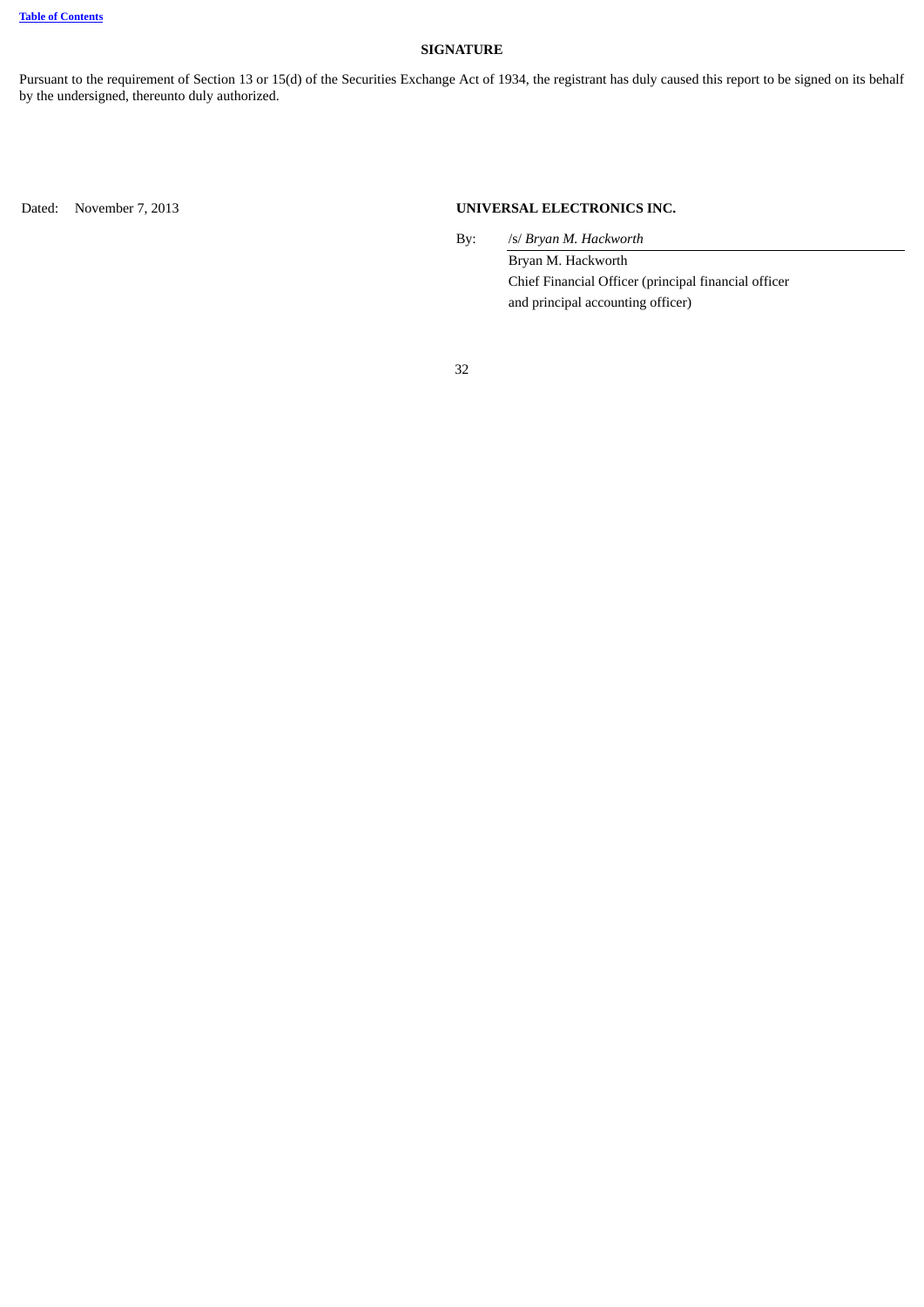# **SIGNATURE**

Pursuant to the requirement of Section 13 or 15(d) of the Securities Exchange Act of 1934, the registrant has duly caused this report to be signed on its behalf by the undersigned, thereunto duly authorized.

<span id="page-31-0"></span>

Dated: November 7, 2013 **UNIVERSAL ELECTRONICS INC.**

By: /s/ *Bryan M. Hackworth* Bryan M. Hackworth Chief Financial Officer (principal financial officer and principal accounting officer)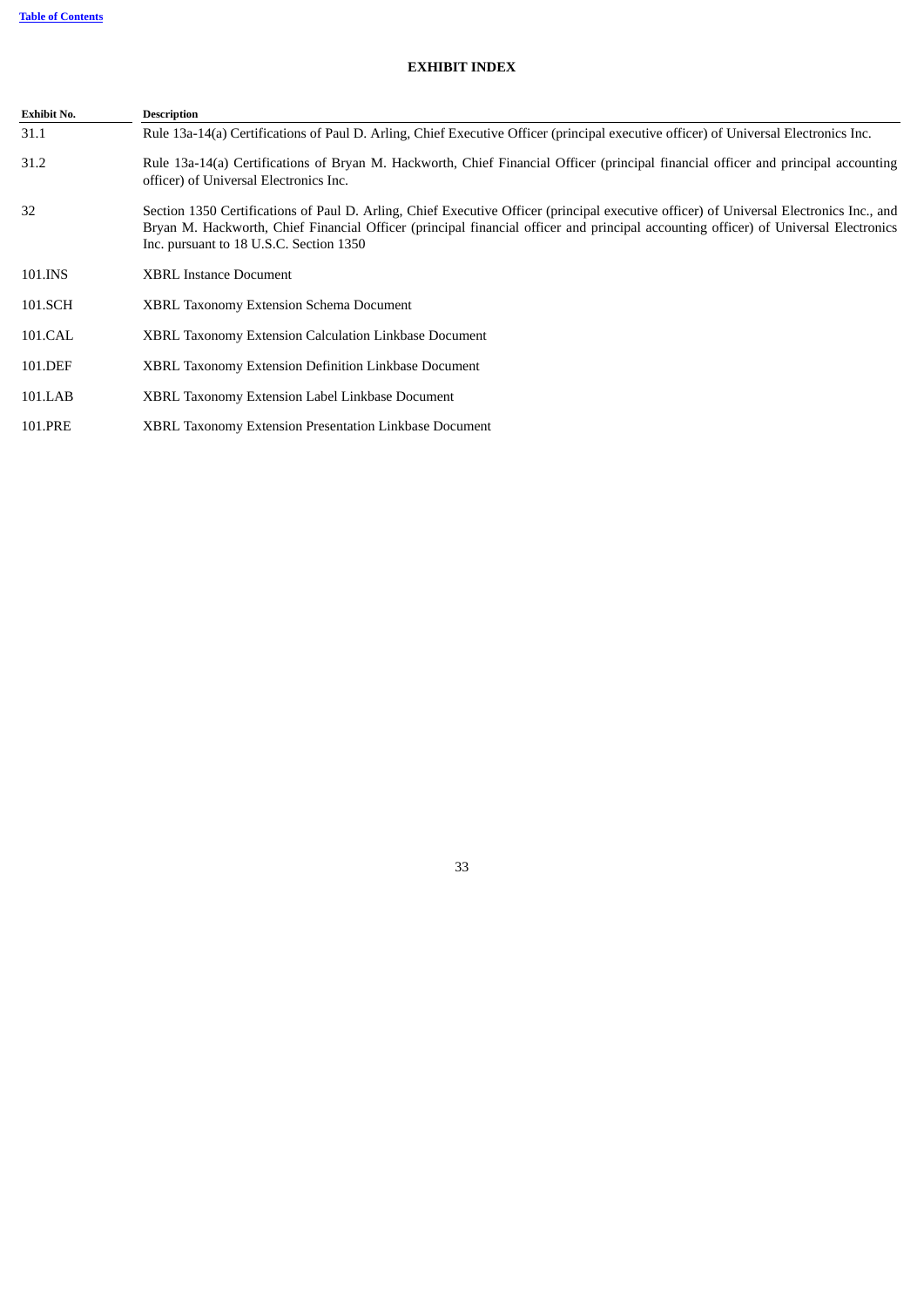# **EXHIBIT INDEX**

| Exhibit No. | <b>Description</b>                                                                                                                                                                                                                                                                                                        |
|-------------|---------------------------------------------------------------------------------------------------------------------------------------------------------------------------------------------------------------------------------------------------------------------------------------------------------------------------|
| 31.1        | Rule 13a-14(a) Certifications of Paul D. Arling, Chief Executive Officer (principal executive officer) of Universal Electronics Inc.                                                                                                                                                                                      |
| 31.2        | Rule 13a-14(a) Certifications of Bryan M. Hackworth, Chief Financial Officer (principal financial officer and principal accounting<br>officer) of Universal Electronics Inc.                                                                                                                                              |
| 32          | Section 1350 Certifications of Paul D. Arling, Chief Executive Officer (principal executive officer) of Universal Electronics Inc., and<br>Bryan M. Hackworth, Chief Financial Officer (principal financial officer and principal accounting officer) of Universal Electronics<br>Inc. pursuant to 18 U.S.C. Section 1350 |
| 101.INS     | <b>XBRL Instance Document</b>                                                                                                                                                                                                                                                                                             |
| 101.SCH     | <b>XBRL Taxonomy Extension Schema Document</b>                                                                                                                                                                                                                                                                            |
| 101.CAL     | <b>XBRL Taxonomy Extension Calculation Linkbase Document</b>                                                                                                                                                                                                                                                              |
| 101.DEF     | XBRL Taxonomy Extension Definition Linkbase Document                                                                                                                                                                                                                                                                      |
| 101.LAB     | XBRL Taxonomy Extension Label Linkbase Document                                                                                                                                                                                                                                                                           |
|             |                                                                                                                                                                                                                                                                                                                           |

101.PRE XBRL Taxonomy Extension Presentation Linkbase Document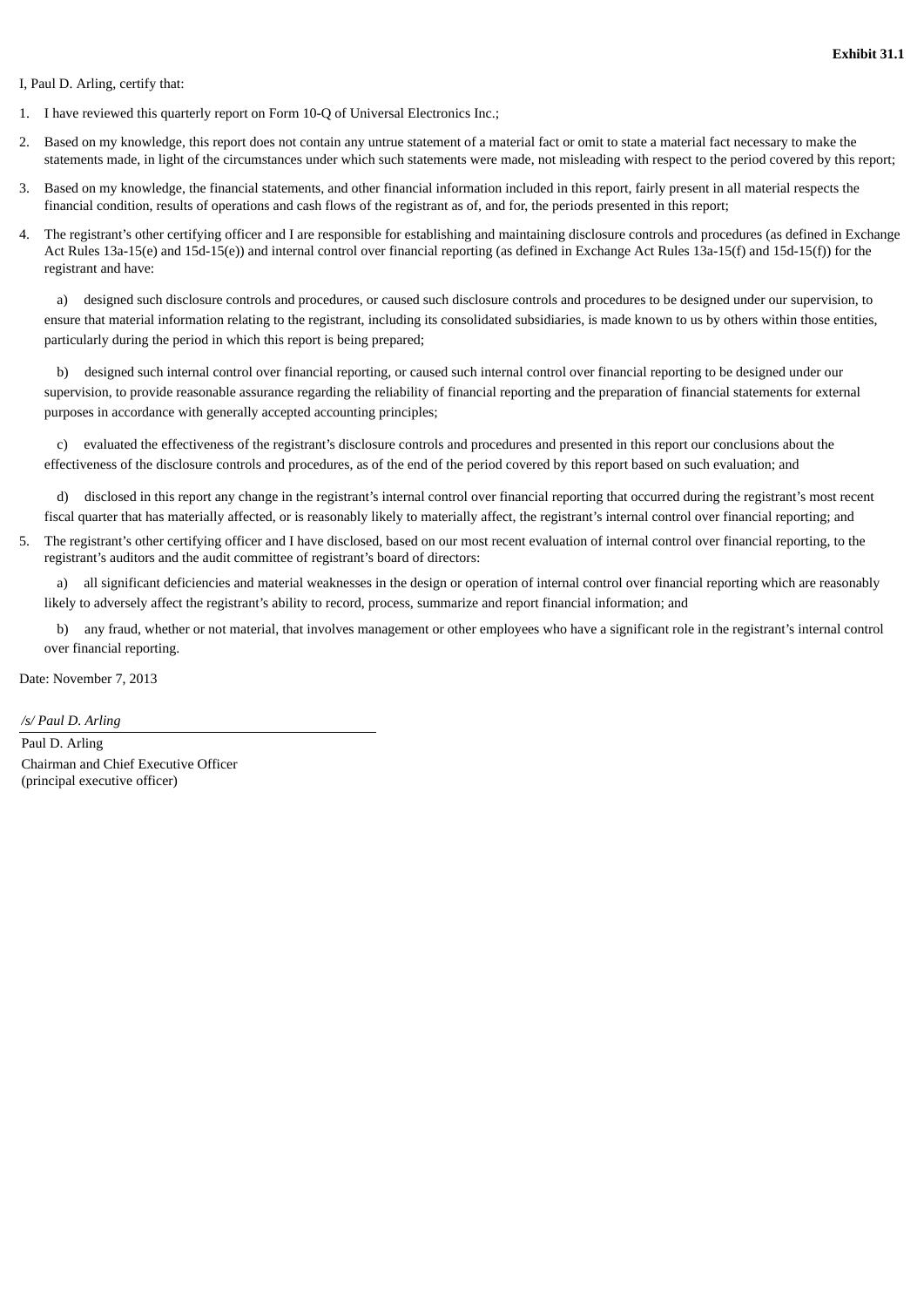#### I, Paul D. Arling, certify that:

- 1. I have reviewed this quarterly report on Form 10-Q of Universal Electronics Inc.;
- 2. Based on my knowledge, this report does not contain any untrue statement of a material fact or omit to state a material fact necessary to make the statements made, in light of the circumstances under which such statements were made, not misleading with respect to the period covered by this report;
- 3. Based on my knowledge, the financial statements, and other financial information included in this report, fairly present in all material respects the financial condition, results of operations and cash flows of the registrant as of, and for, the periods presented in this report;
- 4. The registrant's other certifying officer and I are responsible for establishing and maintaining disclosure controls and procedures (as defined in Exchange Act Rules 13a-15(e) and 15d-15(e)) and internal control over financial reporting (as defined in Exchange Act Rules 13a-15(f) and 15d-15(f)) for the registrant and have:

a) designed such disclosure controls and procedures, or caused such disclosure controls and procedures to be designed under our supervision, to ensure that material information relating to the registrant, including its consolidated subsidiaries, is made known to us by others within those entities, particularly during the period in which this report is being prepared;

b) designed such internal control over financial reporting, or caused such internal control over financial reporting to be designed under our supervision, to provide reasonable assurance regarding the reliability of financial reporting and the preparation of financial statements for external purposes in accordance with generally accepted accounting principles;

c) evaluated the effectiveness of the registrant's disclosure controls and procedures and presented in this report our conclusions about the effectiveness of the disclosure controls and procedures, as of the end of the period covered by this report based on such evaluation; and

d) disclosed in this report any change in the registrant's internal control over financial reporting that occurred during the registrant's most recent fiscal quarter that has materially affected, or is reasonably likely to materially affect, the registrant's internal control over financial reporting; and

5. The registrant's other certifying officer and I have disclosed, based on our most recent evaluation of internal control over financial reporting, to the registrant's auditors and the audit committee of registrant's board of directors:

a) all significant deficiencies and material weaknesses in the design or operation of internal control over financial reporting which are reasonably likely to adversely affect the registrant's ability to record, process, summarize and report financial information; and

b) any fraud, whether or not material, that involves management or other employees who have a significant role in the registrant's internal control over financial reporting.

Date: November 7, 2013

*/s/ Paul D. Arling*

Paul D. Arling Chairman and Chief Executive Officer (principal executive officer)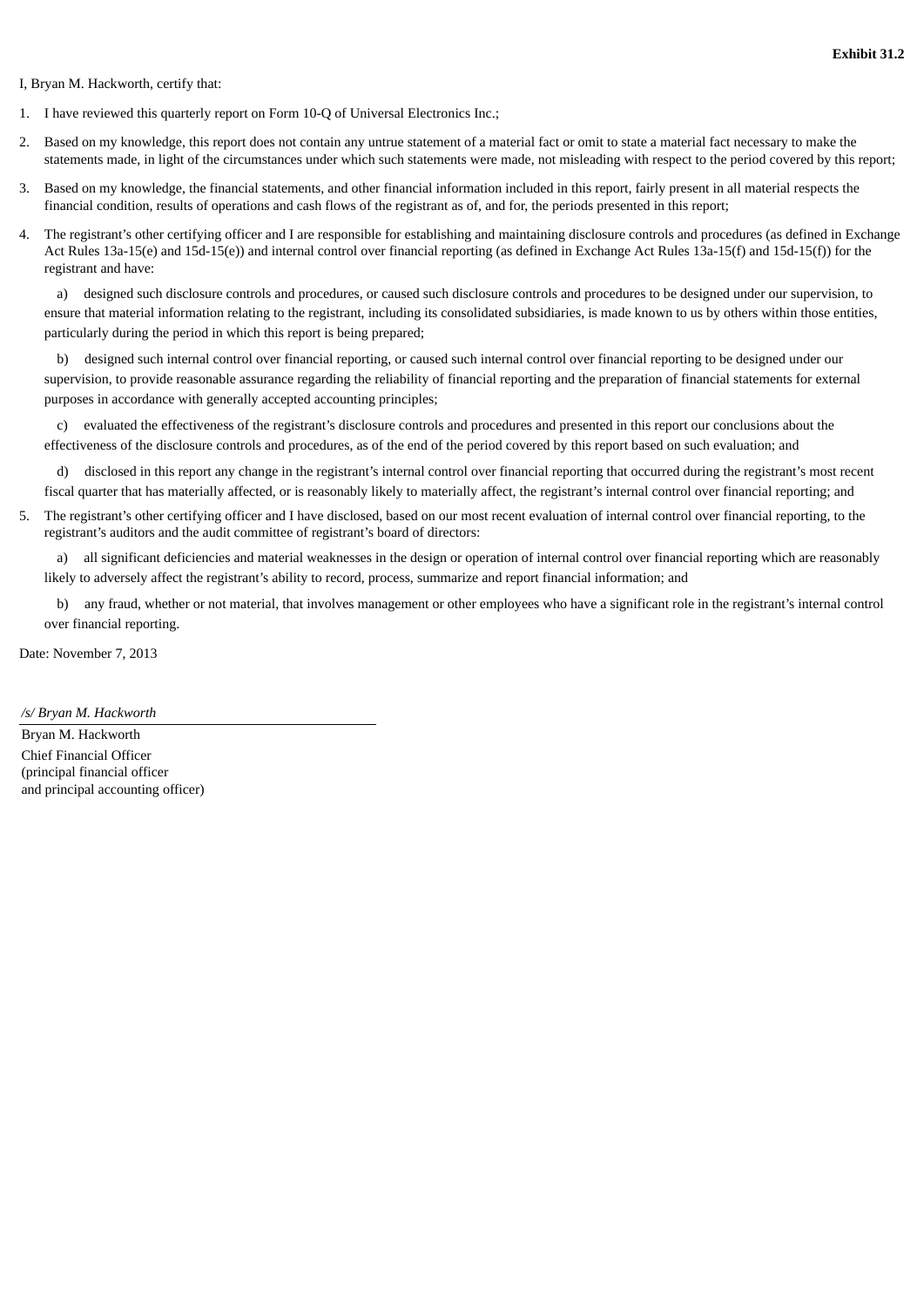#### I, Bryan M. Hackworth, certify that:

- 1. I have reviewed this quarterly report on Form 10-Q of Universal Electronics Inc.;
- 2. Based on my knowledge, this report does not contain any untrue statement of a material fact or omit to state a material fact necessary to make the statements made, in light of the circumstances under which such statements were made, not misleading with respect to the period covered by this report;
- 3. Based on my knowledge, the financial statements, and other financial information included in this report, fairly present in all material respects the financial condition, results of operations and cash flows of the registrant as of, and for, the periods presented in this report;
- 4. The registrant's other certifying officer and I are responsible for establishing and maintaining disclosure controls and procedures (as defined in Exchange Act Rules 13a-15(e) and 15d-15(e)) and internal control over financial reporting (as defined in Exchange Act Rules 13a-15(f) and 15d-15(f)) for the registrant and have:

a) designed such disclosure controls and procedures, or caused such disclosure controls and procedures to be designed under our supervision, to ensure that material information relating to the registrant, including its consolidated subsidiaries, is made known to us by others within those entities, particularly during the period in which this report is being prepared;

b) designed such internal control over financial reporting, or caused such internal control over financial reporting to be designed under our supervision, to provide reasonable assurance regarding the reliability of financial reporting and the preparation of financial statements for external purposes in accordance with generally accepted accounting principles;

c) evaluated the effectiveness of the registrant's disclosure controls and procedures and presented in this report our conclusions about the effectiveness of the disclosure controls and procedures, as of the end of the period covered by this report based on such evaluation; and

d) disclosed in this report any change in the registrant's internal control over financial reporting that occurred during the registrant's most recent fiscal quarter that has materially affected, or is reasonably likely to materially affect, the registrant's internal control over financial reporting; and

5. The registrant's other certifying officer and I have disclosed, based on our most recent evaluation of internal control over financial reporting, to the registrant's auditors and the audit committee of registrant's board of directors:

a) all significant deficiencies and material weaknesses in the design or operation of internal control over financial reporting which are reasonably likely to adversely affect the registrant's ability to record, process, summarize and report financial information; and

b) any fraud, whether or not material, that involves management or other employees who have a significant role in the registrant's internal control over financial reporting.

Date: November 7, 2013

*/s/ Bryan M. Hackworth*

Bryan M. Hackworth Chief Financial Officer (principal financial officer and principal accounting officer)